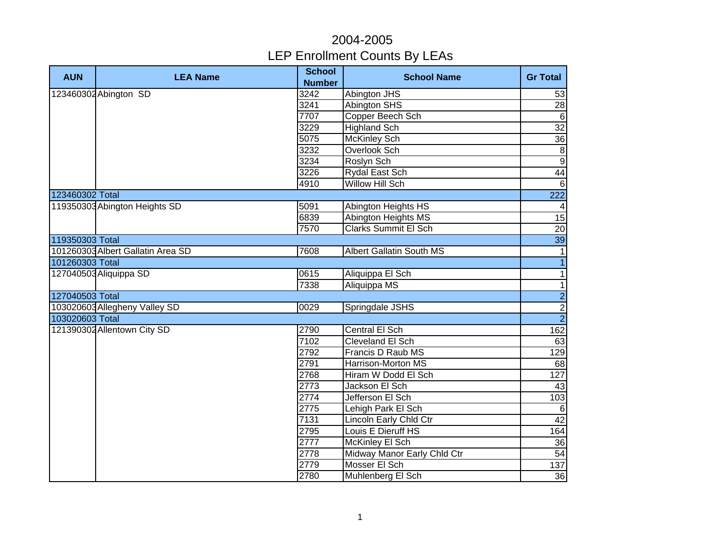| <b>AUN</b>      | <b>LEA Name</b>                   | <b>School</b><br><b>Number</b> | <b>School Name</b>              | <b>Gr Total</b>  |
|-----------------|-----------------------------------|--------------------------------|---------------------------------|------------------|
|                 | 123460302 Abington SD             | 3242                           | Abington JHS                    | 53               |
|                 |                                   | 3241                           | <b>Abington SHS</b>             | 28               |
|                 |                                   | 7707                           | Copper Beech Sch                | $\overline{6}$   |
|                 |                                   | 3229                           | <b>Highland Sch</b>             | $\overline{32}$  |
|                 |                                   | 5075                           | <b>McKinley Sch</b>             | 36               |
|                 |                                   | 3232                           | Overlook Sch                    | $\infty$         |
|                 |                                   | 3234                           | Roslyn Sch                      | 9                |
|                 |                                   | 3226                           | Rydal East Sch                  | 44               |
|                 |                                   | 4910                           | Willow Hill Sch                 | $6 \overline{6}$ |
| 123460302 Total |                                   |                                |                                 | 222              |
|                 | 119350303 Abington Heights SD     | 5091                           | Abington Heights HS             | $\overline{4}$   |
|                 |                                   | 6839                           | Abington Heights MS             | 15               |
|                 |                                   | 7570                           | <b>Clarks Summit El Sch</b>     | 20               |
| 119350303 Total |                                   |                                |                                 | 39               |
|                 | 101260303 Albert Gallatin Area SD | 7608                           | <b>Albert Gallatin South MS</b> | $\mathbf{1}$     |
| 101260303 Total |                                   |                                |                                 | $\mathbf{1}$     |
|                 | 127040503 Aliquippa SD            | 0615                           | Aliquippa El Sch                | $\mathbf{1}$     |
|                 |                                   | 7338                           | Aliquippa MS                    | $\overline{1}$   |
| 127040503 Total |                                   |                                |                                 | $\frac{1}{2}$    |
|                 | 103020603 Allegheny Valley SD     | 0029                           | Springdale JSHS                 |                  |
| 103020603 Total |                                   |                                |                                 |                  |
|                 | 121390302 Allentown City SD       | 2790                           | Central El Sch                  | 162              |
|                 |                                   | 7102                           | <b>Cleveland El Sch</b>         | 63               |
|                 |                                   | 2792                           | Francis D Raub MS               | 129              |
|                 |                                   | 2791                           | Harrison-Morton MS              | 68               |
|                 |                                   | 2768                           | Hiram W Dodd El Sch             | 127              |
|                 |                                   | 2773                           | Jackson El Sch                  | 43               |
|                 |                                   | 2774                           | Jefferson El Sch                | 103              |
|                 |                                   | 2775                           | Lehigh Park El Sch              | 6                |
|                 |                                   | 7131                           | <b>Lincoln Early Chld Ctr</b>   | 42               |
|                 |                                   | 2795                           | Louis E Dieruff HS              | 164              |
|                 |                                   | 2777                           | McKinley El Sch                 | 36               |
|                 |                                   | 2778                           | Midway Manor Early Chld Ctr     | 54               |
|                 |                                   | 2779                           | Mosser El Sch                   | 137              |
|                 |                                   | 2780                           | Muhlenberg El Sch               | 36               |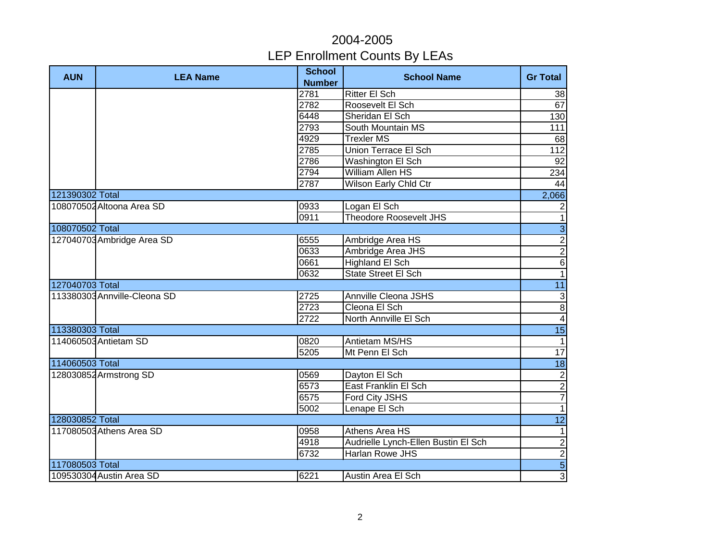| <b>AUN</b>      | <b>LEA Name</b>              | <b>School</b><br><b>Number</b> | <b>School Name</b>                  | <b>Gr Total</b> |
|-----------------|------------------------------|--------------------------------|-------------------------------------|-----------------|
|                 |                              | 2781                           | <b>Ritter El Sch</b>                | 38              |
|                 |                              | 2782                           | Roosevelt El Sch                    | 67              |
|                 |                              | 6448                           | Sheridan El Sch                     | 130             |
|                 |                              | 2793                           | South Mountain MS                   | 111             |
|                 |                              | 4929                           | <b>Trexler MS</b>                   | 68              |
|                 |                              | 2785                           | <b>Union Terrace El Sch</b>         | 112             |
|                 |                              | 2786                           | Washington El Sch                   | 92              |
|                 |                              | 2794                           | William Allen HS                    | 234             |
|                 |                              | 2787                           | Wilson Early Chld Ctr               | 44              |
| 121390302 Total |                              |                                |                                     | 2,066           |
|                 | 108070502 Altoona Area SD    | 0933                           | Logan El Sch                        | $\overline{2}$  |
|                 |                              | 0911                           | <b>Theodore Roosevelt JHS</b>       | $\mathbf{1}$    |
| 108070502 Total |                              |                                |                                     | $\overline{3}$  |
|                 | 127040703 Ambridge Area SD   | 6555                           | Ambridge Area HS                    | $\overline{2}$  |
|                 |                              | 0633                           | Ambridge Area JHS                   |                 |
|                 |                              | 0661                           | Highland El Sch                     | $\frac{2}{6}$   |
|                 |                              | 0632                           | State Street El Sch                 | $\overline{1}$  |
| 127040703 Total |                              |                                |                                     | 11              |
|                 | 113380303 Annville-Cleona SD | 2725                           | <b>Annville Cleona JSHS</b>         | $\frac{3}{8}$   |
|                 |                              | 2723                           | Cleona El Sch                       |                 |
|                 |                              | 2722                           | North Annville El Sch               | $\overline{4}$  |
| 113380303 Total |                              |                                |                                     | $\overline{15}$ |
|                 | 114060503 Antietam SD        | 0820                           | Antietam MS/HS                      | $\overline{1}$  |
|                 |                              | 5205                           | Mt Penn El Sch                      | 17              |
| 114060503 Total |                              |                                |                                     | 18              |
|                 | 128030852 Armstrong SD       | 0569                           | Dayton El Sch                       | $\overline{2}$  |
|                 |                              | 6573                           | East Franklin El Sch                | $\overline{2}$  |
|                 |                              | 6575                           | Ford City JSHS                      | $\overline{7}$  |
|                 |                              | 5002                           | Lenape El Sch                       | $\overline{1}$  |
| 128030852 Total |                              |                                |                                     | $\overline{12}$ |
|                 | 117080503 Athens Area SD     | 0958                           | Athens Area HS                      | $\mathbf{1}$    |
|                 |                              | 4918                           | Audrielle Lynch-Ellen Bustin El Sch | $\overline{2}$  |
|                 |                              | 6732                           | <b>Harlan Rowe JHS</b>              | $\overline{2}$  |
| 117080503 Total |                              |                                |                                     | $\overline{5}$  |
|                 | 109530304 Austin Area SD     | 6221                           | Austin Area El Sch                  | $\overline{3}$  |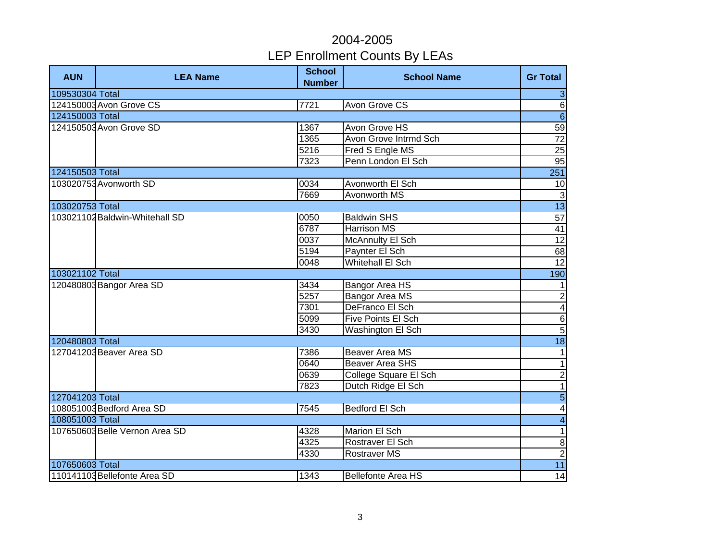| <b>AUN</b>      | <b>LEA Name</b>                | <b>School</b><br><b>Number</b> | <b>School Name</b>        | <b>Gr Total</b>          |
|-----------------|--------------------------------|--------------------------------|---------------------------|--------------------------|
| 109530304 Total |                                |                                |                           | 3                        |
|                 | 124150003 Avon Grove CS        | 7721                           | <b>Avon Grove CS</b>      | $\overline{6}$           |
| 124150003 Total |                                |                                |                           | $\overline{6}$           |
|                 | 124150503 Avon Grove SD        | 1367                           | Avon Grove HS             | 59                       |
|                 |                                | 1365                           | Avon Grove Intrmd Sch     | $\overline{72}$          |
|                 |                                | 5216                           | Fred S Engle MS           | $\overline{25}$          |
|                 |                                | 7323                           | Penn London El Sch        | 95                       |
| 124150503 Total |                                |                                |                           | 251                      |
|                 | 103020753 Avonworth SD         | 0034                           | Avonworth El Sch          | 10                       |
|                 |                                | 7669                           | Avonworth MS              | $\mathbf{3}$             |
| 103020753 Total |                                |                                |                           | 13                       |
|                 | 103021102 Baldwin-Whitehall SD | 0050                           | <b>Baldwin SHS</b>        | 57                       |
|                 |                                | 6787                           | <b>Harrison MS</b>        | 41                       |
|                 |                                | 0037                           | <b>McAnnulty El Sch</b>   | $\overline{12}$          |
|                 |                                | 5194                           | Paynter El Sch            | 68                       |
|                 |                                | 0048                           | <b>Whitehall El Sch</b>   | 12                       |
| 103021102 Total |                                |                                |                           | 190                      |
|                 | 120480803 Bangor Area SD       | 3434                           | Bangor Area HS            | $\mathbf{1}$             |
|                 |                                | 5257                           | Bangor Area MS            | $\frac{1}{4}$            |
|                 |                                | 7301                           | DeFranco El Sch           |                          |
|                 |                                | 5099                           | Five Points El Sch        | $\sigma$                 |
|                 |                                | 3430                           | Washington El Sch         |                          |
| 120480803 Total |                                |                                |                           | 18                       |
|                 | 127041203 Beaver Area SD       | 7386                           | <b>Beaver Area MS</b>     | $\overline{\phantom{a}}$ |
|                 |                                | 0640                           | <b>Beaver Area SHS</b>    | $\overline{\phantom{a}}$ |
|                 |                                | 0639                           | College Square El Sch     | $\overline{2}$           |
|                 |                                | 7823                           | Dutch Ridge El Sch        | $\overline{1}$           |
| 127041203 Total |                                |                                |                           | $\overline{5}$           |
|                 | 108051003 Bedford Area SD      | 7545                           | <b>Bedford El Sch</b>     | $\blacktriangle$         |
| 108051003 Total |                                |                                |                           | $\overline{\mathbf{4}}$  |
|                 | 107650603 Belle Vernon Area SD | 4328                           | Marion El Sch             | $\mathbf{1}$             |
|                 |                                | 4325                           | Rostraver El Sch          | $\,$ 8 $\,$              |
|                 |                                | 4330                           | <b>Rostraver MS</b>       | $\overline{c}$           |
| 107650603 Total |                                |                                |                           | 11                       |
|                 | 110141103 Bellefonte Area SD   | 1343                           | <b>Bellefonte Area HS</b> | 14                       |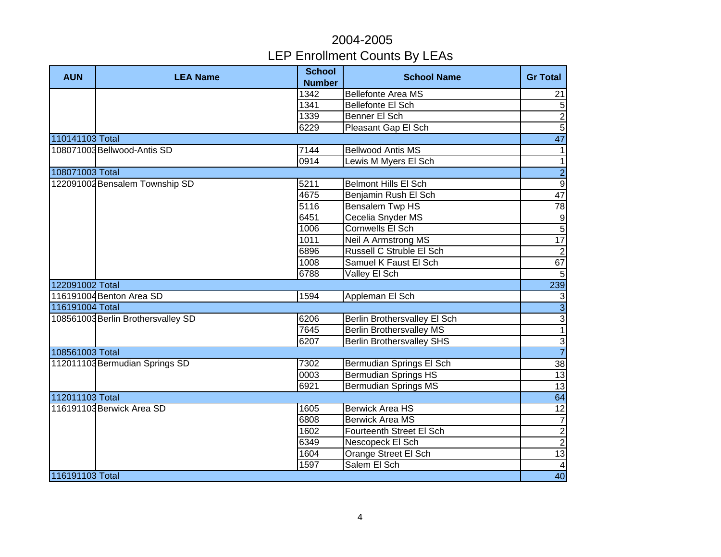| <b>AUN</b>      | <b>LEA Name</b>                    | <b>School</b> | <b>School Name</b>               | <b>Gr Total</b>         |
|-----------------|------------------------------------|---------------|----------------------------------|-------------------------|
|                 |                                    | <b>Number</b> |                                  |                         |
|                 |                                    | 1342          | <b>Bellefonte Area MS</b>        | 21                      |
|                 |                                    | 1341          | <b>Bellefonte El Sch</b>         | 5                       |
|                 |                                    | 1339          | Benner El Sch                    | $\overline{2}$          |
|                 |                                    | 6229          | Pleasant Gap El Sch              | $\overline{5}$          |
| 110141103 Total |                                    |               |                                  | 47                      |
|                 | 108071003 Bellwood-Antis SD        | 7144          | <b>Bellwood Antis MS</b>         | $\mathbf{1}$            |
|                 |                                    | 0914          | Lewis M Myers El Sch             | $\overline{1}$          |
| 108071003 Total |                                    |               |                                  | $\overline{2}$          |
|                 | 122091002 Bensalem Township SD     | 5211          | <b>Belmont Hills El Sch</b>      | $\overline{9}$          |
|                 |                                    | 4675          | Benjamin Rush El Sch             | 47                      |
|                 |                                    | 5116          | <b>Bensalem Twp HS</b>           | 78                      |
|                 |                                    | 6451          | Cecelia Snyder MS                | $\frac{9}{5}$           |
|                 |                                    | 1006          | Cornwells El Sch                 |                         |
|                 |                                    | 1011          | <b>Neil A Armstrong MS</b>       | 17                      |
|                 |                                    | 6896          | Russell C Struble El Sch         | $\overline{2}$          |
|                 |                                    | 1008          | Samuel K Faust El Sch            | 67                      |
|                 |                                    | 6788          | Valley El Sch                    | $\overline{5}$          |
| 122091002 Total |                                    |               |                                  | 239                     |
|                 | 116191004 Benton Area SD           | 1594          | Appleman El Sch                  | $\mathbf{3}$            |
| 116191004 Total |                                    |               |                                  | $\overline{3}$          |
|                 | 108561003 Berlin Brothersvalley SD | 6206          | Berlin Brothersvalley El Sch     | $\frac{3}{1}$           |
|                 |                                    | 7645          | <b>Berlin Brothersvalley MS</b>  |                         |
|                 |                                    | 6207          | <b>Berlin Brothersvalley SHS</b> | $\frac{3}{7}$           |
| 108561003 Total |                                    |               |                                  |                         |
|                 | 112011103 Bermudian Springs SD     | 7302          | Bermudian Springs El Sch         | 38                      |
|                 |                                    | 0003          | <b>Bermudian Springs HS</b>      | 13                      |
|                 |                                    | 6921          | <b>Bermudian Springs MS</b>      | 13                      |
| 112011103 Total |                                    |               |                                  | 64                      |
|                 | 116191103 Berwick Area SD          | 1605          | <b>Berwick Area HS</b>           | $\overline{12}$         |
|                 |                                    | 6808          | <b>Berwick Area MS</b>           | $\overline{7}$          |
|                 |                                    | 1602          | Fourteenth Street El Sch         | $\overline{2}$          |
|                 |                                    | 6349          | Nescopeck El Sch                 | $\overline{2}$          |
|                 |                                    | 1604          | Orange Street El Sch             | 13                      |
|                 |                                    | 1597          | Salem El Sch                     | $\overline{\mathbf{4}}$ |
| 116191103 Total |                                    |               |                                  | 40                      |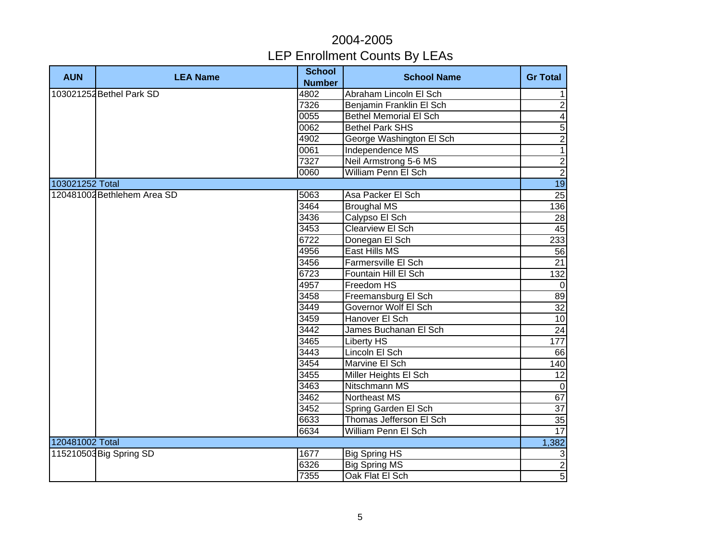| <b>AUN</b>      | <b>LEA Name</b>             | <b>School</b> | <b>School Name</b>            | <b>Gr Total</b>         |
|-----------------|-----------------------------|---------------|-------------------------------|-------------------------|
|                 |                             | <b>Number</b> |                               |                         |
|                 | 103021252 Bethel Park SD    | 4802          | Abraham Lincoln El Sch        | 1                       |
|                 |                             | 7326          | Benjamin Franklin El Sch      | $\overline{2}$          |
|                 |                             | 0055          | <b>Bethel Memorial El Sch</b> | $\overline{\mathbf{A}}$ |
|                 |                             | 0062          | <b>Bethel Park SHS</b>        | $\overline{5}$          |
|                 |                             | 4902          | George Washington El Sch      | $\overline{2}$          |
|                 |                             | 0061          | Independence MS               | $\overline{1}$          |
|                 |                             | 7327          | Neil Armstrong 5-6 MS         | $\overline{2}$          |
|                 |                             | 0060          | William Penn El Sch           | $\overline{2}$          |
| 103021252 Total |                             |               |                               | 19                      |
|                 | 120481002 Bethlehem Area SD | 5063          | Asa Packer El Sch             | 25                      |
|                 |                             | 3464          | <b>Broughal MS</b>            | 136                     |
|                 |                             | 3436          | Calypso El Sch                | 28                      |
|                 |                             | 3453          | Clearview El Sch              | 45                      |
|                 |                             | 6722          | Donegan El Sch                | 233                     |
|                 |                             | 4956          | East Hills MS                 | 56                      |
|                 |                             | 3456          | Farmersville El Sch           | 21                      |
|                 |                             | 6723          | Fountain Hill El Sch          | 132                     |
|                 |                             | 4957          | Freedom HS                    | $\mathbf 0$             |
|                 |                             | 3458          | Freemansburg El Sch           | 89                      |
|                 |                             | 3449          | Governor Wolf El Sch          | 32                      |
|                 |                             | 3459          | Hanover El Sch                | $\overline{10}$         |
|                 |                             | 3442          | James Buchanan El Sch         | 24                      |
|                 |                             | 3465          | Liberty HS                    | 177                     |
|                 |                             | 3443          | Lincoln El Sch                | 66                      |
|                 |                             | 3454          | Marvine El Sch                | 140                     |
|                 |                             | 3455          | Miller Heights El Sch         | $\overline{12}$         |
|                 |                             | 3463          | Nitschmann MS                 | $\mathbf 0$             |
|                 |                             | 3462          | Northeast MS                  | 67                      |
|                 |                             | 3452          | Spring Garden El Sch          | 37                      |
|                 |                             | 6633          | Thomas Jefferson El Sch       | 35                      |
|                 |                             | 6634          | William Penn El Sch           | 17                      |
| 120481002 Total |                             |               |                               | 1,382                   |
|                 | 115210503 Big Spring SD     | 1677          | <b>Big Spring HS</b>          | $\mathbf{3}$            |
|                 |                             | 6326          | <b>Big Spring MS</b>          | $\overline{c}$          |
|                 |                             | 7355          | Oak Flat El Sch               | $\overline{5}$          |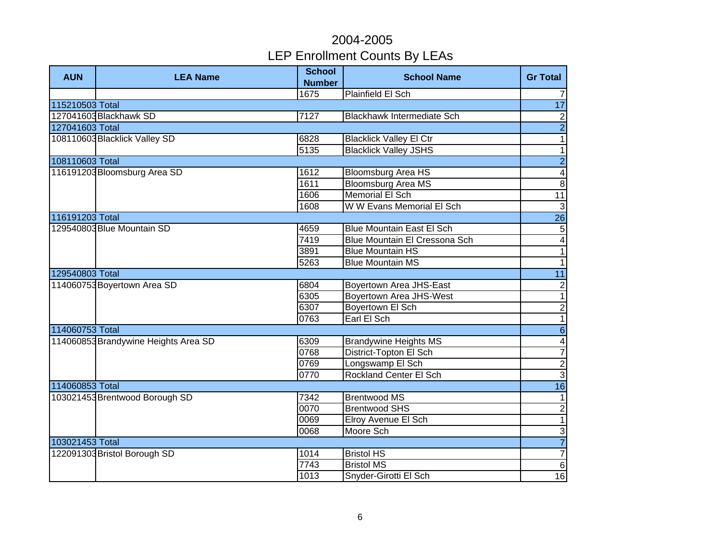| <b>AUN</b>      | <b>LEA Name</b>                      | <b>School</b><br><b>Number</b> | <b>School Name</b>                | <b>Gr Total</b>  |
|-----------------|--------------------------------------|--------------------------------|-----------------------------------|------------------|
|                 |                                      | 1675                           | <b>Plainfield El Sch</b>          | $\overline{7}$   |
| 115210503 Total |                                      |                                |                                   | 17               |
|                 | 127041603 Blackhawk SD               | 7127                           | <b>Blackhawk Intermediate Sch</b> | $\overline{2}$   |
| 127041603 Total |                                      |                                |                                   | $\overline{2}$   |
|                 | 108110603 Blacklick Valley SD        | 6828                           | <b>Blacklick Valley El Ctr</b>    | $\overline{1}$   |
|                 |                                      | 5135                           | <b>Blacklick Valley JSHS</b>      | $\overline{1}$   |
| 108110603 Total |                                      |                                |                                   | $\overline{2}$   |
|                 | 116191203 Bloomsburg Area SD         | 1612                           | <b>Bloomsburg Area HS</b>         | $\overline{4}$   |
|                 |                                      | 1611                           | <b>Bloomsburg Area MS</b>         | $\overline{8}$   |
|                 |                                      | 1606                           | <b>Memorial El Sch</b>            | $\overline{11}$  |
|                 |                                      | 1608                           | W W Evans Memorial El Sch         | $\overline{3}$   |
| 116191203 Total |                                      |                                |                                   | $\overline{26}$  |
|                 | 129540803 Blue Mountain SD           | 4659                           | <b>Blue Mountain East El Sch</b>  | $\overline{5}$   |
|                 |                                      | 7419                           | Blue Mountain El Cressona Sch     | $\overline{4}$   |
|                 |                                      | 3891                           | <b>Blue Mountain HS</b>           | $\overline{1}$   |
|                 |                                      | 5263                           | <b>Blue Mountain MS</b>           | $\overline{1}$   |
| 129540803 Total |                                      |                                |                                   | $\overline{11}$  |
|                 | 114060753 Boyertown Area SD          | 6804                           | Boyertown Area JHS-East           | $\frac{2}{1}$    |
|                 |                                      | 6305                           | <b>Boyertown Area JHS-West</b>    |                  |
|                 |                                      | 6307                           | Boyertown El Sch                  | $\overline{2}$   |
|                 |                                      | 0763                           | Earl El Sch                       | $\overline{1}$   |
| 114060753 Total |                                      |                                |                                   | $\overline{6}$   |
|                 | 114060853 Brandywine Heights Area SD | 6309                           | <b>Brandywine Heights MS</b>      | $\overline{4}$   |
|                 |                                      | 0768                           | District-Topton El Sch            | $\overline{7}$   |
|                 |                                      | 0769                           | Longswamp El Sch                  | $\frac{2}{3}$    |
|                 |                                      | 0770                           | <b>Rockland Center El Sch</b>     |                  |
| 114060853 Total |                                      |                                |                                   | 16               |
|                 | 103021453 Brentwood Borough SD       | 7342                           | Brentwood MS                      | $\mathbf{1}$     |
|                 |                                      | 0070                           | <b>Brentwood SHS</b>              | $\overline{2}$   |
|                 |                                      | 0069                           | Elroy Avenue El Sch               | $\overline{1}$   |
|                 |                                      | 0068                           | Moore Sch                         | $\overline{3}$   |
| 103021453 Total |                                      |                                |                                   | $\overline{7}$   |
|                 | 122091303 Bristol Borough SD         | 1014                           | <b>Bristol HS</b>                 | $\boldsymbol{7}$ |
|                 |                                      | 7743                           | <b>Bristol MS</b>                 | $\,6$            |
|                 |                                      | 1013                           | Snyder-Girotti El Sch             | 16               |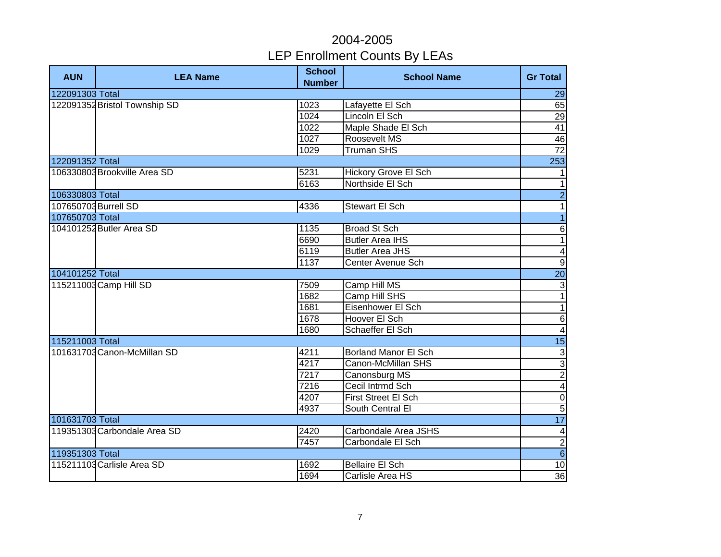| <b>AUN</b>      | <b>LEA Name</b>               | <b>School</b><br><b>Number</b> | <b>School Name</b>          | <b>Gr Total</b>         |
|-----------------|-------------------------------|--------------------------------|-----------------------------|-------------------------|
| 122091303 Total |                               |                                |                             | 29                      |
|                 | 122091352 Bristol Township SD | 1023                           | Lafayette El Sch            | 65                      |
|                 |                               | 1024                           | Lincoln El Sch              | 29                      |
|                 |                               | 1022                           | Maple Shade El Sch          | $\overline{41}$         |
|                 |                               | 1027                           | Roosevelt MS                | 46                      |
|                 |                               | 1029                           | <b>Truman SHS</b>           | 72                      |
| 122091352 Total |                               |                                |                             | 253                     |
|                 | 106330803 Brookville Area SD  | 5231                           | <b>Hickory Grove El Sch</b> | $\mathbf{1}$            |
|                 |                               | 6163                           | Northside El Sch            | $\mathbf{1}$            |
| 106330803 Total |                               |                                |                             | $\overline{2}$          |
|                 | 107650703 Burrell SD          | 4336                           | Stewart El Sch              | $\mathbf{1}$            |
| 107650703 Total |                               |                                |                             | $\overline{1}$          |
|                 | 104101252 Butler Area SD      | 1135                           | <b>Broad St Sch</b>         | $\overline{6}$          |
|                 |                               | 6690                           | <b>Butler Area IHS</b>      | $\overline{1}$          |
|                 |                               | 6119                           | <b>Butler Area JHS</b>      | $\overline{\mathbf{4}}$ |
|                 |                               | 1137                           | Center Avenue Sch           | $\overline{9}$          |
| 104101252 Total |                               |                                |                             | $\overline{20}$         |
|                 | 115211003 Camp Hill SD        | 7509                           | Camp Hill MS                | $\frac{3}{1}$           |
|                 |                               | 1682                           | Camp Hill SHS               |                         |
|                 |                               | 1681                           | Eisenhower El Sch           | $\overline{1}$          |
|                 |                               | 1678                           | Hoover El Sch               | $\frac{6}{4}$           |
|                 |                               | 1680                           | Schaeffer El Sch            |                         |
| 115211003 Total |                               |                                |                             | $\overline{15}$         |
|                 | 101631703 Canon-McMillan SD   | 4211                           | <b>Borland Manor El Sch</b> |                         |
|                 |                               | 4217                           | Canon-McMillan SHS          | $\frac{\omega}{\omega}$ |
|                 |                               | 7217                           | Canonsburg MS               |                         |
|                 |                               | 7216                           | Cecil Intrmd Sch            | $\overline{\mathbf{4}}$ |
|                 |                               | 4207                           | <b>First Street El Sch</b>  | $\overline{0}$          |
|                 |                               | 4937                           | South Central El            | $\overline{5}$          |
| 101631703 Total |                               |                                |                             | 17                      |
|                 | 119351303 Carbondale Area SD  | 2420                           | Carbondale Area JSHS        | $\overline{\mathbf{4}}$ |
|                 |                               | 7457                           | Carbondale El Sch           |                         |
| 119351303 Total |                               |                                |                             | $\frac{1}{2}$           |
|                 | 115211103 Carlisle Area SD    | 1692                           | <b>Bellaire El Sch</b>      | 10                      |
|                 |                               | 1694                           | Carlisle Area HS            | 36                      |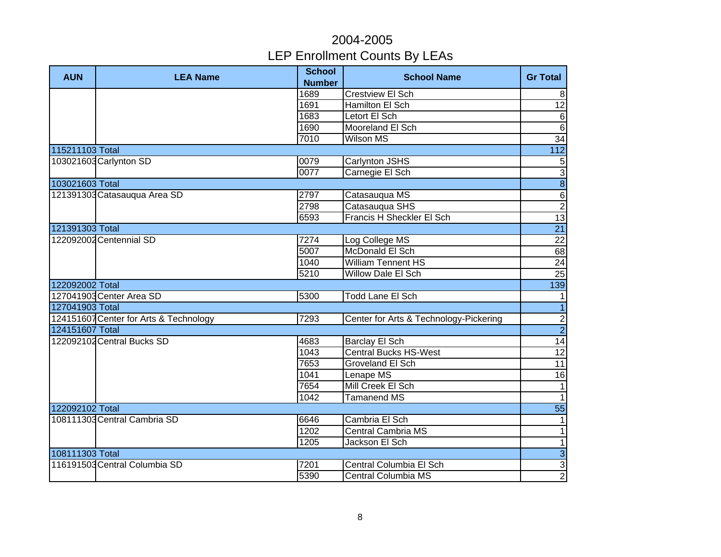| <b>AUN</b>      | <b>LEA Name</b>                        | <b>School</b><br><b>Number</b> | <b>School Name</b>                     | <b>Gr Total</b>         |
|-----------------|----------------------------------------|--------------------------------|----------------------------------------|-------------------------|
|                 |                                        | 1689                           | <b>Crestview El Sch</b>                | 8                       |
|                 |                                        | 1691                           | Hamilton El Sch                        | 12                      |
|                 |                                        | 1683                           | Letort El Sch                          | $\overline{6}$          |
|                 |                                        | 1690                           | Mooreland El Sch                       | $\overline{6}$          |
|                 |                                        | 7010                           | <b>Wilson MS</b>                       | $\overline{34}$         |
| 115211103 Total |                                        |                                |                                        | $\overline{112}$        |
|                 | 103021603 Carlynton SD                 | 0079                           | Carlynton JSHS                         | $\sqrt{5}$              |
|                 |                                        | 0077                           | Carnegie El Sch                        | $\overline{3}$          |
| 103021603 Total |                                        |                                |                                        | $\overline{\mathbf{8}}$ |
|                 | 121391303 Catasauqua Area SD           | 2797                           | Catasauqua MS                          | $\overline{6}$          |
|                 |                                        | 2798                           | Catasauqua SHS                         | $\overline{2}$          |
|                 |                                        | 6593                           | Francis H Sheckler El Sch              | 13                      |
| 121391303 Total |                                        |                                |                                        | $\overline{21}$         |
|                 | 122092002 Centennial SD                | 7274                           | Log College MS                         | $\overline{22}$         |
|                 |                                        | 5007                           | McDonald El Sch                        | 68                      |
|                 |                                        | 1040                           | <b>William Tennent HS</b>              | $\overline{24}$         |
|                 |                                        | 5210                           | Willow Dale El Sch                     | 25                      |
| 122092002 Total |                                        |                                |                                        | 139                     |
|                 | 127041903 Center Area SD               | 5300                           | Todd Lane El Sch                       | 1                       |
| 127041903 Total |                                        |                                |                                        | $\overline{1}$          |
|                 | 124151607 Center for Arts & Technology | 7293                           | Center for Arts & Technology-Pickering |                         |
| 124151607 Total |                                        |                                |                                        | $\frac{2}{2}$           |
|                 | 122092102 Central Bucks SD             | 4683                           | Barclay El Sch                         | 14                      |
|                 |                                        | 1043                           | <b>Central Bucks HS-West</b>           | 12                      |
|                 |                                        | 7653                           | Groveland El Sch                       | 11                      |
|                 |                                        | 1041                           | Lenape MS                              | 16                      |
|                 |                                        | 7654                           | Mill Creek El Sch                      | $\overline{1}$          |
|                 |                                        | 1042                           | <b>Tamanend MS</b>                     | $\overline{1}$          |
| 122092102 Total |                                        |                                |                                        | 55                      |
|                 | 108111303 Central Cambria SD           | 6646                           | Cambria El Sch                         | 1                       |
|                 |                                        | 1202                           | <b>Central Cambria MS</b>              | $\overline{1}$          |
|                 |                                        | 1205                           | Jackson El Sch                         | 1                       |
| 108111303 Total |                                        |                                |                                        | $\overline{3}$          |
|                 | 116191503 Central Columbia SD          | 7201                           | Central Columbia El Sch                | $\mathbf{3}$            |
|                 |                                        | 5390                           | Central Columbia MS                    | $\overline{2}$          |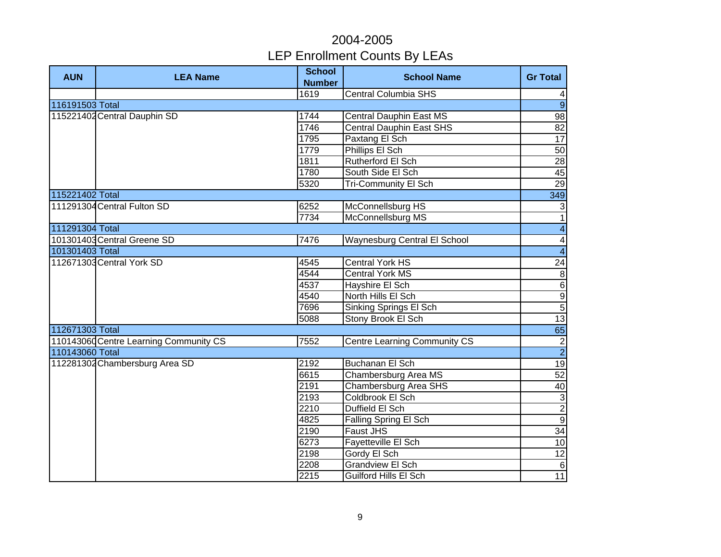| <b>AUN</b>      | <b>LEA Name</b>                        | <b>School</b><br><b>Number</b> | <b>School Name</b>                  | <b>Gr Total</b>          |
|-----------------|----------------------------------------|--------------------------------|-------------------------------------|--------------------------|
|                 |                                        | 1619                           | <b>Central Columbia SHS</b>         | 4                        |
| 116191503 Total |                                        |                                |                                     | $\overline{9}$           |
|                 | 115221402 Central Dauphin SD           | 1744                           | <b>Central Dauphin East MS</b>      | $\overline{98}$          |
|                 |                                        | 1746                           | <b>Central Dauphin East SHS</b>     | 82                       |
|                 |                                        | 1795                           | Paxtang El Sch                      | 17                       |
|                 |                                        | 1779                           | Phillips El Sch                     | 50                       |
|                 |                                        | 1811                           | Rutherford El Sch                   | 28                       |
|                 |                                        | 1780                           | South Side El Sch                   | 45                       |
|                 |                                        | 5320                           | <b>Tri-Community El Sch</b>         | 29                       |
| 115221402 Total |                                        |                                |                                     | 349                      |
|                 | 111291304 Central Fulton SD            | 6252                           | McConnellsburg HS                   | $\mathbf{3}$             |
|                 |                                        | 7734                           | McConnellsburg MS                   | $\overline{\phantom{a}}$ |
| 111291304 Total |                                        |                                |                                     | $\overline{4}$           |
|                 | 101301403 Central Greene SD            | 7476                           | <b>Waynesburg Central El School</b> |                          |
| 101301403 Total |                                        |                                |                                     | $\frac{4}{4}$            |
|                 | 112671303 Central York SD              | 4545                           | <b>Central York HS</b>              | 24                       |
|                 |                                        | 4544                           | <b>Central York MS</b>              | $\infty$                 |
|                 |                                        | 4537                           | Hayshire El Sch                     | $6\overline{6}$          |
|                 |                                        | 4540                           | North Hills El Sch                  | $\frac{9}{5}$            |
|                 |                                        | 7696                           | Sinking Springs El Sch              |                          |
|                 |                                        | 5088                           | Stony Brook El Sch                  | 13                       |
| 112671303 Total |                                        |                                |                                     | 65                       |
|                 | 110143060 Centre Learning Community CS | 7552                           | <b>Centre Learning Community CS</b> | $\overline{2}$           |
| 110143060 Total |                                        |                                |                                     | $\overline{2}$           |
|                 | 112281302 Chambersburg Area SD         | 2192                           | <b>Buchanan El Sch</b>              | 19                       |
|                 |                                        | 6615                           | Chambersburg Area MS                | 52                       |
|                 |                                        | 2191                           | Chambersburg Area SHS               | 40                       |
|                 |                                        | 2193                           | Coldbrook El Sch                    | دن                       |
|                 |                                        | 2210                           | Duffield El Sch                     | $\overline{2}$           |
|                 |                                        | 4825                           | Falling Spring El Sch               | $\overline{9}$           |
|                 |                                        | 2190                           | Faust JHS                           | 34                       |
|                 |                                        | 6273                           | Fayetteville El Sch                 | 10                       |
|                 |                                        | 2198                           | Gordy El Sch                        | 12                       |
|                 |                                        | 2208                           | <b>Grandview El Sch</b>             | $\,6$                    |
|                 |                                        | 2215                           | <b>Guilford Hills El Sch</b>        | 11                       |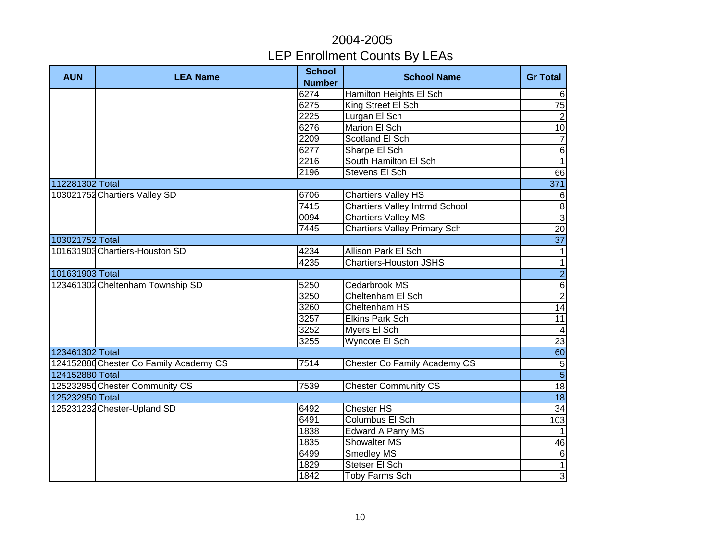| <b>AUN</b>      | <b>LEA Name</b>                        | <b>School</b><br><b>Number</b> | <b>School Name</b>                    | <b>Gr Total</b> |
|-----------------|----------------------------------------|--------------------------------|---------------------------------------|-----------------|
|                 |                                        | 6274                           | Hamilton Heights El Sch               | $6\phantom{1}$  |
|                 |                                        | 6275                           | King Street El Sch                    | 75              |
|                 |                                        | 2225                           | Lurgan El Sch                         | $\overline{2}$  |
|                 |                                        | 6276                           | Marion El Sch                         | 10              |
|                 |                                        | 2209                           | Scotland El Sch                       | $\overline{7}$  |
|                 |                                        | 6277                           | Sharpe El Sch                         | $\overline{6}$  |
|                 |                                        | $\overline{2216}$              | South Hamilton El Sch                 | $\overline{1}$  |
|                 |                                        | 2196                           | Stevens El Sch                        | 66              |
| 112281302 Total |                                        |                                |                                       | 371             |
|                 | 103021752 Chartiers Valley SD          | 6706                           | <b>Chartiers Valley HS</b>            | 6               |
|                 |                                        | 7415                           | <b>Chartiers Valley Intrmd School</b> | $\infty$        |
|                 |                                        | 0094                           | <b>Chartiers Valley MS</b>            | $\overline{3}$  |
|                 |                                        | 7445                           | <b>Chartiers Valley Primary Sch</b>   | 20              |
| 103021752 Total |                                        |                                |                                       | $\overline{37}$ |
|                 | 101631903 Chartiers-Houston SD         | 4234                           | <b>Allison Park El Sch</b>            | $\mathbf{1}$    |
|                 |                                        | 4235                           | <b>Chartiers-Houston JSHS</b>         | $\mathbf{1}$    |
| 101631903 Total |                                        |                                |                                       | $\overline{2}$  |
|                 | 123461302 Cheltenham Township SD       | 5250                           | Cedarbrook MS                         | $\overline{6}$  |
|                 |                                        | 3250                           | Cheltenham El Sch                     | $\overline{2}$  |
|                 |                                        | 3260                           | Cheltenham HS                         | 14              |
|                 |                                        | 3257                           | <b>Elkins Park Sch</b>                | $\overline{11}$ |
|                 |                                        | 3252                           | Myers El Sch                          | $\overline{4}$  |
|                 |                                        | 3255                           | Wyncote El Sch                        | 23              |
| 123461302 Total |                                        |                                |                                       | $\overline{60}$ |
|                 | 124152880 Chester Co Family Academy CS | 7514                           | Chester Co Family Academy CS          | $\overline{5}$  |
| 124152880 Total |                                        |                                |                                       | $\overline{5}$  |
|                 | 125232950 Chester Community CS         | 7539                           | <b>Chester Community CS</b>           | 18              |
| 125232950 Total |                                        |                                |                                       | $\overline{18}$ |
|                 | 125231232 Chester-Upland SD            | 6492                           | <b>Chester HS</b>                     | 34              |
|                 |                                        | 6491                           | Columbus El Sch                       | 103             |
|                 |                                        | 1838                           | Edward A Parry MS                     | $\mathbf{1}$    |
|                 |                                        | 1835                           | Showalter MS                          | 46              |
|                 |                                        | 6499                           | Smedley MS                            | $\,6$           |
|                 |                                        | 1829                           | Stetser El Sch                        | $\mathbf{1}$    |
|                 |                                        | 1842                           | Toby Farms Sch                        | $\overline{3}$  |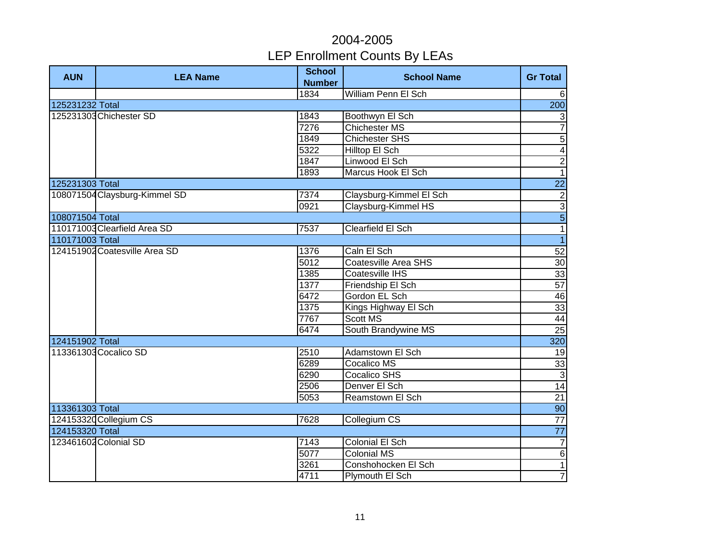| <b>AUN</b>      | <b>LEA Name</b>               | <b>School</b><br><b>Number</b> | <b>School Name</b>         | <b>Gr Total</b>          |
|-----------------|-------------------------------|--------------------------------|----------------------------|--------------------------|
|                 |                               | 1834                           | <b>William Penn El Sch</b> | 6                        |
| 125231232 Total |                               |                                |                            | 200                      |
|                 | 125231303 Chichester SD       | 1843                           | Boothwyn El Sch            | $\mathbf{3}$             |
|                 |                               | 7276                           | <b>Chichester MS</b>       | $\overline{7}$           |
|                 |                               | 1849                           | <b>Chichester SHS</b>      | $\overline{5}$           |
|                 |                               | 5322                           | <b>Hilltop El Sch</b>      | $\overline{\mathbf{4}}$  |
|                 |                               | 1847                           | Linwood El Sch             | $\overline{2}$           |
|                 |                               | 1893                           | Marcus Hook El Sch         | $\overline{1}$           |
| 125231303 Total |                               |                                |                            | 22                       |
|                 | 108071504 Claysburg-Kimmel SD | 7374                           | Claysburg-Kimmel El Sch    | $\overline{c}$           |
|                 |                               | 0921                           | Claysburg-Kimmel HS        | $\overline{3}$           |
| 108071504 Total |                               |                                |                            | $\overline{5}$           |
|                 | 110171003 Clearfield Area SD  | 7537                           | Clearfield El Sch          | $\overline{\phantom{a}}$ |
| 110171003 Total |                               |                                |                            | $\overline{1}$           |
|                 | 124151902 Coatesville Area SD | 1376                           | Caln El Sch                | 52                       |
|                 |                               | 5012                           | Coatesville Area SHS       | 30                       |
|                 |                               | 1385                           | Coatesville IHS            | 33                       |
|                 |                               | 1377                           | Friendship El Sch          | 57                       |
|                 |                               | 6472                           | Gordon EL Sch              | 46                       |
|                 |                               | 1375                           | Kings Highway El Sch       | 33                       |
|                 |                               | 7767                           | Scott MS                   | 44                       |
|                 |                               | 6474                           | South Brandywine MS        | 25                       |
| 124151902 Total |                               |                                |                            | 320                      |
|                 | 113361303 Cocalico SD         | 2510                           | Adamstown El Sch           | $\overline{19}$          |
|                 |                               | 6289                           | Cocalico MS                | 33                       |
|                 |                               | 6290                           | <b>Cocalico SHS</b>        | $\overline{3}$           |
|                 |                               | 2506                           | Denver El Sch              | 14                       |
|                 |                               | 5053                           | Reamstown El Sch           | 21                       |
| 113361303 Total |                               |                                |                            | 90                       |
|                 | 124153320 Collegium CS        | 7628                           | Collegium CS               | $\overline{77}$          |
| 124153320 Total |                               |                                |                            | 77                       |
|                 | 123461602 Colonial SD         | 7143                           | Colonial El Sch            | $\overline{7}$           |
|                 |                               | 5077                           | <b>Colonial MS</b>         | $\overline{6}$           |
|                 |                               | 3261                           | Conshohocken El Sch        | $\overline{\phantom{a}}$ |
|                 |                               | 4711                           | Plymouth El Sch            | $\overline{7}$           |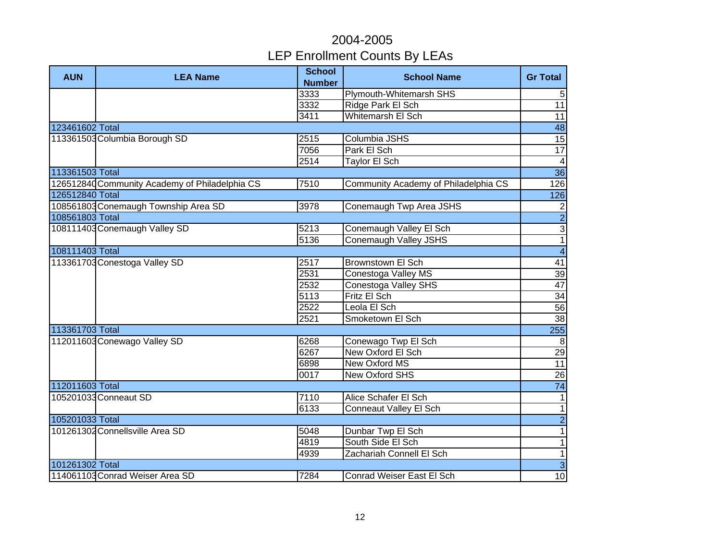| <b>AUN</b>      | <b>LEA Name</b>                                | <b>School</b><br><b>Number</b> | <b>School Name</b>                   | <b>Gr Total</b>         |
|-----------------|------------------------------------------------|--------------------------------|--------------------------------------|-------------------------|
|                 |                                                | 3333                           | Plymouth-Whitemarsh SHS              | $\sqrt{5}$              |
|                 |                                                | 3332                           | Ridge Park El Sch                    | 11                      |
|                 |                                                | 3411                           | <b>Whitemarsh El Sch</b>             | 11                      |
| 123461602 Total |                                                |                                |                                      | $\overline{48}$         |
|                 | 113361503 Columbia Borough SD                  | 2515                           | Columbia JSHS                        | $\overline{15}$         |
|                 |                                                | 7056                           | Park El Sch                          | 17                      |
|                 |                                                | 2514                           | Taylor El Sch                        | $\overline{\mathbf{4}}$ |
| 113361503 Total |                                                |                                |                                      | 36                      |
|                 | 126512840 Community Academy of Philadelphia CS | 7510                           | Community Academy of Philadelphia CS | 126                     |
| 126512840 Total |                                                |                                |                                      | 126                     |
|                 | 108561803 Conemaugh Township Area SD           | 3978                           | Conemaugh Twp Area JSHS              | $\frac{2}{2}$           |
| 108561803 Total |                                                |                                |                                      |                         |
|                 | 108111403 Conemaugh Valley SD                  | 5213                           | Conemaugh Valley El Sch              | $\overline{3}$          |
|                 |                                                | 5136                           | <b>Conemaugh Valley JSHS</b>         | $\overline{1}$          |
| 108111403 Total |                                                |                                |                                      | $\overline{\mathbf{4}}$ |
|                 | 113361703 Conestoga Valley SD                  | 2517                           | <b>Brownstown El Sch</b>             | 41                      |
|                 |                                                | 2531                           | Conestoga Valley MS                  | 39                      |
|                 |                                                | 2532                           | Conestoga Valley SHS                 | 47                      |
|                 |                                                | 5113                           | Fritz El Sch                         | 34                      |
|                 |                                                | 2522                           | Leola El Sch                         | 56                      |
|                 |                                                | 2521                           | Smoketown El Sch                     | 38                      |
| 113361703 Total |                                                |                                |                                      | 255                     |
|                 | 112011603 Conewago Valley SD                   | 6268                           | Conewago Twp El Sch                  | 8                       |
|                 |                                                | 6267                           | New Oxford El Sch                    | $\overline{29}$         |
|                 |                                                | 6898                           | New Oxford MS                        | $\overline{11}$         |
|                 |                                                | 0017                           | <b>New Oxford SHS</b>                | 26                      |
| 112011603 Total |                                                |                                |                                      | 74                      |
|                 | 105201033 Conneaut SD                          | 7110                           | Alice Schafer El Sch                 | 1                       |
|                 |                                                | 6133                           | <b>Conneaut Valley El Sch</b>        | $\overline{1}$          |
| 105201033 Total |                                                |                                |                                      | $\overline{2}$          |
|                 | 101261302 Connellsville Area SD                | 5048                           | Dunbar Twp El Sch                    | 1                       |
|                 |                                                | 4819                           | South Side El Sch                    | 1                       |
|                 |                                                | 4939                           | Zachariah Connell El Sch             | 1                       |
| 101261302 Total |                                                |                                |                                      | $\omega$                |
|                 | 114061103 Conrad Weiser Area SD                | 7284                           | Conrad Weiser East El Sch            | 10                      |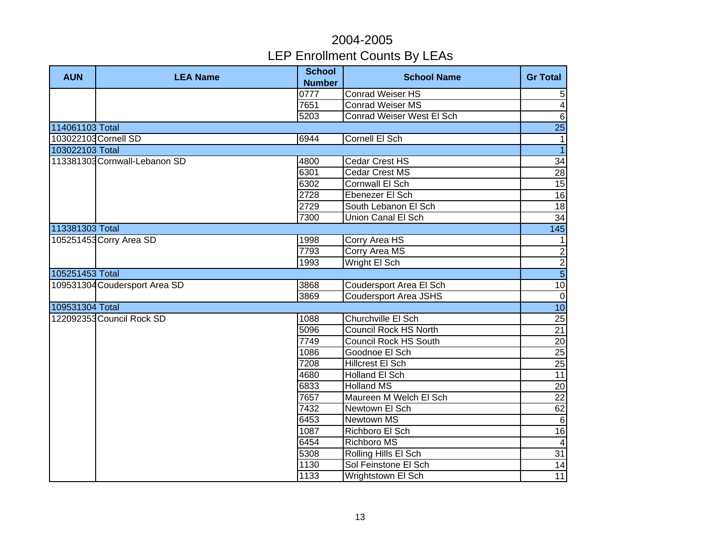| <b>AUN</b>      | <b>LEA Name</b>               | <b>School</b><br><b>Number</b> | <b>School Name</b>           | <b>Gr Total</b>         |
|-----------------|-------------------------------|--------------------------------|------------------------------|-------------------------|
|                 |                               | 0777                           | <b>Conrad Weiser HS</b>      | $\overline{5}$          |
|                 |                               | 7651                           | <b>Conrad Weiser MS</b>      | $\overline{\mathbf{4}}$ |
|                 |                               | 5203                           | Conrad Weiser West El Sch    | $\sigma$                |
| 114061103 Total |                               |                                |                              | $\overline{25}$         |
|                 | 103022103 Cornell SD          | 6944                           | Cornell El Sch               | $\mathbf{1}$            |
| 103022103 Total |                               |                                |                              | $\overline{1}$          |
|                 | 113381303 Cornwall-Lebanon SD | 4800                           | Cedar Crest HS               | 34                      |
|                 |                               | 6301                           | <b>Cedar Crest MS</b>        | 28                      |
|                 |                               | 6302                           | Cornwall El Sch              | 15                      |
|                 |                               | 2728                           | Ebenezer El Sch              | 16                      |
|                 |                               | 2729                           | South Lebanon El Sch         | 18                      |
|                 |                               | 7300                           | Union Canal El Sch           | $\overline{34}$         |
| 113381303 Total |                               |                                |                              | 145                     |
|                 | 105251453 Corry Area SD       | 1998                           | Corry Area HS                | $\mathbf{1}$            |
|                 |                               | 7793                           | <b>Corry Area MS</b>         | $\overline{2}$          |
|                 |                               | 1993                           | Wright El Sch                | $\overline{c}$          |
| 105251453 Total |                               |                                |                              | $\overline{5}$          |
|                 | 109531304 Coudersport Area SD | 3868                           | Coudersport Area El Sch      | 10                      |
|                 |                               | 3869                           | <b>Coudersport Area JSHS</b> | $\mathbf 0$             |
| 109531304 Total |                               |                                |                              | $\overline{10}$         |
|                 | 122092353 Council Rock SD     | 1088                           | Churchville El Sch           | 25                      |
|                 |                               | 5096                           | Council Rock HS North        | 21                      |
|                 |                               | 7749                           | <b>Council Rock HS South</b> | 20                      |
|                 |                               | 1086                           | Goodnoe El Sch               | $\overline{25}$         |
|                 |                               | 7208                           | Hillcrest El Sch             | 25                      |
|                 |                               | 4680                           | <b>Holland El Sch</b>        | $\overline{11}$         |
|                 |                               | 6833                           | <b>Holland MS</b>            | $\overline{20}$         |
|                 |                               | 7657                           | Maureen M Welch El Sch       | $\overline{22}$         |
|                 |                               | 7432                           | Newtown El Sch               | $\overline{62}$         |
|                 |                               | 6453                           | Newtown MS                   | $6\phantom{1}6$         |
|                 |                               | 1087                           | Richboro El Sch              | $\overline{16}$         |
|                 |                               | 6454                           | <b>Richboro MS</b>           | $\overline{4}$          |
|                 |                               | 5308                           | Rolling Hills El Sch         | 31                      |
|                 |                               | 1130                           | Sol Feinstone El Sch         | 14                      |
|                 |                               | 1133                           | Wrightstown El Sch           | 11                      |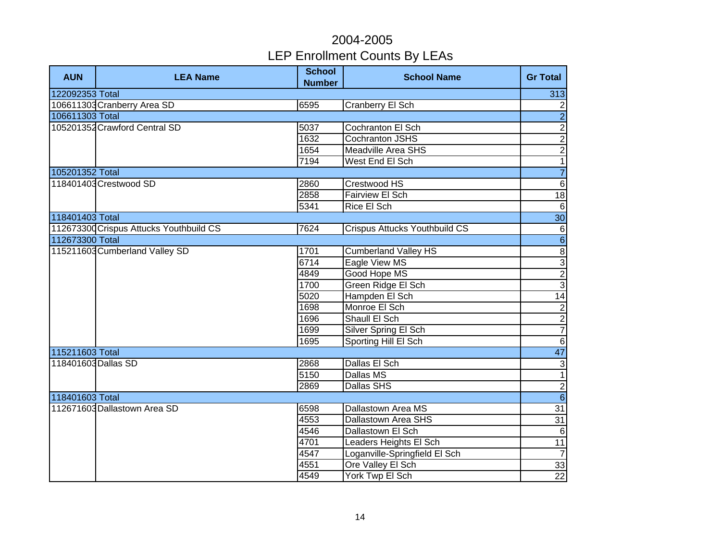| <b>AUN</b>      | <b>LEA Name</b>                         | <b>School</b><br><b>Number</b> | <b>School Name</b>                   | <b>Gr Total</b> |
|-----------------|-----------------------------------------|--------------------------------|--------------------------------------|-----------------|
| 122092353 Total |                                         |                                |                                      | 313             |
|                 | 106611303 Cranberry Area SD             | 6595                           | <b>Cranberry El Sch</b>              | $\overline{c}$  |
| 106611303 Total |                                         |                                |                                      | $\overline{2}$  |
|                 | 105201352 Crawford Central SD           | 5037                           | Cochranton El Sch                    | $\frac{2}{2}$   |
|                 |                                         | 1632                           | <b>Cochranton JSHS</b>               |                 |
|                 |                                         | 1654                           | <b>Meadville Area SHS</b>            |                 |
|                 |                                         | 7194                           | West End El Sch                      | $\overline{1}$  |
| 105201352 Total |                                         |                                |                                      | $\overline{7}$  |
|                 | 118401403 Crestwood SD                  | 2860                           | Crestwood HS                         | $\sigma$        |
|                 |                                         | 2858                           | Fairview El Sch                      | $\frac{1}{8}$   |
|                 |                                         | 5341                           | Rice El Sch                          | $\,6\,$         |
| 118401403 Total |                                         |                                |                                      | 30              |
|                 | 112673300 Crispus Attucks Youthbuild CS | 7624                           | <b>Crispus Attucks Youthbuild CS</b> | $6\phantom{1}6$ |
| 112673300 Total |                                         |                                |                                      | $\overline{6}$  |
|                 | 115211603 Cumberland Valley SD          | 1701                           | Cumberland Valley HS                 | $\infty$        |
|                 |                                         | 6714                           | Eagle View MS                        | $\frac{1}{2}$   |
|                 |                                         | 4849                           | Good Hope MS                         |                 |
|                 |                                         | 1700                           | Green Ridge El Sch                   |                 |
|                 |                                         | 5020                           | Hampden El Sch                       | 14              |
|                 |                                         | 1698                           | Monroe El Sch                        |                 |
|                 |                                         | 1696                           | Shaull El Sch                        | $\frac{2}{7}$   |
|                 |                                         | 1699                           | Silver Spring El Sch                 |                 |
|                 |                                         | 1695                           | Sporting Hill El Sch                 | $\,6\,$         |
| 115211603 Total |                                         |                                |                                      | 47              |
|                 | 118401603 Dallas SD                     | 2868                           | Dallas El Sch                        | $\sqrt{3}$      |
|                 |                                         | 5150                           | Dallas MS                            | $\overline{1}$  |
|                 |                                         | 2869                           | Dallas SHS                           | $\overline{2}$  |
| 118401603 Total |                                         |                                |                                      | $\overline{6}$  |
|                 | 112671603 Dallastown Area SD            | 6598                           | Dallastown Area MS                   | 31              |
|                 |                                         | 4553                           | <b>Dallastown Area SHS</b>           | 31              |
|                 |                                         | 4546                           | Dallastown El Sch                    | $6\phantom{1}6$ |
|                 |                                         | 4701                           | Leaders Heights El Sch               | 11              |
|                 |                                         | 4547                           | Loganville-Springfield El Sch        | $\overline{7}$  |
|                 |                                         | 4551                           | Ore Valley El Sch                    | 33              |
|                 |                                         | 4549                           | York Twp El Sch                      | $\overline{22}$ |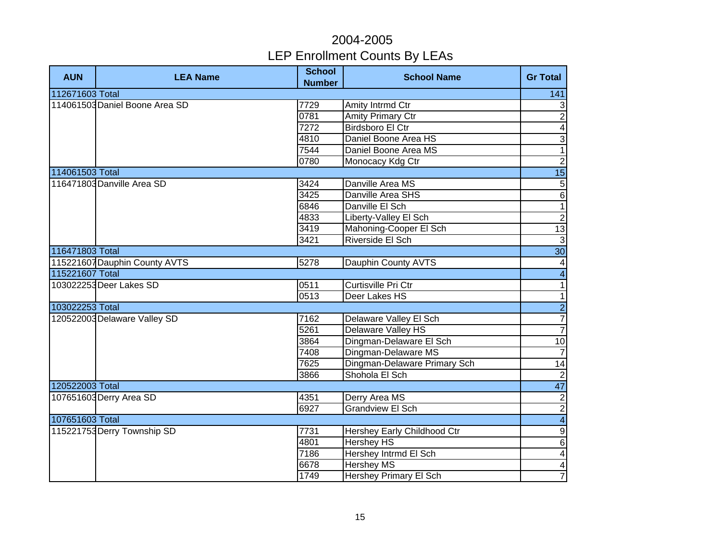| <b>AUN</b>      | <b>LEA Name</b>                | <b>School</b><br><b>Number</b> | <b>School Name</b>           | <b>Gr Total</b>          |
|-----------------|--------------------------------|--------------------------------|------------------------------|--------------------------|
| 112671603 Total |                                |                                |                              | 141                      |
|                 | 114061503 Daniel Boone Area SD | 7729                           | Amity Intrmd Ctr             | $\mathbf{3}$             |
|                 |                                | 0781                           | <b>Amity Primary Ctr</b>     | $\overline{2}$           |
|                 |                                | 7272                           | <b>Birdsboro El Ctr</b>      | $\overline{4}$           |
|                 |                                | 4810                           | Daniel Boone Area HS         | $\overline{3}$           |
|                 |                                | 7544                           | Daniel Boone Area MS         | $\overline{1}$           |
|                 |                                | 0780                           | Monocacy Kdg Ctr             | $\overline{2}$           |
| 114061503 Total |                                |                                |                              | 15                       |
|                 | 116471803 Danville Area SD     | 3424                           | Danville Area MS             | $\overline{5}$           |
|                 |                                | 3425                           | Danville Area SHS            | $\overline{6}$           |
|                 |                                | 6846                           | Danville El Sch              | $\overline{1}$           |
|                 |                                | 4833                           | Liberty-Valley El Sch        |                          |
|                 |                                | 3419                           | Mahoning-Cooper El Sch       | $\frac{2}{13}$           |
|                 |                                | 3421                           | Riverside El Sch             |                          |
| 116471803 Total |                                |                                |                              | $\frac{3}{30}$           |
|                 | 115221607 Dauphin County AVTS  | 5278                           | Dauphin County AVTS          | $\overline{\mathcal{A}}$ |
| 115221607 Total |                                |                                |                              | $\overline{\mathbf{4}}$  |
|                 | 103022253 Deer Lakes SD        | 0511                           | Curtisville Pri Ctr          | $\overline{\phantom{0}}$ |
|                 |                                | 0513                           | Deer Lakes HS                | $\overline{1}$           |
| 103022253 Total |                                |                                |                              | $\overline{2}$           |
|                 | 120522003 Delaware Valley SD   | 7162                           | Delaware Valley El Sch       | $\overline{7}$           |
|                 |                                | 5261                           | Delaware Valley HS           | $\overline{7}$           |
|                 |                                | 3864                           | Dingman-Delaware El Sch      | 10                       |
|                 |                                | 7408                           | Dingman-Delaware MS          | $\overline{7}$           |
|                 |                                | 7625                           | Dingman-Delaware Primary Sch | $\overline{14}$          |
|                 |                                | 3866                           | Shohola El Sch               | $\overline{c}$           |
| 120522003 Total |                                |                                |                              | 47                       |
|                 | 107651603 Derry Area SD        | 4351                           | <b>Derry Area MS</b>         |                          |
|                 |                                | 6927                           | Grandview El Sch             | $\frac{2}{2}$            |
| 107651603 Total |                                |                                |                              | $\overline{\mathbf{4}}$  |
|                 | 115221753 Derry Township SD    | 7731                           | Hershey Early Childhood Ctr  | $\boldsymbol{9}$         |
|                 |                                | 4801                           | <b>Hershey HS</b>            | $\sigma$                 |
|                 |                                | 7186                           | Hershey Intrmd El Sch        | $\vert 4 \vert$          |
|                 |                                | 6678                           | <b>Hershey MS</b>            | $\blacktriangle$         |
|                 |                                | 1749                           | Hershey Primary El Sch       | $\overline{7}$           |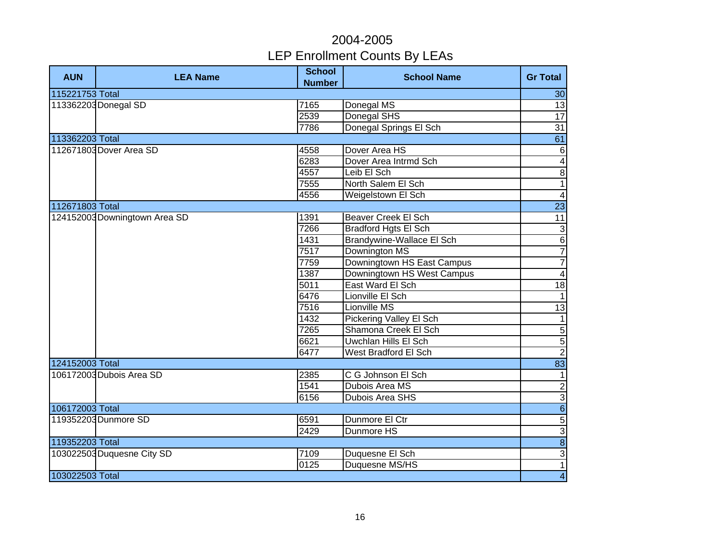| <b>AUN</b>      | <b>LEA Name</b>               | <b>School</b><br><b>Number</b> | <b>School Name</b>          | <b>Gr Total</b>         |
|-----------------|-------------------------------|--------------------------------|-----------------------------|-------------------------|
| 115221753 Total |                               |                                |                             | 30                      |
|                 | 113362203 Donegal SD          | 7165                           | Donegal MS                  | 13                      |
|                 |                               | 2539                           | Donegal SHS                 | 17                      |
|                 |                               | 7786                           | Donegal Springs El Sch      | $\overline{31}$         |
| 113362203 Total |                               |                                |                             | 61                      |
|                 | 112671803 Dover Area SD       | 4558                           | Dover Area HS               | $\,6$                   |
|                 |                               | 6283                           | Dover Area Intrmd Sch       | $\blacktriangle$        |
|                 |                               | 4557                           | Leib El Sch                 | $\overline{8}$          |
|                 |                               | 7555                           | North Salem El Sch          | $\mathbf{1}$            |
|                 |                               | 4556                           | Weigelstown El Sch          | $\overline{4}$          |
| 112671803 Total |                               |                                |                             | $\overline{23}$         |
|                 | 124152003 Downingtown Area SD | 1391                           | Beaver Creek El Sch         | $\overline{11}$         |
|                 |                               | 7266                           | <b>Bradford Hgts El Sch</b> | $\frac{3}{6}$           |
|                 |                               | 1431                           | Brandywine-Wallace El Sch   |                         |
|                 |                               | 7517                           | Downington MS               | $\overline{7}$          |
|                 |                               | 7759                           | Downingtown HS East Campus  | $\overline{7}$          |
|                 |                               | 1387                           | Downingtown HS West Campus  | $\blacktriangle$        |
|                 |                               | 5011                           | East Ward El Sch            | 18                      |
|                 |                               | 6476                           | Lionville El Sch            | 1                       |
|                 |                               | 7516                           | Lionville MS                | 13                      |
|                 |                               | 1432                           | Pickering Valley El Sch     | $\mathbf{1}$            |
|                 |                               | 7265                           | Shamona Creek El Sch        | <b>ง</b> (ภ             |
|                 |                               | 6621                           | <b>Uwchlan Hills El Sch</b> |                         |
|                 |                               | 6477                           | West Bradford El Sch        |                         |
| 124152003 Total |                               |                                |                             | 83                      |
|                 | 106172003 Dubois Area SD      | 2385                           | C G Johnson El Sch          | $\overline{1}$          |
|                 |                               | 1541                           | Dubois Area MS              |                         |
|                 |                               | 6156                           | <b>Dubois Area SHS</b>      | $\frac{2}{6}$           |
| 106172003 Total |                               |                                |                             |                         |
|                 | 119352203 Dunmore SD          | 6591                           | Dunmore El Ctr              | $\overline{5}$          |
|                 |                               | 2429                           | Dunmore HS                  | $\overline{3}$          |
| 119352203 Total |                               |                                |                             | $\infty$                |
|                 | 103022503 Duquesne City SD    | 7109                           | Duquesne El Sch             | $\mathsf 3$             |
|                 |                               | 0125                           | Duquesne MS/HS              | $\overline{1}$          |
| 103022503 Total |                               |                                |                             | $\overline{\mathbf{4}}$ |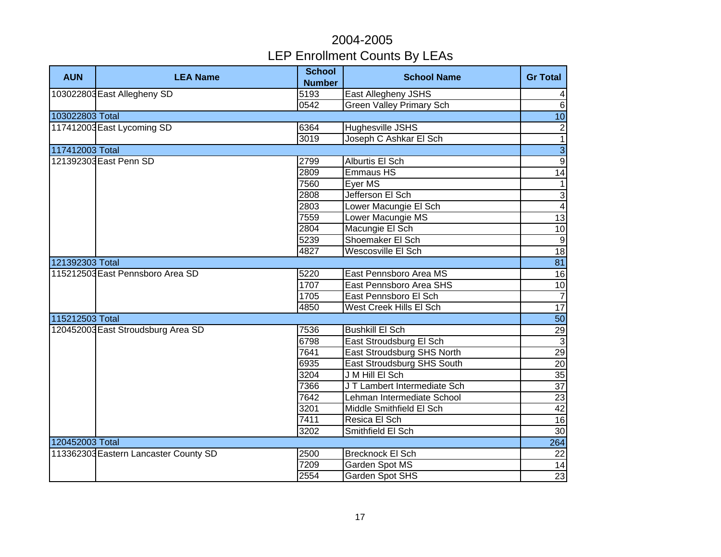| <b>AUN</b>      | <b>LEA Name</b>                       | <b>School</b><br><b>Number</b> | <b>School Name</b>              | <b>Gr Total</b> |
|-----------------|---------------------------------------|--------------------------------|---------------------------------|-----------------|
|                 | 103022803 East Allegheny SD           | 5193                           | East Allegheny JSHS             | $\overline{4}$  |
|                 |                                       | 0542                           | <b>Green Valley Primary Sch</b> | $\overline{6}$  |
| 103022803 Total |                                       |                                |                                 | 10              |
|                 | 117412003 East Lycoming SD            | 6364                           | <b>Hughesville JSHS</b>         | $\overline{2}$  |
|                 |                                       | 3019                           | Joseph C Ashkar El Sch          | $\overline{1}$  |
| 117412003 Total |                                       |                                |                                 | $\overline{3}$  |
|                 | 121392303 East Penn SD                | 2799                           | Alburtis El Sch                 | $\overline{9}$  |
|                 |                                       | 2809                           | <b>Emmaus HS</b>                | $\overline{14}$ |
|                 |                                       | 7560                           | Eyer MS                         | $\mathbf{1}$    |
|                 |                                       | 2808                           | Jefferson El Sch                | $\overline{3}$  |
|                 |                                       | 2803                           | Lower Macungie El Sch           | $\overline{4}$  |
|                 |                                       | 7559                           | Lower Macungie MS               | 13              |
|                 |                                       | 2804                           | Macungie El Sch                 | 10              |
|                 |                                       | 5239                           | Shoemaker El Sch                | $\overline{9}$  |
|                 |                                       | 4827                           | Wescosville El Sch              | 18              |
| 121392303 Total |                                       |                                |                                 | 81              |
|                 | 115212503 East Pennsboro Area SD      | 5220                           | East Pennsboro Area MS          | 16              |
|                 |                                       | 1707                           | East Pennsboro Area SHS         | $\overline{10}$ |
|                 |                                       | 1705                           | East Pennsboro El Sch           | $\overline{7}$  |
|                 |                                       | 4850                           | West Creek Hills El Sch         | 17              |
| 115212503 Total |                                       |                                |                                 | 50              |
|                 | 120452003 East Stroudsburg Area SD    | 7536                           | <b>Bushkill El Sch</b>          | 29              |
|                 |                                       | 6798                           | East Stroudsburg El Sch         | $\overline{3}$  |
|                 |                                       | 7641                           | East Stroudsburg SHS North      | 29              |
|                 |                                       | 6935                           | East Stroudsburg SHS South      | 20              |
|                 |                                       | 3204                           | J M Hill El Sch                 | 35              |
|                 |                                       | 7366                           | J T Lambert Intermediate Sch    | $\overline{37}$ |
|                 |                                       | 7642                           | Lehman Intermediate School      | 23              |
|                 |                                       | 3201                           | Middle Smithfield El Sch        | 42              |
|                 |                                       | 7411                           | Resica El Sch                   | $\overline{16}$ |
|                 |                                       | 3202                           | Smithfield El Sch               | 30              |
| 120452003 Total |                                       |                                |                                 | 264             |
|                 | 113362303 Eastern Lancaster County SD | 2500                           | <b>Brecknock El Sch</b>         | 22              |
|                 |                                       | 7209                           | Garden Spot MS                  | 14              |
|                 |                                       | 2554                           | Garden Spot SHS                 | 23              |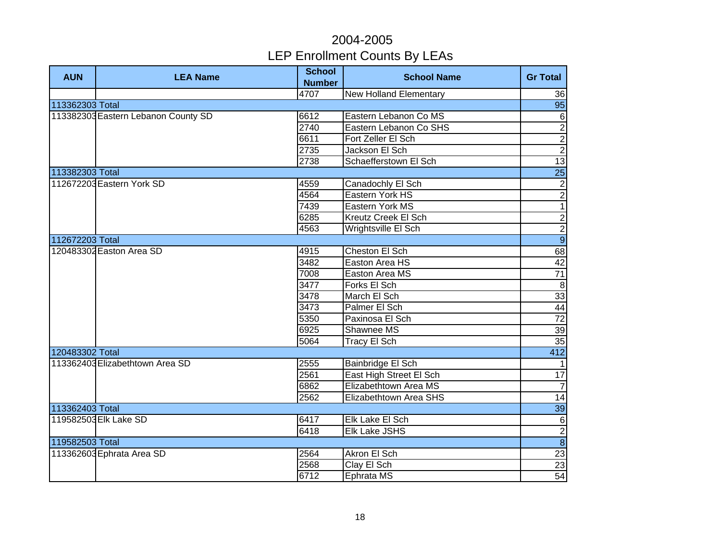| <b>AUN</b>      | <b>LEA Name</b>                     | <b>School</b><br><b>Number</b> | <b>School Name</b>            | <b>Gr Total</b> |
|-----------------|-------------------------------------|--------------------------------|-------------------------------|-----------------|
|                 |                                     | 4707                           | <b>New Holland Elementary</b> | 36              |
| 113362303 Total |                                     |                                |                               | 95              |
|                 | 113382303 Eastern Lebanon County SD | 6612                           | Eastern Lebanon Co MS         | $\,6$           |
|                 |                                     | 2740                           | Eastern Lebanon Co SHS        | $\overline{2}$  |
|                 |                                     | 6611                           | Fort Zeller El Sch            | $\overline{2}$  |
|                 |                                     | 2735                           | Jackson El Sch                | $\overline{2}$  |
|                 |                                     | 2738                           | Schaefferstown El Sch         | $\overline{13}$ |
| 113382303 Total |                                     |                                |                               | $\overline{25}$ |
|                 | 112672203 Eastern York SD           | 4559                           | Canadochly El Sch             | $\overline{c}$  |
|                 |                                     | 4564                           | Eastern York HS               | $\overline{2}$  |
|                 |                                     | 7439                           | Eastern York MS               | $\overline{1}$  |
|                 |                                     | 6285                           | Kreutz Creek El Sch           |                 |
|                 |                                     | 4563                           | Wrightsville El Sch           | $\frac{2}{9}$   |
| 112672203 Total |                                     |                                |                               |                 |
|                 | 120483302 Easton Area SD            | 4915                           | Cheston El Sch                | 68              |
|                 |                                     | 3482                           | Easton Area HS                | 42              |
|                 | 7008                                | Easton Area MS                 | $\overline{71}$               |                 |
|                 |                                     | 3477                           | Forks El Sch                  | $\overline{8}$  |
|                 |                                     | 3478                           | March El Sch                  | 33              |
|                 |                                     | 3473                           | Palmer El Sch                 | 44              |
|                 |                                     | 5350                           | Paxinosa El Sch               | $\overline{72}$ |
|                 |                                     | 6925                           | Shawnee MS                    | 39              |
|                 |                                     | 5064                           | Tracy El Sch                  | 35              |
| 120483302 Total |                                     |                                |                               | 412             |
|                 | 113362403 Elizabethtown Area SD     | 2555                           | Bainbridge El Sch             | $\mathbf{1}$    |
|                 |                                     | 2561                           | East High Street El Sch       | $\overline{17}$ |
|                 |                                     | 6862                           | Elizabethtown Area MS         | $\overline{7}$  |
|                 |                                     | 2562                           | Elizabethtown Area SHS        | 14              |
| 113362403 Total |                                     |                                |                               | 39              |
|                 | 119582503 Elk Lake SD               | 6417                           | Elk Lake El Sch               | $6\phantom{1}6$ |
|                 |                                     | 6418                           | Elk Lake JSHS                 | $\overline{2}$  |
| 119582503 Total |                                     |                                |                               | $\infty$        |
|                 | 113362603 Ephrata Area SD           | 2564                           | Akron El Sch                  | 23              |
|                 |                                     | 2568                           | Clay El Sch                   | 23              |
|                 |                                     | 6712                           | Ephrata MS                    | 54              |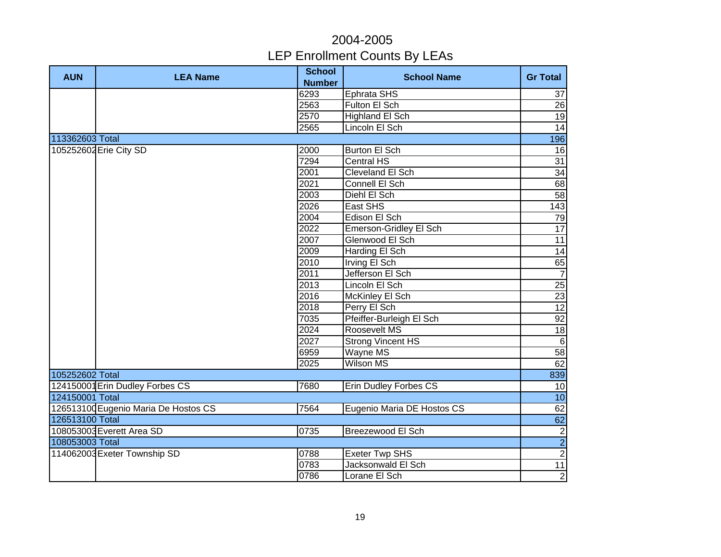| <b>AUN</b>      | <b>LEA Name</b>                      | <b>School</b> | <b>School Name</b>           | <b>Gr Total</b> |
|-----------------|--------------------------------------|---------------|------------------------------|-----------------|
|                 |                                      | <b>Number</b> |                              |                 |
|                 |                                      | 6293          | Ephrata SHS                  | 37              |
|                 |                                      | 2563          | Fulton El Sch                | 26              |
|                 |                                      | 2570          | <b>Highland El Sch</b>       | $\overline{19}$ |
|                 |                                      | 2565          | Lincoln El Sch               | $\overline{14}$ |
| 113362603 Total |                                      |               |                              | 196             |
|                 | 105252602 Erie City SD               | 2000          | <b>Burton El Sch</b>         | 16              |
|                 |                                      | 7294          | <b>Central HS</b>            | 31              |
|                 |                                      | 2001          | Cleveland El Sch             | $\overline{34}$ |
|                 |                                      | 2021          | Connell El Sch               | 68              |
|                 |                                      | 2003          | Diehl El Sch                 | 58              |
|                 |                                      | 2026          | East SHS                     | 143             |
|                 |                                      | 2004          | Edison El Sch                | 79              |
|                 |                                      | 2022          | Emerson-Gridley El Sch       | $\overline{17}$ |
|                 |                                      | 2007          | Glenwood El Sch              | $\overline{11}$ |
|                 |                                      | 2009          | Harding El Sch               | 14              |
|                 |                                      | 2010          | Irving El Sch                | $\frac{65}{7}$  |
|                 |                                      | 2011          | Jefferson El Sch             |                 |
|                 |                                      | 2013          | Lincoln El Sch               | 25              |
|                 |                                      | 2016          | McKinley El Sch              | 23              |
|                 |                                      | 2018          | Perry El Sch                 | $\overline{12}$ |
|                 |                                      | 7035          | Pfeiffer-Burleigh El Sch     | 92              |
|                 |                                      | 2024          | Roosevelt MS                 | 18              |
|                 |                                      | 2027          | <b>Strong Vincent HS</b>     | $\Theta$        |
|                 |                                      | 6959          | Wayne MS                     | 58              |
|                 |                                      | 2025          | <b>Wilson MS</b>             | 62              |
| 105252602 Total |                                      |               |                              | 839             |
|                 | 124150001 Erin Dudley Forbes CS      | 7680          | <b>Erin Dudley Forbes CS</b> | 10              |
| 124150001 Total |                                      |               |                              | 10              |
|                 | 126513100 Eugenio Maria De Hostos CS | 7564          | Eugenio Maria DE Hostos CS   | 62              |
| 126513100 Total |                                      |               |                              | 62              |
|                 | 108053003 Everett Area SD            | 0735          | Breezewood El Sch            |                 |
| 108053003 Total |                                      |               |                              | $\frac{2}{2}$   |
|                 | 114062003 Exeter Township SD         | 0788          | <b>Exeter Twp SHS</b>        |                 |
|                 |                                      | 0783          | Jacksonwald El Sch           | 11              |
|                 |                                      | 0786          | Lorane El Sch                | $\mathbf{2}$    |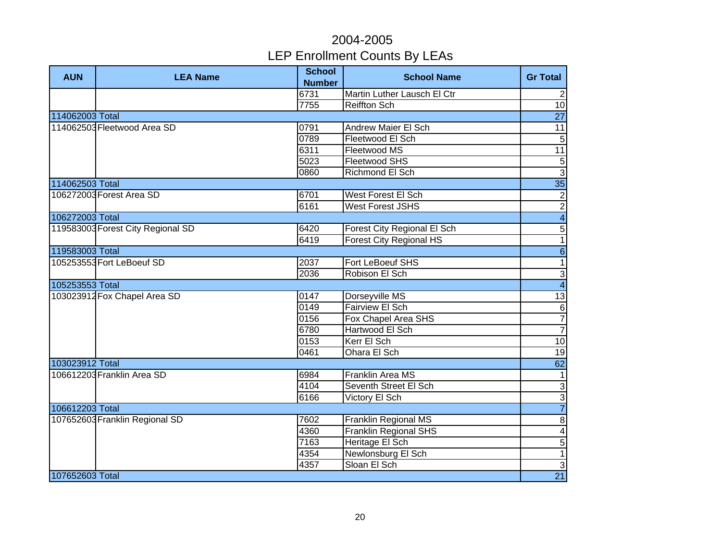| <b>AUN</b>      | <b>LEA Name</b>                   | <b>School</b><br><b>Number</b> | <b>School Name</b>             | <b>Gr Total</b>         |
|-----------------|-----------------------------------|--------------------------------|--------------------------------|-------------------------|
|                 |                                   | 6731                           | Martin Luther Lausch El Ctr    | $\overline{2}$          |
|                 |                                   | 7755                           | <b>Reiffton Sch</b>            | 10                      |
| 114062003 Total |                                   |                                |                                | $\overline{27}$         |
|                 | 114062503 Fleetwood Area SD       | 0791                           | <b>Andrew Maier El Sch</b>     | $\overline{11}$         |
|                 |                                   | 0789                           | Fleetwood El Sch               | $\overline{5}$          |
|                 |                                   | 6311                           | Fleetwood MS                   | $\overline{11}$         |
|                 |                                   | 5023                           | Fleetwood SHS                  | $\overline{5}$          |
|                 |                                   | 0860                           | Richmond El Sch                | $\overline{3}$          |
| 114062503 Total |                                   |                                |                                | $\overline{35}$         |
|                 | 106272003 Forest Area SD          | 6701                           | West Forest El Sch             |                         |
|                 |                                   | 6161                           | <b>West Forest JSHS</b>        | $\frac{2}{2}$           |
| 106272003 Total |                                   |                                |                                | $\overline{4}$          |
|                 | 119583003 Forest City Regional SD | 6420                           | Forest City Regional El Sch    | $\overline{5}$          |
|                 |                                   | 6419                           | <b>Forest City Regional HS</b> | $\overline{1}$          |
| 119583003 Total |                                   |                                |                                | $\overline{6}$          |
|                 | 105253553 Fort LeBoeuf SD         | 2037                           | Fort LeBoeuf SHS               | $\overline{1}$          |
|                 |                                   | 2036                           | Robison El Sch                 | $\overline{3}$          |
| 105253553 Total |                                   |                                |                                | $\overline{4}$          |
|                 | 103023912 Fox Chapel Area SD      | 0147                           | Dorseyville MS                 | 13                      |
|                 |                                   | 0149                           | <b>Fairview El Sch</b>         | $\overline{6}$          |
|                 |                                   | 0156                           | Fox Chapel Area SHS            | $\overline{7}$          |
|                 |                                   | 6780                           | Hartwood El Sch                | $\overline{7}$          |
|                 |                                   | 0153                           | Kerr El Sch                    | 10                      |
|                 |                                   | 0461                           | <b>Ohara El Sch</b>            | $\overline{19}$         |
| 103023912 Total |                                   |                                |                                | 62                      |
|                 | 106612203 Franklin Area SD        | 6984                           | <b>Franklin Area MS</b>        | $\mathbf{1}$            |
|                 |                                   | 4104                           | Seventh Street El Sch          | $\overline{3}$          |
|                 |                                   | 6166                           | <b>Victory El Sch</b>          | $\frac{3}{7}$           |
| 106612203 Total |                                   |                                |                                |                         |
|                 | 107652603 Franklin Regional SD    | 7602                           | <b>Franklin Regional MS</b>    | $\overline{8}$          |
|                 |                                   | 4360                           | <b>Franklin Regional SHS</b>   | $\overline{\mathbf{4}}$ |
|                 |                                   | 7163                           | Heritage El Sch                | $\overline{5}$          |
|                 |                                   | 4354                           | Newlonsburg El Sch             | $\mathbf{1}$            |
|                 |                                   | 4357                           | Sloan El Sch                   | $\overline{3}$          |
| 107652603 Total |                                   |                                |                                | 21                      |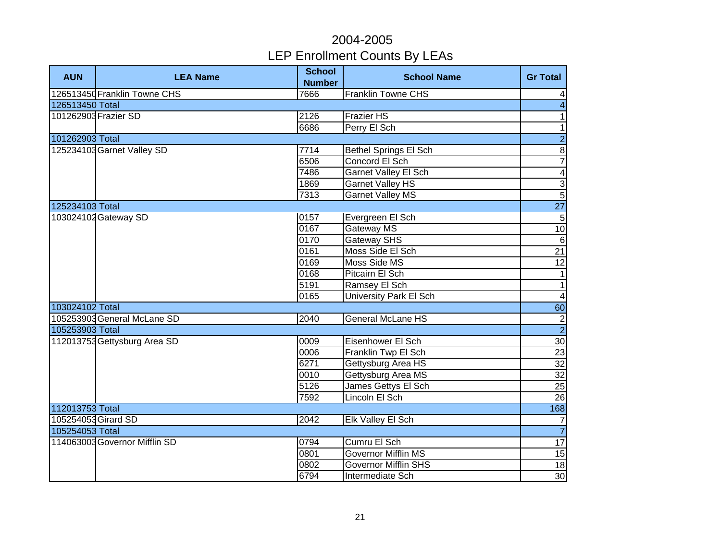| <b>AUN</b>          | <b>LEA Name</b>               | <b>School</b><br><b>Number</b> | <b>School Name</b>           | <b>Gr Total</b>          |
|---------------------|-------------------------------|--------------------------------|------------------------------|--------------------------|
|                     | 126513450 Franklin Towne CHS  | 7666                           | <b>Franklin Towne CHS</b>    | $\overline{4}$           |
| 126513450 Total     |                               |                                |                              | $\overline{\mathbf{A}}$  |
|                     | 101262903 Frazier SD          | 2126                           | <b>Frazier HS</b>            | $\overline{1}$           |
|                     |                               | 6686                           | Perry El Sch                 | $\overline{1}$           |
| 101262903 Total     |                               |                                |                              | $\overline{2}$           |
|                     | 125234103 Garnet Valley SD    | 7714                           | <b>Bethel Springs El Sch</b> | $\overline{8}$           |
|                     |                               | 6506                           | Concord El Sch               | $\overline{7}$           |
|                     |                               | 7486                           | <b>Garnet Valley El Sch</b>  | $\overline{\mathbf{4}}$  |
|                     |                               | 1869                           | <b>Garnet Valley HS</b>      | $\overline{3}$           |
|                     |                               | 7313                           | <b>Garnet Valley MS</b>      | $\overline{5}$           |
| 125234103 Total     |                               |                                |                              | 27                       |
|                     | 103024102 Gateway SD          | 0157                           | Evergreen El Sch             | $\sqrt{5}$               |
|                     |                               | 0167                           | Gateway MS                   | 10                       |
|                     |                               | 0170                           | <b>Gateway SHS</b>           | $\sigma$                 |
|                     |                               | 0161                           | Moss Side El Sch             | $\overline{21}$          |
|                     |                               | 0169                           | Moss Side MS                 | 12                       |
|                     |                               | 0168                           | Pitcairn El Sch              | $\overline{\phantom{a}}$ |
|                     |                               | 5191                           | Ramsey El Sch                | $\overline{1}$           |
|                     |                               | 0165                           | University Park El Sch       | $\overline{4}$           |
| 103024102 Total     |                               |                                |                              | $\overline{60}$          |
|                     | 105253903 General McLane SD   | 2040                           | <b>General McLane HS</b>     |                          |
| 105253903 Total     |                               |                                |                              | $\frac{1}{2}$            |
|                     | 112013753 Gettysburg Area SD  | 0009                           | Eisenhower El Sch            | $\overline{30}$          |
|                     |                               | 0006                           | Franklin Twp El Sch          | 23                       |
|                     |                               | 6271                           | Gettysburg Area HS           | $\overline{32}$          |
|                     |                               | 0010                           | Gettysburg Area MS           | $\overline{32}$          |
|                     |                               | 5126                           | James Gettys El Sch          | $\overline{25}$          |
|                     |                               | 7592                           | Lincoln El Sch               | 26                       |
| 112013753 Total     |                               |                                |                              | 168                      |
| 105254053 Girard SD |                               | 2042                           | Elk Valley El Sch            | $\overline{7}$           |
| 105254053 Total     |                               |                                |                              | $\overline{7}$           |
|                     | 114063003 Governor Mifflin SD | 0794                           | Cumru El Sch                 | 17                       |
|                     |                               | 0801                           | <b>Governor Mifflin MS</b>   | 15                       |
|                     |                               | 0802                           | <b>Governor Mifflin SHS</b>  | 18                       |
|                     |                               | 6794                           | Intermediate Sch             | 30                       |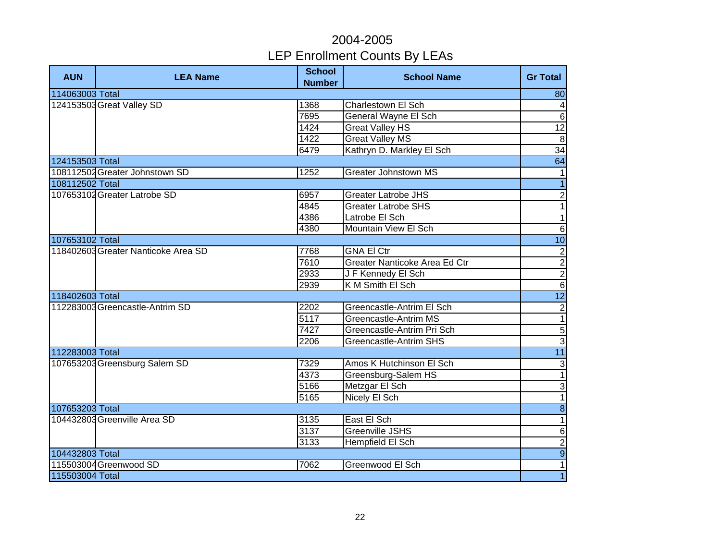| <b>AUN</b>      | <b>LEA Name</b>                     | <b>School</b><br><b>Number</b> | <b>School Name</b>            | <b>Gr Total</b>          |
|-----------------|-------------------------------------|--------------------------------|-------------------------------|--------------------------|
| 114063003 Total |                                     |                                |                               | 80                       |
|                 | 124153503 Great Valley SD           | 1368                           | Charlestown El Sch            | $\overline{\mathcal{A}}$ |
|                 |                                     | 7695                           | <b>General Wayne El Sch</b>   | $\overline{6}$           |
|                 |                                     | 1424                           | <b>Great Valley HS</b>        | $\overline{12}$          |
|                 |                                     | 1422                           | <b>Great Valley MS</b>        | $\overline{8}$           |
|                 |                                     | 6479                           | Kathryn D. Markley El Sch     | 34                       |
| 124153503 Total |                                     |                                |                               | 64                       |
|                 | 108112502 Greater Johnstown SD      | 1252                           | <b>Greater Johnstown MS</b>   | $\mathbf{1}$             |
| 108112502 Total |                                     |                                |                               | $\overline{1}$           |
|                 | 107653102 Greater Latrobe SD        | 6957                           | <b>Greater Latrobe JHS</b>    | $\overline{2}$           |
|                 |                                     | 4845                           | <b>Greater Latrobe SHS</b>    | $\overline{\phantom{0}}$ |
|                 |                                     | 4386                           | Latrobe El Sch                | $\overline{\phantom{0}}$ |
|                 |                                     | 4380                           | Mountain View El Sch          | $\overline{6}$           |
| 107653102 Total |                                     |                                |                               | 10                       |
|                 | 118402603 Greater Nanticoke Area SD | 7768                           | <b>GNA El Ctr</b>             |                          |
|                 |                                     | 7610                           | Greater Nanticoke Area Ed Ctr | $\frac{2}{2}$            |
|                 |                                     | 2933                           | J F Kennedy El Sch            |                          |
|                 |                                     | 2939                           | K M Smith El Sch              |                          |
| 118402603 Total |                                     |                                |                               | 12                       |
|                 | 112283003 Greencastle-Antrim SD     | 2202                           | Greencastle-Antrim El Sch     | $\frac{1}{1}$            |
|                 |                                     | 5117                           | Greencastle-Antrim MS         |                          |
|                 |                                     | 7427                           | Greencastle-Antrim Pri Sch    |                          |
|                 |                                     | 2206                           | Greencastle-Antrim SHS        | $\frac{5}{3}$            |
| 112283003 Total |                                     |                                |                               | 11                       |
|                 | 107653203 Greensburg Salem SD       | 7329                           | Amos K Hutchinson El Sch      | $\overline{\omega}$      |
|                 |                                     | 4373                           | Greensburg-Salem HS           | $\overline{1}$           |
|                 |                                     | 5166                           | Metzgar El Sch                | $\frac{3}{1}$            |
|                 |                                     | 5165                           | Nicely El Sch                 |                          |
| 107653203 Total |                                     |                                |                               | $\overline{\mathbf{8}}$  |
|                 | 104432803 Greenville Area SD        | 3135                           | East El Sch                   | $\overline{1}$           |
|                 |                                     | 3137                           | <b>Greenville JSHS</b>        | $\overline{6}$           |
|                 |                                     | 3133                           | Hempfield El Sch              |                          |
| 104432803 Total |                                     |                                |                               | $\frac{2}{9}$            |
|                 | 115503004 Greenwood SD              | 7062                           | Greenwood El Sch              | 1                        |
| 115503004 Total |                                     |                                |                               | $\overline{1}$           |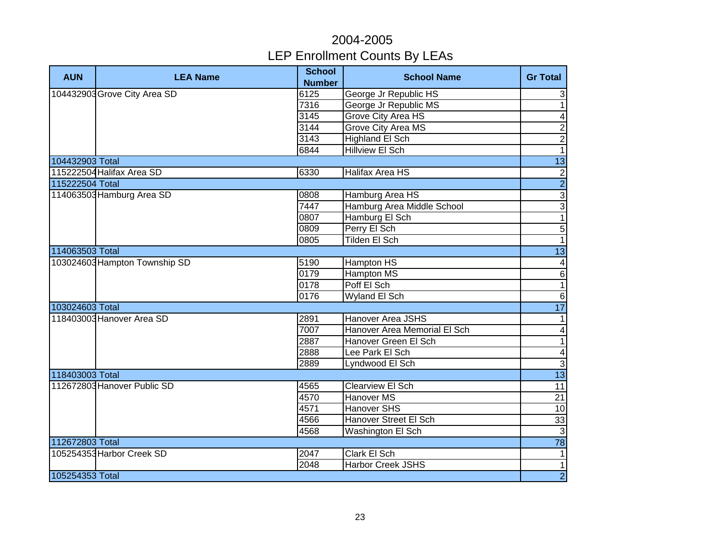| <b>AUN</b>      | <b>LEA Name</b>               | <b>School</b><br><b>Number</b> | <b>School Name</b>           | <b>Gr Total</b>          |
|-----------------|-------------------------------|--------------------------------|------------------------------|--------------------------|
|                 | 104432903 Grove City Area SD  | 6125                           | George Jr Republic HS        | 3                        |
|                 |                               | 7316                           | George Jr Republic MS        | $\overline{1}$           |
|                 |                               | 3145                           | <b>Grove City Area HS</b>    | $\overline{\mathbf{A}}$  |
|                 |                               | 3144                           | <b>Grove City Area MS</b>    | $\overline{2}$           |
|                 |                               | 3143                           | <b>Highland El Sch</b>       | $\overline{c}$           |
|                 |                               | 6844                           | <b>Hillview El Sch</b>       | $\overline{1}$           |
| 104432903 Total |                               |                                |                              | 13                       |
|                 | 115222504 Halifax Area SD     | 6330                           | Halifax Area HS              | $\overline{c}$           |
| 115222504 Total |                               |                                |                              | $\overline{2}$           |
|                 | 114063503 Hamburg Area SD     | 0808                           | Hamburg Area HS              | $\overline{3}$           |
|                 |                               | 7447                           | Hamburg Area Middle School   | $\overline{3}$           |
|                 |                               | 0807                           | Hamburg El Sch               | $\overline{1}$           |
|                 |                               | 0809                           | Perry El Sch                 | $\overline{5}$           |
|                 |                               | 0805                           | Tilden El Sch                | $\overline{1}$           |
| 114063503 Total |                               |                                |                              | $\overline{13}$          |
|                 | 103024603 Hampton Township SD | 5190                           | Hampton HS                   | $\overline{4}$           |
|                 |                               | 0179                           | <b>Hampton MS</b>            | $\overline{6}$           |
|                 |                               | 0178                           | Poff El Sch                  | $\overline{1}$           |
|                 |                               | 0176                           | Wyland El Sch                | $\sigma$                 |
| 103024603 Total |                               |                                |                              | 17                       |
|                 | 118403003 Hanover Area SD     | 2891                           | Hanover Area JSHS            | $\mathbf{1}$             |
|                 |                               | 7007                           | Hanover Area Memorial El Sch | $\blacktriangle$         |
|                 |                               | 2887                           | Hanover Green El Sch         | $\overline{\phantom{0}}$ |
|                 |                               | 2888                           | Lee Park El Sch              | $\overline{\mathbf{4}}$  |
|                 |                               | 2889                           | Lyndwood El Sch              | $\overline{3}$           |
| 118403003 Total |                               |                                |                              | 13                       |
|                 | 112672803 Hanover Public SD   | 4565                           | <b>Clearview El Sch</b>      | 11                       |
|                 |                               | 4570                           | <b>Hanover MS</b>            | $\overline{21}$          |
|                 |                               | 4571                           | <b>Hanover SHS</b>           | 10                       |
|                 |                               | 4566                           | <b>Hanover Street El Sch</b> | 33                       |
|                 |                               | 4568                           | Washington El Sch            | $\mathbf{3}$             |
| 112672803 Total |                               |                                |                              | $\overline{78}$          |
|                 | 105254353 Harbor Creek SD     | 2047                           | Clark El Sch                 | $\mathbf{1}$             |
|                 |                               | 2048                           | <b>Harbor Creek JSHS</b>     | $\mathbf{1}$             |
| 105254353 Total |                               |                                |                              | $\overline{2}$           |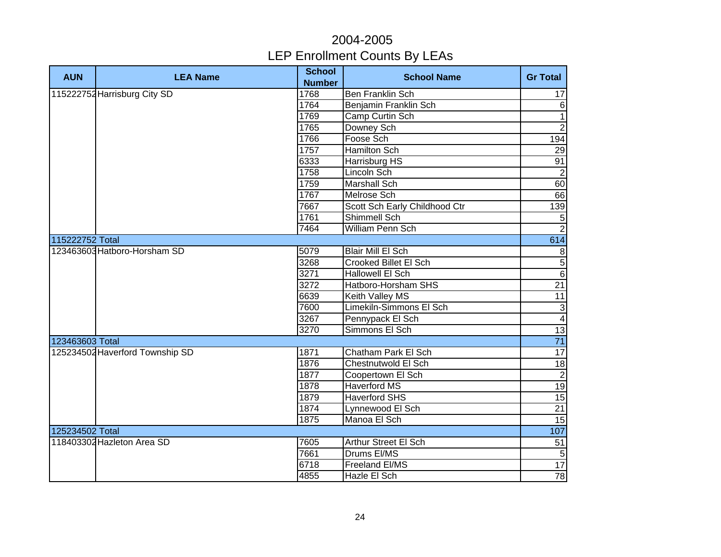| <b>AUN</b>      | <b>LEA Name</b>                 | <b>School</b><br><b>Number</b> | <b>School Name</b>            | <b>Gr Total</b>         |
|-----------------|---------------------------------|--------------------------------|-------------------------------|-------------------------|
|                 | 115222752 Harrisburg City SD    | 1768                           | <b>Ben Franklin Sch</b>       | 17                      |
|                 |                                 | 1764                           | Benjamin Franklin Sch         | $\,6$                   |
|                 |                                 | 1769                           | Camp Curtin Sch               | $\overline{1}$          |
|                 |                                 | 1765                           | Downey Sch                    | $\overline{2}$          |
|                 |                                 | 1766                           | Foose Sch                     | 194                     |
|                 |                                 | 1757                           | <b>Hamilton Sch</b>           | 29                      |
|                 |                                 | 6333                           | Harrisburg HS                 | 91                      |
|                 |                                 | 1758                           | Lincoln Sch                   | $\overline{2}$          |
|                 |                                 | 1759                           | <b>Marshall Sch</b>           | 60                      |
|                 |                                 | 1767                           | Melrose Sch                   | 66                      |
|                 |                                 | 7667                           | Scott Sch Early Childhood Ctr | 139                     |
|                 |                                 | 1761                           | Shimmell Sch                  | $\overline{5}$          |
|                 |                                 | 7464                           | <b>William Penn Sch</b>       | $\overline{2}$          |
| 115222752 Total |                                 |                                |                               | 614                     |
|                 | 123463603 Hatboro-Horsham SD    | 5079                           | Blair Mill El Sch             | $\boldsymbol{8}$        |
|                 |                                 | 3268                           | Crooked Billet El Sch         | $\overline{5}$          |
|                 |                                 | 3271                           | Hallowell El Sch              | 6                       |
|                 |                                 | 3272                           | Hatboro-Horsham SHS           | 21                      |
|                 |                                 | 6639                           | Keith Valley MS               | $\overline{11}$         |
|                 |                                 | 7600                           | Limekiln-Simmons El Sch       | دی                      |
|                 |                                 | 3267                           | Pennypack El Sch              | $\overline{\mathbf{4}}$ |
|                 |                                 | 3270                           | Simmons El Sch                | 13                      |
| 123463603 Total |                                 |                                |                               | $\overline{71}$         |
|                 | 125234502 Haverford Township SD | 1871                           | Chatham Park El Sch           | 17                      |
|                 |                                 | 1876                           | Chestnutwold El Sch           | $\frac{1}{8}$           |
|                 |                                 | 1877                           | Coopertown El Sch             | $\overline{2}$          |
|                 |                                 | 1878                           | <b>Haverford MS</b>           | 19                      |
|                 |                                 | 1879                           | <b>Haverford SHS</b>          | $\overline{15}$         |
|                 |                                 | 1874                           | Lynnewood El Sch              | $\overline{21}$         |
|                 |                                 | 1875                           | Manoa El Sch                  | 15                      |
| 125234502 Total |                                 |                                |                               | 107                     |
|                 | 118403302 Hazleton Area SD      | 7605                           | Arthur Street El Sch          | 51                      |
|                 |                                 | 7661                           | Drums El/MS                   | 5 <sub>5</sub>          |
|                 |                                 | 6718                           | Freeland El/MS                | 17                      |
|                 |                                 | 4855                           | Hazle El Sch                  | 78                      |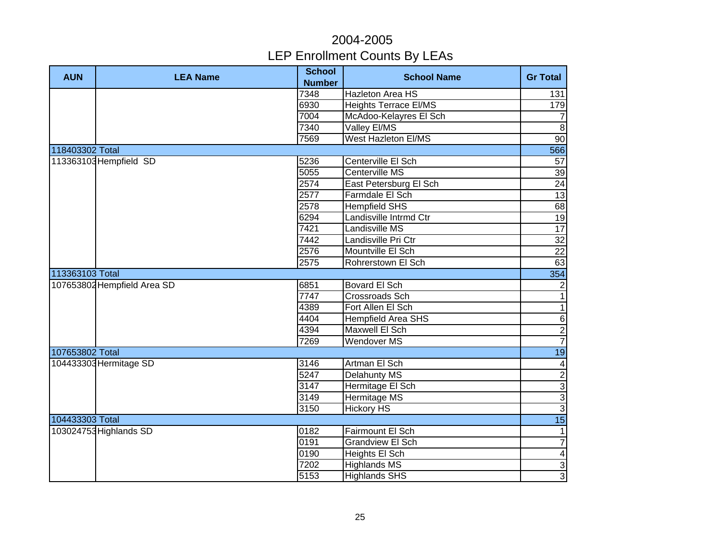| <b>AUN</b>      | <b>LEA Name</b>             | <b>School</b><br><b>Number</b> | <b>School Name</b>           | <b>Gr Total</b> |
|-----------------|-----------------------------|--------------------------------|------------------------------|-----------------|
|                 |                             | 7348                           | <b>Hazleton Area HS</b>      | 131             |
|                 |                             | 6930                           | <b>Heights Terrace EI/MS</b> | 179             |
|                 |                             | 7004                           | McAdoo-Kelayres El Sch       | $\overline{7}$  |
|                 |                             | 7340                           | Valley El/MS                 | $\infty$        |
|                 |                             | 7569                           | <b>West Hazleton EI/MS</b>   | $\overline{90}$ |
| 118403302 Total |                             |                                |                              | 566             |
|                 | 113363103 Hempfield SD      | 5236                           | Centerville El Sch           | 57              |
|                 |                             | 5055                           | Centerville MS               | 39              |
|                 |                             | 2574                           | East Petersburg El Sch       | 24              |
|                 |                             | 2577                           | Farmdale El Sch              | 13              |
|                 |                             | 2578                           | <b>Hempfield SHS</b>         | 68              |
|                 |                             | 6294                           | Landisville Intrmd Ctr       | 19              |
|                 |                             | 7421                           | Landisville MS               | $\overline{17}$ |
|                 |                             | 7442                           | Landisville Pri Ctr          | $\overline{32}$ |
|                 |                             | 2576                           | Mountville El Sch            | $\overline{22}$ |
|                 |                             | 2575                           | Rohrerstown El Sch           | 63              |
| 113363103 Total |                             |                                |                              | 354             |
|                 | 107653802 Hempfield Area SD | 6851                           | Bovard El Sch                | $\overline{c}$  |
|                 |                             | 7747                           | Crossroads Sch               | $\mathbf{1}$    |
|                 |                             | 4389                           | Fort Allen El Sch            | $\overline{1}$  |
|                 |                             | 4404                           | <b>Hempfield Area SHS</b>    | $\overline{6}$  |
|                 |                             | 4394                           | Maxwell El Sch               | $\overline{2}$  |
|                 |                             | 7269                           | <b>Wendover MS</b>           | $\overline{7}$  |
| 107653802 Total |                             |                                |                              | 19              |
|                 | 104433303 Hermitage SD      | 3146                           | Artman El Sch                | $\overline{a}$  |
|                 |                             | $\overline{5247}$              | <b>Delahunty MS</b>          |                 |
|                 |                             | $\frac{3147}{2}$               | Hermitage El Sch             | ا ما ما ما      |
|                 |                             | 3149                           | <b>Hermitage MS</b>          |                 |
|                 |                             | 3150                           | <b>Hickory HS</b>            |                 |
| 104433303 Total |                             |                                |                              | 15              |
|                 | 103024753 Highlands SD      | 0182                           | Fairmount El Sch             | $\mathbf{1}$    |
|                 |                             | 0191                           | <b>Grandview El Sch</b>      | $\overline{7}$  |
|                 |                             | 0190                           | Heights El Sch               | $\overline{4}$  |
|                 |                             | 7202                           | <b>Highlands MS</b>          | $\mathbf{3}$    |
|                 |                             | 5153                           | <b>Highlands SHS</b>         | $\overline{3}$  |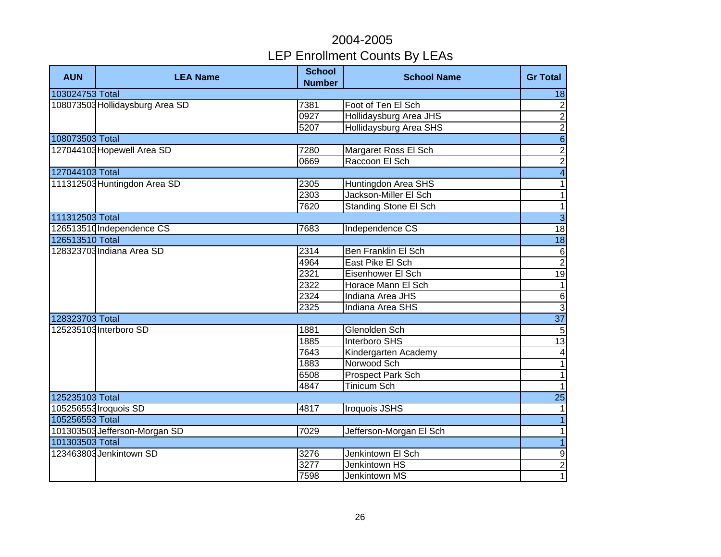| <b>AUN</b>      | <b>LEA Name</b>                 | <b>School</b><br><b>Number</b> | <b>School Name</b>           | <b>Gr Total</b>  |
|-----------------|---------------------------------|--------------------------------|------------------------------|------------------|
| 103024753 Total |                                 |                                |                              | 18               |
|                 | 108073503 Hollidaysburg Area SD | 7381                           | Foot of Ten El Sch           | $\overline{2}$   |
|                 |                                 | 0927                           | Hollidaysburg Area JHS       | $\overline{2}$   |
|                 |                                 | 5207                           | Hollidaysburg Area SHS       | $\overline{2}$   |
| 108073503 Total |                                 |                                |                              | $\overline{6}$   |
|                 | 127044103 Hopewell Area SD      | 7280                           | Margaret Ross El Sch         | $\overline{2}$   |
|                 |                                 | 0669                           | Raccoon El Sch               | $\overline{2}$   |
| 127044103 Total |                                 |                                |                              | $\overline{4}$   |
|                 | 111312503 Huntingdon Area SD    | 2305                           | Huntingdon Area SHS          | $\overline{1}$   |
|                 |                                 | 2303                           | Jackson-Miller El Sch        | $\overline{1}$   |
|                 |                                 | 7620                           | <b>Standing Stone El Sch</b> | $\overline{1}$   |
| 111312503 Total |                                 |                                |                              | $\overline{3}$   |
|                 | 126513510 Independence CS       | 7683                           | Independence CS              | $\overline{18}$  |
| 126513510 Total |                                 |                                |                              | 18               |
|                 | 128323703 Indiana Area SD       | 2314                           | <b>Ben Franklin El Sch</b>   | $\frac{6}{2}$    |
|                 |                                 | 4964                           | East Pike El Sch             |                  |
|                 |                                 | 2321                           | Eisenhower El Sch            | 19               |
|                 |                                 | 2322                           | Horace Mann El Sch           | $\overline{1}$   |
|                 |                                 | 2324                           | Indiana Area JHS             | $\frac{6}{3}$    |
|                 |                                 | 2325                           | Indiana Area SHS             |                  |
| 128323703 Total |                                 |                                |                              | $\overline{37}$  |
|                 | 125235103 Interboro SD          | 1881                           | Glenolden Sch                | $\overline{5}$   |
|                 |                                 | 1885                           | <b>Interboro SHS</b>         | 13               |
|                 |                                 | 7643                           | Kindergarten Academy         | $\overline{4}$   |
|                 |                                 | 1883                           | Norwood Sch                  | $\overline{1}$   |
|                 |                                 | 6508                           | <b>Prospect Park Sch</b>     | $\overline{1}$   |
|                 |                                 | 4847                           | <b>Tinicum Sch</b>           | $\overline{1}$   |
| 125235103 Total |                                 |                                |                              | $\overline{25}$  |
|                 | 105256553 Iroquois SD           | 4817                           | <b>Iroquois JSHS</b>         | $\mathbf{1}$     |
| 105256553 Total |                                 |                                |                              | $\overline{1}$   |
|                 | 101303503 Jefferson-Morgan SD   | 7029                           | Jefferson-Morgan El Sch      | $\mathbf{1}$     |
| 101303503 Total |                                 |                                |                              | $\overline{1}$   |
|                 | 123463803 Jenkintown SD         | 3276                           | Jenkintown El Sch            | $\boldsymbol{9}$ |
|                 |                                 | 3277                           | Jenkintown HS                | $\overline{2}$   |
|                 |                                 | 7598                           | Jenkintown MS                | $\overline{1}$   |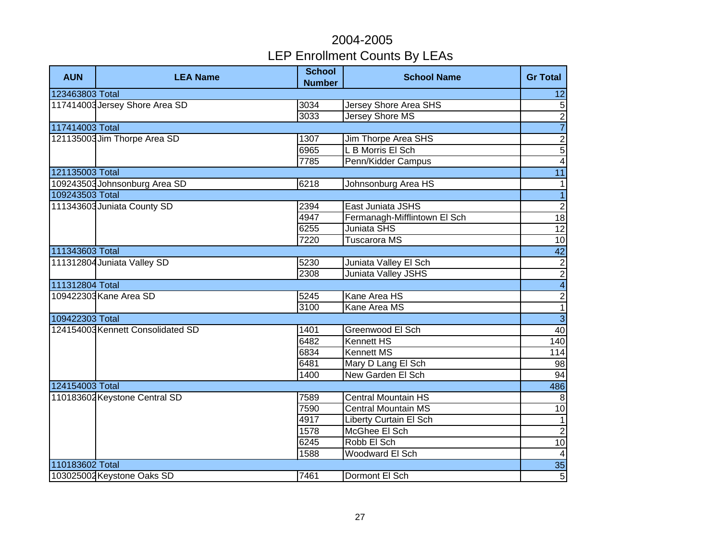| <b>AUN</b>      | <b>LEA Name</b>                   | <b>School</b><br><b>Number</b> | <b>School Name</b>            | <b>Gr Total</b>             |
|-----------------|-----------------------------------|--------------------------------|-------------------------------|-----------------------------|
| 123463803 Total |                                   |                                |                               | 12                          |
|                 | 117414003 Jersey Shore Area SD    | 3034                           | <b>Jersey Shore Area SHS</b>  | $\mathbf 5$                 |
|                 |                                   | 3033                           | <b>Jersey Shore MS</b>        | $\frac{2}{7}$               |
| 117414003 Total |                                   |                                |                               |                             |
|                 | 121135003 Jim Thorpe Area SD      | 1307                           | Jim Thorpe Area SHS           | $\overline{2}$              |
|                 |                                   | 6965                           | L B Morris El Sch             | $\overline{5}$              |
|                 |                                   | 7785                           | Penn/Kidder Campus            | $\overline{\mathbf{4}}$     |
| 121135003 Total |                                   |                                |                               | 11                          |
|                 | 109243503 Johnsonburg Area SD     | 6218                           | Johnsonburg Area HS           | $\mathbf{1}$                |
| 109243503 Total |                                   |                                |                               | $\overline{1}$              |
|                 | 111343603 Juniata County SD       | 2394                           | East Juniata JSHS             | $\overline{2}$              |
|                 |                                   | 4947                           | Fermanagh-Mifflintown El Sch  | $\overline{18}$             |
|                 |                                   | 6255                           | Juniata SHS                   | $\overline{12}$             |
|                 |                                   | 7220                           | <b>Tuscarora MS</b>           | 10                          |
| 111343603 Total |                                   |                                |                               | 42                          |
|                 | 111312804 Juniata Valley SD       | 5230                           | Juniata Valley El Sch         |                             |
|                 |                                   | 2308                           | Juniata Valley JSHS           | $\frac{2}{2}$ $\frac{2}{1}$ |
| 111312804 Total |                                   |                                |                               |                             |
|                 | 109422303 Kane Area SD            | 5245                           | Kane Area HS                  |                             |
|                 |                                   | 3100                           | Kane Area MS                  |                             |
| 109422303 Total |                                   |                                |                               | $\overline{3}$              |
|                 | 124154003 Kennett Consolidated SD | 1401                           | Greenwood El Sch              | 40                          |
|                 |                                   | 6482                           | <b>Kennett HS</b>             | 140                         |
|                 |                                   | 6834                           | <b>Kennett MS</b>             | 114                         |
|                 |                                   | 6481                           | Mary D Lang El Sch            | 98                          |
|                 |                                   | 1400                           | New Garden El Sch             | 94                          |
| 124154003 Total |                                   |                                |                               | 486                         |
|                 | 110183602 Keystone Central SD     | 7589                           | <b>Central Mountain HS</b>    | 8                           |
|                 |                                   | 7590                           | <b>Central Mountain MS</b>    | 10                          |
|                 |                                   | 4917                           | <b>Liberty Curtain El Sch</b> | 1                           |
|                 |                                   | 1578                           | McGhee El Sch                 | $\overline{2}$              |
|                 |                                   | 6245                           | Robb El Sch                   | 10                          |
|                 |                                   | 1588                           | Woodward El Sch               | $\overline{a}$              |
| 110183602 Total |                                   |                                |                               | 35                          |
|                 | 103025002 Keystone Oaks SD        | 7461                           | Dormont El Sch                | $\overline{5}$              |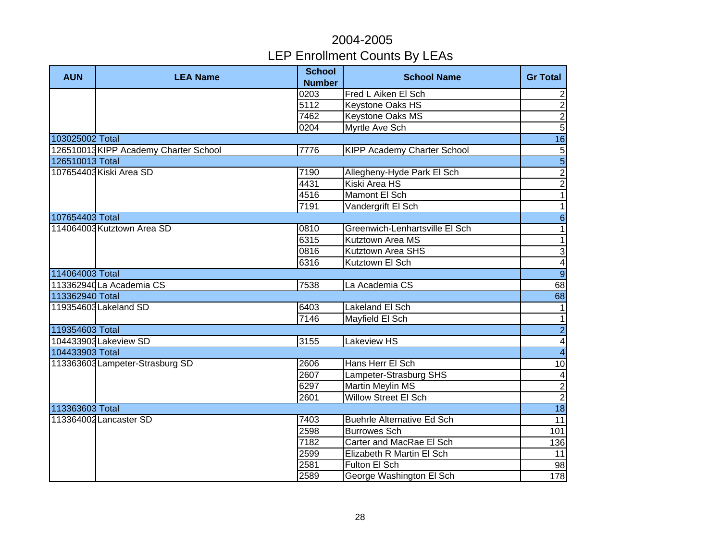| <b>AUN</b>      | <b>LEA Name</b>                      | <b>School</b><br><b>Number</b> | <b>School Name</b>                | <b>Gr Total</b>         |
|-----------------|--------------------------------------|--------------------------------|-----------------------------------|-------------------------|
|                 |                                      | 0203                           | Fred L Aiken El Sch               | $\overline{2}$          |
|                 |                                      | 5112                           | Keystone Oaks HS                  | $\overline{2}$          |
|                 |                                      | 7462                           | Keystone Oaks MS                  |                         |
|                 |                                      | 0204                           | Myrtle Ave Sch                    | $\frac{2}{5}$           |
| 103025002 Total |                                      |                                |                                   | 16                      |
|                 | 126510013KIPP Academy Charter School | 7776                           | KIPP Academy Charter School       | 5                       |
| 126510013 Total |                                      |                                |                                   | $\overline{5}$          |
|                 | 107654403 Kiski Area SD              | 7190                           | Allegheny-Hyde Park El Sch        | $\overline{2}$          |
|                 |                                      | 4431                           | Kiski Area HS                     | $\overline{2}$          |
|                 |                                      | 4516                           | Mamont El Sch                     | $\overline{1}$          |
|                 |                                      | 7191                           | Vandergrift El Sch                | $\overline{1}$          |
| 107654403 Total |                                      |                                |                                   | $\overline{6}$          |
|                 | 114064003 Kutztown Area SD           | 0810                           | Greenwich-Lenhartsville El Sch    | $\mathbf{1}$            |
|                 |                                      | 6315                           | Kutztown Area MS                  | $\overline{1}$          |
|                 |                                      | 0816                           | Kutztown Area SHS                 | $\overline{3}$          |
|                 |                                      | 6316                           | Kutztown El Sch                   |                         |
| 114064003 Total |                                      |                                |                                   | $\frac{4}{9}$           |
|                 | 113362940 La Academia CS             | 7538                           | La Academia CS                    | 68                      |
| 113362940 Total |                                      |                                |                                   | 68                      |
|                 | 119354603 Lakeland SD                | 6403                           | Lakeland El Sch                   | $\mathbf{1}$            |
|                 |                                      | $\overline{7146}$              | Mayfield El Sch                   | $\overline{1}$          |
| 119354603 Total |                                      |                                |                                   | $\overline{2}$          |
|                 | 104433903 Lakeview SD                | 3155                           | Lakeview HS                       | $\overline{4}$          |
| 104433903 Total |                                      |                                |                                   | $\overline{4}$          |
|                 | 113363603Lampeter-Strasburg SD       | 2606                           | Hans Herr El Sch                  | 10                      |
|                 |                                      | 2607                           | Lampeter-Strasburg SHS            | $\overline{\mathbf{4}}$ |
|                 |                                      | 6297                           | <b>Martin Meylin MS</b>           | $\overline{2}$          |
|                 |                                      | 2601                           | <b>Willow Street El Sch</b>       | $\overline{2}$          |
| 113363603 Total |                                      |                                |                                   | $\overline{18}$         |
|                 | 113364002 Lancaster SD               | 7403                           | <b>Buehrle Alternative Ed Sch</b> | 11                      |
|                 |                                      | 2598                           | <b>Burrowes Sch</b>               | 101                     |
|                 |                                      | 7182                           | Carter and MacRae El Sch          | 136                     |
|                 |                                      | 2599                           | Elizabeth R Martin El Sch         | 11                      |
|                 |                                      | 2581                           | Fulton El Sch                     | 98                      |
|                 |                                      | 2589                           | George Washington El Sch          | 178                     |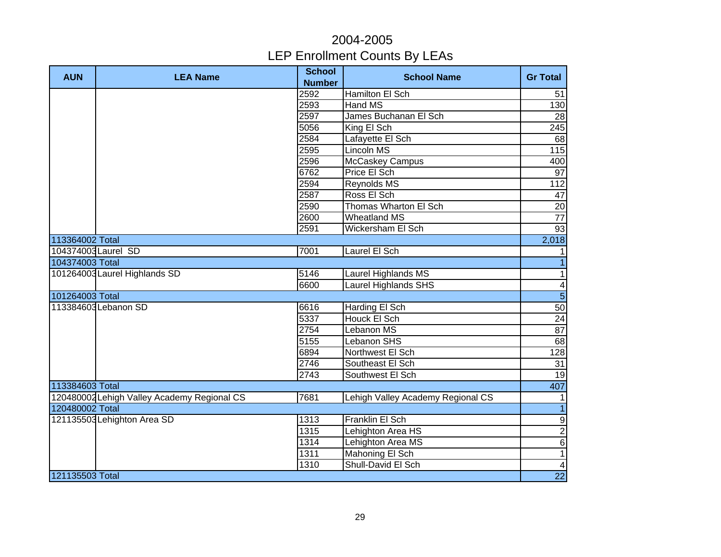| <b>AUN</b>          | <b>LEA Name</b>                             | <b>School</b><br><b>Number</b> | <b>School Name</b>                | <b>Gr Total</b>          |
|---------------------|---------------------------------------------|--------------------------------|-----------------------------------|--------------------------|
|                     |                                             | 2592                           | <b>Hamilton El Sch</b>            | 51                       |
|                     |                                             | 2593                           | Hand MS                           | 130                      |
|                     |                                             | 2597                           | James Buchanan El Sch             | 28                       |
|                     |                                             | 5056                           | King El Sch                       | 245                      |
|                     |                                             | 2584                           | Lafayette El Sch                  | 68                       |
|                     |                                             | 2595                           | <b>Lincoln MS</b>                 | 115                      |
|                     |                                             | 2596                           | McCaskey Campus                   | 400                      |
|                     |                                             | 6762                           | Price El Sch                      | 97                       |
|                     |                                             | 2594                           | Reynolds MS                       | 112                      |
|                     |                                             | 2587                           | Ross El Sch                       | 47                       |
|                     |                                             | 2590                           | Thomas Wharton El Sch             | 20                       |
|                     |                                             | 2600                           | <b>Wheatland MS</b>               | $\overline{77}$          |
|                     |                                             | 2591                           | Wickersham El Sch                 | 93                       |
| 113364002 Total     |                                             |                                |                                   | 2,018                    |
| 104374003 Laurel SD |                                             | 7001                           | Laurel El Sch                     | 1                        |
| 104374003 Total     |                                             |                                |                                   | $\vert$                  |
|                     | 101264003 Laurel Highlands SD               | 5146                           | Laurel Highlands MS               | $\overline{\phantom{0}}$ |
|                     |                                             | 6600                           | <b>Laurel Highlands SHS</b>       | $\overline{4}$           |
| 101264003 Total     |                                             |                                |                                   | $\overline{5}$           |
|                     | 113384603 Lebanon SD                        | 6616                           | Harding El Sch                    | 50                       |
|                     |                                             | 5337                           | Houck El Sch                      | 24                       |
|                     |                                             | 2754                           | Lebanon MS                        | 87                       |
|                     |                                             | 5155                           | Lebanon SHS                       | $\overline{68}$          |
|                     |                                             | 6894                           | Northwest El Sch                  | 128                      |
|                     |                                             | 2746                           | Southeast El Sch                  | $\overline{31}$          |
|                     |                                             | 2743                           | Southwest El Sch                  | 19                       |
| 113384603 Total     |                                             |                                |                                   | 407                      |
|                     | 120480002 Lehigh Valley Academy Regional CS | 7681                           | Lehigh Valley Academy Regional CS | $\mathbf{1}$             |
| 120480002 Total     |                                             |                                |                                   | $\overline{1}$           |
|                     | 121135503 Lehighton Area SD                 | 1313                           | Franklin El Sch                   | $\frac{9}{6}$            |
|                     |                                             | 1315                           | Lehighton Area HS                 |                          |
|                     |                                             | 1314                           | Lehighton Area MS                 |                          |
|                     |                                             | 1311                           | Mahoning El Sch                   | $\overline{1}$           |
|                     |                                             | 1310                           | Shull-David El Sch                | $\overline{\mathbf{4}}$  |
| 121135503 Total     |                                             |                                |                                   | 22                       |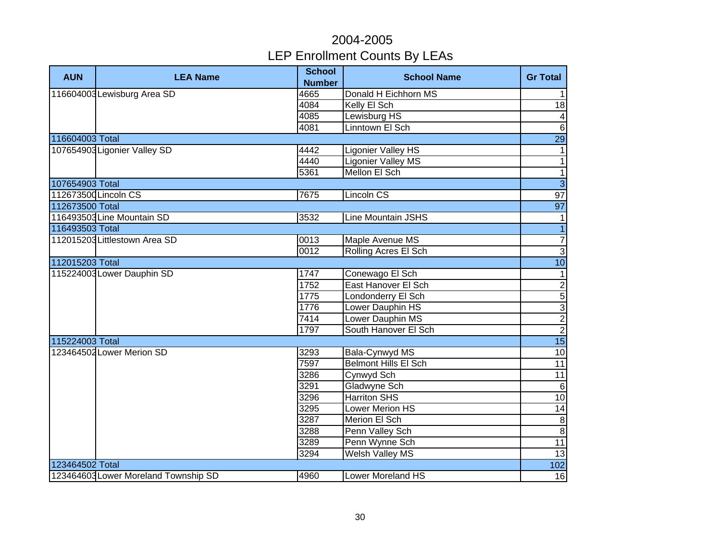| <b>AUN</b>      | <b>LEA Name</b>                      | <b>School</b><br><b>Number</b> | <b>School Name</b>        | <b>Gr Total</b>          |
|-----------------|--------------------------------------|--------------------------------|---------------------------|--------------------------|
|                 | 116604003 Lewisburg Area SD          | 4665                           | Donald H Eichhorn MS      | $\mathbf{1}$             |
|                 |                                      | 4084                           | Kelly El Sch              | $\frac{1}{8}$            |
|                 |                                      | 4085                           | Lewisburg HS              | $\overline{4}$           |
|                 |                                      | 4081                           | Linntown El Sch           | $\sigma$                 |
| 116604003 Total |                                      |                                |                           | 29                       |
|                 | 107654903 Ligonier Valley SD         | 4442                           | <b>Ligonier Valley HS</b> | $\mathbf{1}$             |
|                 |                                      | 4440                           | <b>Ligonier Valley MS</b> | $\overline{\phantom{a}}$ |
|                 |                                      | 5361                           | Mellon El Sch             | $\overline{\phantom{a}}$ |
| 107654903 Total |                                      |                                |                           | $\overline{3}$           |
|                 | 112673500 Lincoln CS                 | 7675                           | Lincoln CS                | 97                       |
| 112673500 Total |                                      |                                |                           | 97                       |
|                 | 116493503 Line Mountain SD           | 3532                           | Line Mountain JSHS        | $\mathbf{1}$             |
| 116493503 Total |                                      |                                |                           | $\overline{1}$           |
|                 | 112015203 Littlestown Area SD        | 0013                           | Maple Avenue MS           | $\overline{7}$           |
|                 |                                      | 0012                           | Rolling Acres El Sch      | $\overline{3}$           |
| 112015203 Total |                                      |                                |                           | 10                       |
|                 | 115224003 Lower Dauphin SD           | 1747                           | Conewago El Sch           | $\mathbf{1}$             |
|                 |                                      | 1752                           | East Hanover El Sch       |                          |
|                 |                                      | 1775                           | Londonderry El Sch        | $\log \omega $ တ $\log$  |
|                 |                                      | 1776                           | Lower Dauphin HS          |                          |
|                 |                                      | 7414                           | Lower Dauphin MS          |                          |
|                 |                                      | 1797                           | South Hanover El Sch      |                          |
| 115224003 Total |                                      |                                |                           | 15                       |
|                 | 123464502 Lower Merion SD            | 3293                           | Bala-Cynwyd MS            | $\overline{10}$          |
|                 |                                      | 7597                           | Belmont Hills El Sch      | $\overline{11}$          |
|                 |                                      | 3286                           | Cynwyd Sch                | 11                       |
|                 |                                      | 3291                           | Gladwyne Sch              | $6\phantom{1}6$          |
|                 |                                      | 3296                           | <b>Harriton SHS</b>       | 10                       |
|                 |                                      | 3295                           | <b>Lower Merion HS</b>    | $\overline{14}$          |
|                 |                                      | 3287                           | <b>Merion El Sch</b>      | $\,8\,$                  |
|                 |                                      | 3288                           | Penn Valley Sch           | 8                        |
|                 |                                      | 3289                           | Penn Wynne Sch            | 11                       |
|                 |                                      | 3294                           | Welsh Valley MS           | 13                       |
| 123464502 Total |                                      |                                |                           | 102                      |
|                 | 123464603 Lower Moreland Township SD | 4960                           | Lower Moreland HS         | 16                       |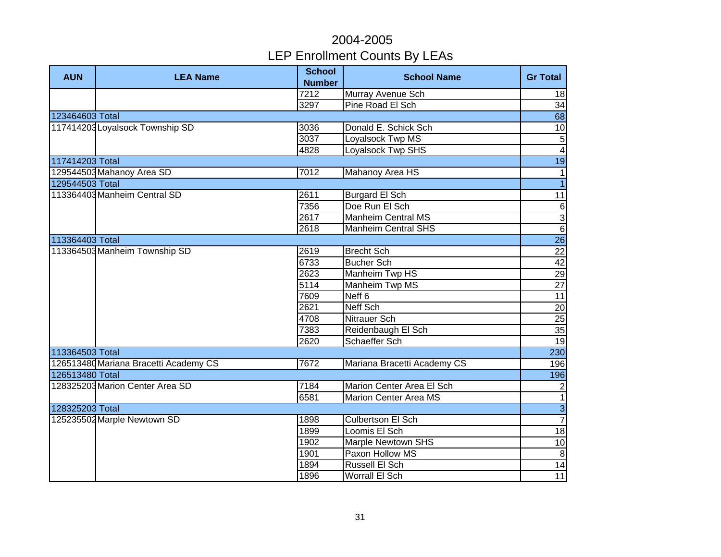| <b>AUN</b>      | <b>LEA Name</b>                       | <b>School</b><br><b>Number</b> | <b>School Name</b>           | <b>Gr Total</b> |
|-----------------|---------------------------------------|--------------------------------|------------------------------|-----------------|
|                 |                                       | 7212                           | Murray Avenue Sch            | 18              |
|                 |                                       | 3297                           | Pine Road El Sch             | 34              |
| 123464603 Total |                                       |                                |                              | 68              |
|                 | 117414203 Loyalsock Township SD       | 3036                           | Donald E. Schick Sch         | 10              |
|                 |                                       | 3037                           | Loyalsock Twp MS             | $\overline{5}$  |
|                 |                                       | 4828                           | <b>Loyalsock Twp SHS</b>     | $\overline{4}$  |
| 117414203 Total |                                       |                                |                              | 19              |
|                 | 129544503 Mahanoy Area SD             | 7012                           | Mahanoy Area HS              | $\mathbf{1}$    |
| 129544503 Total |                                       |                                |                              | $\overline{1}$  |
|                 | 113364403 Manheim Central SD          | 2611                           | <b>Burgard El Sch</b>        | 11              |
|                 |                                       | 7356                           | Doe Run El Sch               |                 |
|                 |                                       | 2617                           | <b>Manheim Central MS</b>    | $\frac{6}{9}$   |
|                 |                                       | 2618                           | <b>Manheim Central SHS</b>   |                 |
| 113364403 Total |                                       |                                |                              | <b>26</b>       |
|                 | 113364503 Manheim Township SD         | 2619                           | <b>Brecht Sch</b>            | 22              |
|                 |                                       | 6733                           | <b>Bucher Sch</b>            | 42              |
|                 |                                       | 2623                           | <b>Manheim Twp HS</b>        | 29              |
|                 |                                       | 5114                           | Manheim Twp MS               | 27              |
|                 |                                       | 7609                           | Neff <sub>6</sub>            | 11              |
|                 |                                       | 2621                           | Neff Sch                     | 20              |
|                 |                                       | 4708                           | Nitrauer Sch                 | 25              |
|                 |                                       | 7383                           | Reidenbaugh El Sch           | $\overline{35}$ |
|                 |                                       | 2620                           | Schaeffer Sch                | 19              |
| 113364503 Total |                                       |                                |                              | 230             |
|                 | 126513480 Mariana Bracetti Academy CS | 7672                           | Mariana Bracetti Academy CS  | 196             |
| 126513480 Total |                                       |                                |                              | 196             |
|                 | 128325203 Marion Center Area SD       | 7184                           | Marion Center Area El Sch    | $\overline{2}$  |
|                 |                                       | 6581                           | <b>Marion Center Area MS</b> | $\overline{1}$  |
| 128325203 Total |                                       |                                |                              | $rac{3}{7}$     |
|                 | 125235502 Marple Newtown SD           | 1898                           | <b>Culbertson El Sch</b>     |                 |
|                 |                                       | 1899                           | Loomis El Sch                | 18              |
|                 |                                       | 1902                           | Marple Newtown SHS           | $10$            |
|                 |                                       | 1901                           | Paxon Hollow MS              | $\infty$        |
|                 |                                       | 1894                           | Russell El Sch               | $\overline{14}$ |
|                 |                                       | 1896                           | Worrall El Sch               | 11              |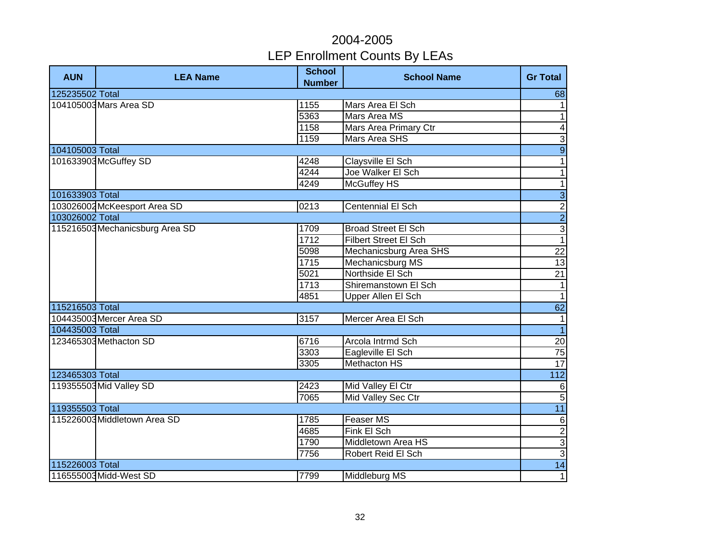| <b>AUN</b>      | <b>LEA Name</b>                 | <b>School</b><br><b>Number</b> | <b>School Name</b>           | <b>Gr Total</b>          |
|-----------------|---------------------------------|--------------------------------|------------------------------|--------------------------|
| 125235502 Total |                                 |                                |                              | 68                       |
|                 | 104105003 Mars Area SD          | 1155                           | Mars Area El Sch             | $\mathbf{1}$             |
|                 |                                 | 5363                           | Mars Area MS                 | $\overline{\phantom{0}}$ |
|                 |                                 | 1158                           | <b>Mars Area Primary Ctr</b> | $\blacktriangle$         |
|                 |                                 | 1159                           | <b>Mars Area SHS</b>         | $\overline{3}$           |
| 104105003 Total |                                 |                                |                              | $\overline{9}$           |
|                 | 101633903 McGuffey SD           | 4248                           | Claysville El Sch            | $\overline{1}$           |
|                 |                                 | 4244                           | Joe Walker El Sch            | $\mathbf{1}$             |
|                 |                                 | 4249                           | <b>McGuffey HS</b>           | $\overline{\phantom{a}}$ |
| 101633903 Total |                                 |                                |                              | $\overline{3}$           |
|                 | 103026002 McKeesport Area SD    | 0213                           | Centennial El Sch            | $\frac{2}{2}$            |
| 103026002 Total |                                 |                                |                              |                          |
|                 | 115216503 Mechanicsburg Area SD | 1709                           | <b>Broad Street El Sch</b>   | $\frac{1}{1}$            |
|                 |                                 | 1712                           | <b>Filbert Street El Sch</b> |                          |
|                 |                                 | 5098                           | Mechanicsburg Area SHS       | 22                       |
|                 |                                 | 1715                           | Mechanicsburg MS             | $\overline{13}$          |
|                 |                                 | 5021                           | Northside El Sch             | 21                       |
|                 |                                 | 1713                           | Shiremanstown El Sch         | $\overline{1}$           |
|                 |                                 | 4851                           | Upper Allen El Sch           | $\overline{1}$           |
| 115216503 Total |                                 |                                |                              | 62                       |
|                 | 104435003 Mercer Area SD        | 3157                           | Mercer Area El Sch           | 1                        |
| 104435003 Total |                                 |                                |                              | $\overline{1}$           |
|                 | 123465303 Methacton SD          | 6716                           | Arcola Intrmd Sch            | 20                       |
|                 |                                 | 3303                           | Eagleville El Sch            | 75                       |
|                 |                                 | 3305                           | <b>Methacton HS</b>          | 17                       |
| 123465303 Total |                                 |                                |                              | $\overline{112}$         |
|                 | 119355503 Mid Valley SD         | 2423                           | Mid Valley El Ctr            | $\sigma$                 |
|                 |                                 | 7065                           | Mid Valley Sec Ctr           | $\overline{5}$           |
| 119355503 Total |                                 |                                |                              | 11                       |
|                 | 115226003 Middletown Area SD    | 1785                           | <b>Feaser MS</b>             | $\sigma$                 |
|                 |                                 | 4685                           | Fink El Sch                  |                          |
|                 |                                 | 1790                           | Middletown Area HS           | ں سا س                   |
|                 |                                 | 7756                           | Robert Reid El Sch           |                          |
| 115226003 Total |                                 |                                |                              | 14                       |
|                 | 116555003 Midd-West SD          | 7799                           | Middleburg MS                | 1                        |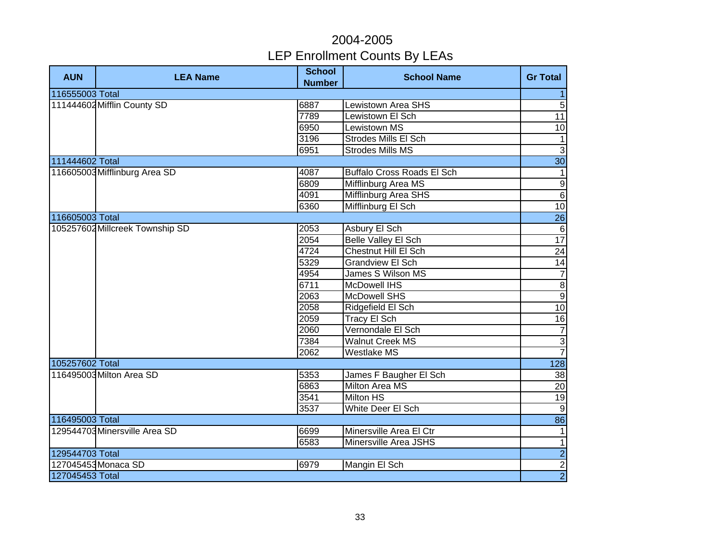| <b>AUN</b>      | <b>LEA Name</b>                 | <b>School</b><br><b>Number</b> | <b>School Name</b>                | <b>Gr Total</b>          |
|-----------------|---------------------------------|--------------------------------|-----------------------------------|--------------------------|
| 116555003 Total |                                 |                                |                                   | $\mathbf{1}$             |
|                 | 111444602 Mifflin County SD     | 6887                           | <b>Lewistown Area SHS</b>         | $\overline{5}$           |
|                 |                                 | 7789                           | Lewistown El Sch                  | 11                       |
|                 |                                 | 6950                           | <b>Lewistown MS</b>               | $\overline{10}$          |
|                 |                                 | 3196                           | <b>Strodes Mills El Sch</b>       | $\overline{\phantom{a}}$ |
|                 |                                 | 6951                           | <b>Strodes Mills MS</b>           | $\overline{3}$           |
| 111444602 Total |                                 |                                |                                   | 30                       |
|                 | 116605003 Mifflinburg Area SD   | 4087                           | <b>Buffalo Cross Roads El Sch</b> | $\vert$ 1                |
|                 |                                 | 6809                           | Mifflinburg Area MS               | Θ                        |
|                 |                                 | 4091                           | Mifflinburg Area SHS              | $\overline{6}$           |
|                 |                                 | 6360                           | Mifflinburg El Sch                | 10                       |
| 116605003 Total |                                 |                                |                                   | 26                       |
|                 | 105257602 Millcreek Township SD | 2053                           | Asbury El Sch                     | $\,6\,$                  |
|                 |                                 | 2054                           | Belle Valley El Sch               | $\overline{17}$          |
|                 |                                 | 4724                           | Chestnut Hill El Sch              | $\overline{24}$          |
|                 |                                 | 5329                           | <b>Grandview El Sch</b>           | 14                       |
|                 |                                 | 4954                           | James S Wilson MS                 | $\overline{7}$           |
|                 |                                 | 6711                           | <b>McDowell IHS</b>               | $\frac{8}{2}$            |
|                 |                                 | 2063                           | <b>McDowell SHS</b>               |                          |
|                 |                                 | 2058                           | Ridgefield El Sch                 | 10                       |
|                 |                                 | 2059                           | Tracy El Sch                      | 16                       |
|                 |                                 | 2060                           | Vernondale El Sch                 | $\overline{7}$           |
|                 |                                 | 7384                           | <b>Walnut Creek MS</b>            | $rac{3}{7}$              |
|                 |                                 | 2062                           | Westlake MS                       |                          |
| 105257602 Total |                                 |                                |                                   | $\overline{128}$         |
|                 | 116495003 Milton Area SD        | 5353                           | James F Baugher El Sch            | 38                       |
|                 |                                 | 6863                           | <b>Milton Area MS</b>             | $\overline{20}$          |
|                 |                                 | 3541                           | <b>Milton HS</b>                  | 19                       |
|                 |                                 | 3537                           | <b>White Deer El Sch</b>          | $\overline{9}$           |
| 116495003 Total |                                 |                                |                                   | 86                       |
|                 | 129544703 Minersville Area SD   | 6699                           | Minersville Area El Ctr           | 1                        |
|                 |                                 | 6583                           | Minersville Area JSHS             | $\overline{1}$           |
| 129544703 Total |                                 |                                |                                   | $\overline{2}$           |
|                 | 127045453 Monaca SD             | 6979                           | Mangin El Sch                     | $\frac{2}{2}$            |
| 127045453 Total |                                 |                                |                                   |                          |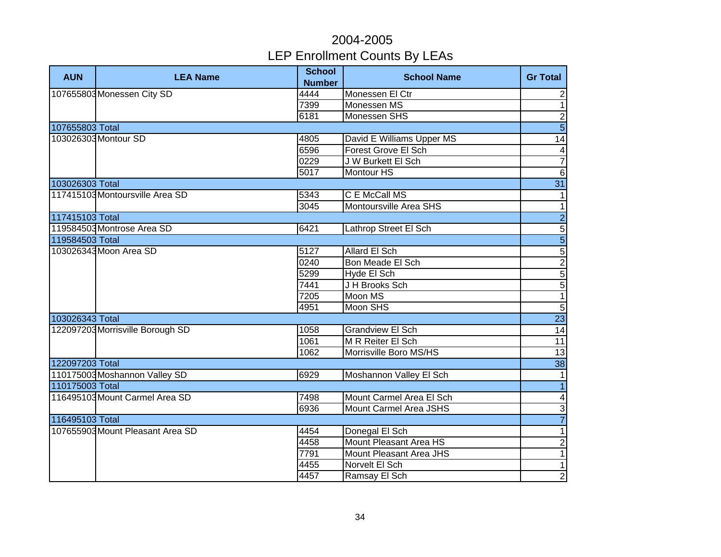| <b>AUN</b>      | <b>LEA Name</b>                  | <b>School</b><br><b>Number</b> | <b>School Name</b>         | <b>Gr Total</b>              |
|-----------------|----------------------------------|--------------------------------|----------------------------|------------------------------|
|                 | 107655803 Monessen City SD       | 4444                           | Monessen El Ctr            | $\overline{c}$               |
|                 |                                  | 7399                           | Monessen MS                | $\overline{1}$               |
|                 |                                  | 6181                           | Monessen SHS               | $\overline{2}$               |
| 107655803 Total |                                  |                                |                            | $\overline{5}$               |
|                 | 103026303 Montour SD             | 4805                           | David E Williams Upper MS  | 14                           |
|                 |                                  | 6596                           | <b>Forest Grove El Sch</b> | $\overline{\mathbf{4}}$      |
|                 |                                  | 0229                           | J W Burkett El Sch         | $\overline{7}$               |
|                 |                                  | 5017                           | Montour HS                 | $\overline{6}$               |
| 103026303 Total |                                  |                                |                            | 31                           |
|                 | 117415103 Montoursville Area SD  | 5343                           | C E McCall MS              | $\mathbf{1}$                 |
|                 |                                  | 3045                           | Montoursville Area SHS     | $\mathbf{1}$                 |
| 117415103 Total |                                  |                                |                            |                              |
|                 | 119584503 Montrose Area SD       | 6421                           | Lathrop Street El Sch      |                              |
| 119584503 Total |                                  |                                |                            | տ տ လ տ  <mark>տ տ </mark> လ |
|                 | 103026343 Moon Area SD           | 5127                           | Allard El Sch              |                              |
|                 |                                  | 0240                           | Bon Meade El Sch           |                              |
|                 |                                  | 5299                           | Hyde El Sch                |                              |
|                 |                                  | 7441                           | J H Brooks Sch             |                              |
|                 |                                  | 7205                           | Moon MS                    | $\overline{1}$               |
|                 |                                  | 4951                           | Moon SHS                   | $\overline{5}$               |
| 103026343 Total |                                  |                                |                            | $\overline{23}$              |
|                 | 122097203 Morrisville Borough SD | 1058                           | <b>Grandview El Sch</b>    | 14                           |
|                 |                                  | 1061                           | M R Reiter El Sch          | 11                           |
|                 |                                  | 1062                           | Morrisville Boro MS/HS     | 13                           |
| 122097203 Total |                                  |                                |                            | 38                           |
|                 | 110175003 Moshannon Valley SD    | 6929                           | Moshannon Valley El Sch    | $\mathbf{1}$                 |
| 110175003 Total |                                  |                                |                            | $\overline{1}$               |
|                 | 116495103 Mount Carmel Area SD   | 7498                           | Mount Carmel Area El Sch   | $\blacktriangle$             |
|                 |                                  | 6936                           | Mount Carmel Area JSHS     | $\overline{3}$               |
| 116495103 Total |                                  |                                |                            | $\overline{7}$               |
|                 | 107655903 Mount Pleasant Area SD | 4454                           | Donegal El Sch             | $\mathbf{1}$                 |
|                 |                                  | 4458                           | Mount Pleasant Area HS     | $\overline{2}$               |
|                 |                                  | 7791                           | Mount Pleasant Area JHS    | $\mathbf{1}$                 |
|                 |                                  | 4455                           | Norvelt El Sch             | $\mathbf{1}$                 |
|                 |                                  | 4457                           | Ramsay El Sch              | $\overline{2}$               |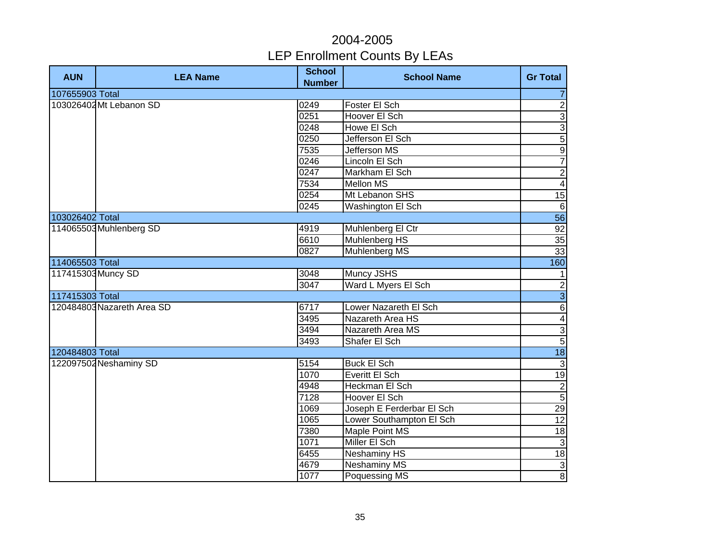| <b>AUN</b>         | <b>LEA Name</b>            | <b>School</b><br><b>Number</b> | <b>School Name</b>        | <b>Gr Total</b>         |
|--------------------|----------------------------|--------------------------------|---------------------------|-------------------------|
| 107655903 Total    |                            |                                |                           | $\overline{7}$          |
|                    | 103026402 Mt Lebanon SD    | 0249                           | Foster El Sch             | $\overline{2}$          |
|                    |                            | 0251                           | Hoover El Sch             | $\overline{3}$          |
|                    |                            | 0248                           | Howe El Sch               | $\overline{3}$          |
|                    |                            | 0250                           | Jefferson El Sch          | $\overline{5}$          |
|                    |                            | 7535                           | <b>Jefferson MS</b>       | $\overline{9}$          |
|                    |                            | 0246                           | Lincoln El Sch            | $\overline{7}$          |
|                    |                            | 0247                           | Markham El Sch            | $\overline{2}$          |
|                    |                            | 7534                           | Mellon MS                 | $\overline{\mathbf{4}}$ |
|                    |                            | 0254                           | Mt Lebanon SHS            | 15                      |
|                    |                            | 0245                           | Washington El Sch         | $6\phantom{1}6$         |
| 103026402 Total    |                            |                                |                           | 56                      |
|                    | 114065503 Muhlenberg SD    | 4919                           | Muhlenberg El Ctr         | 92                      |
|                    |                            | 6610                           | Muhlenberg HS             | 35                      |
|                    |                            | 0827                           | Muhlenberg MS             | 33                      |
| 114065503 Total    |                            |                                |                           | 160                     |
| 117415303 Muncy SD |                            | 3048                           | Muncy JSHS                | $\mathbf{1}$            |
|                    |                            | 3047                           | Ward L Myers El Sch       |                         |
| 117415303 Total    |                            |                                |                           | $\frac{2}{3}$           |
|                    | 120484803 Nazareth Area SD | 6717                           | Lower Nazareth El Sch     | $\sqrt{6}$              |
|                    |                            | 3495                           | Nazareth Area HS          | $\blacktriangle$        |
|                    |                            | 3494                           | Nazareth Area MS          | ا دی                    |
|                    |                            | 3493                           | Shafer El Sch             |                         |
| 120484803 Total    |                            |                                |                           | 18                      |
|                    | 122097502 Neshaminy SD     | 5154                           | <b>Buck El Sch</b>        | دى                      |
|                    |                            | 1070                           | Everitt El Sch            | $\overline{19}$         |
|                    |                            | 4948                           | Heckman El Sch            | $\overline{2}$          |
|                    |                            | 7128                           | Hoover El Sch             | $\overline{5}$          |
|                    |                            | 1069                           | Joseph E Ferderbar El Sch | $\overline{29}$         |
|                    |                            | 1065                           | Lower Southampton El Sch  | 12                      |
|                    |                            | 7380                           | Maple Point MS            | 18                      |
|                    |                            | 1071                           | Miller El Sch             | $\mathbf{3}$            |
|                    |                            | 6455                           | Neshaminy HS              | 18                      |
|                    |                            | 4679                           | <b>Neshaminy MS</b>       | $\mathsf 3$             |
|                    |                            | 1077                           | Poquessing MS             | $\infty$                |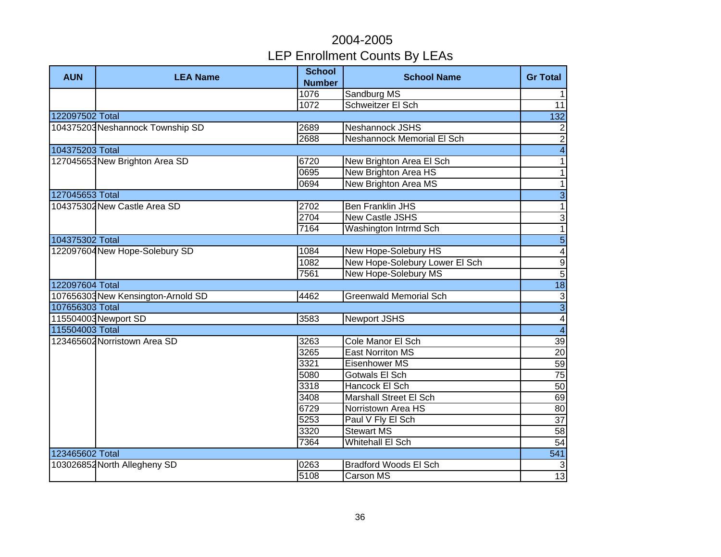| <b>AUN</b>      | <b>LEA Name</b>                    | <b>School</b><br><b>Number</b> | <b>School Name</b>                | <b>Gr Total</b>                    |
|-----------------|------------------------------------|--------------------------------|-----------------------------------|------------------------------------|
|                 |                                    | 1076                           | Sandburg MS                       | $\mathbf{1}$                       |
|                 |                                    | 1072                           | Schweitzer El Sch                 | 11                                 |
| 122097502 Total |                                    |                                |                                   | 132                                |
|                 | 104375203 Neshannock Township SD   | 2689                           | Neshannock JSHS                   | $\overline{c}$                     |
|                 |                                    | 2688                           | <b>Neshannock Memorial El Sch</b> | $\overline{2}$                     |
| 104375203 Total |                                    |                                |                                   | $\overline{4}$                     |
|                 | 127045653 New Brighton Area SD     | 6720                           | New Brighton Area El Sch          | $\mathbf{1}$                       |
|                 |                                    | 0695                           | New Brighton Area HS              | 1                                  |
|                 |                                    | 0694                           | New Brighton Area MS              | $\mathbf{1}$                       |
| 127045653 Total |                                    |                                |                                   | $\overline{3}$                     |
|                 | 104375302 New Castle Area SD       | 2702                           | <b>Ben Franklin JHS</b>           | $\overline{\phantom{a}}$           |
|                 |                                    | 2704                           | <b>New Castle JSHS</b>            | $\ensuremath{\mathsf{3}}$          |
|                 |                                    | 7164                           | Washington Intrmd Sch             | $\overline{1}$                     |
| 104375302 Total |                                    |                                |                                   | $\overline{5}$                     |
|                 | 122097604 New Hope-Solebury SD     | 1084                           | New Hope-Solebury HS              | $\overline{4}$                     |
|                 |                                    | 1082                           | New Hope-Solebury Lower El Sch    |                                    |
|                 |                                    | 7561                           | New Hope-Solebury MS              | $\frac{9}{5}$                      |
| 122097604 Total |                                    |                                |                                   | 18                                 |
|                 | 107656303 New Kensington-Arnold SD | 4462                           | <b>Greenwald Memorial Sch</b>     |                                    |
| 107656303 Total |                                    |                                |                                   | $\frac{a}{\sqrt{1 + \frac{b}{a}}}$ |
|                 | 115504003 Newport SD               | 3583                           | <b>Newport JSHS</b>               |                                    |
| 115504003 Total |                                    |                                |                                   |                                    |
|                 | 123465602 Norristown Area SD       | 3263                           | Cole Manor El Sch                 | 39                                 |
|                 |                                    | 3265                           | <b>East Norriton MS</b>           | 20                                 |
|                 |                                    | 3321                           | Eisenhower MS                     | 59                                 |
|                 |                                    | 5080                           | Gotwals El Sch                    | $\overline{75}$                    |
|                 |                                    | 3318                           | Hancock El Sch                    | 50                                 |
|                 |                                    | 3408                           | <b>Marshall Street El Sch</b>     | 69                                 |
|                 |                                    | 6729                           | Norristown Area HS                | 80                                 |
|                 |                                    | 5253                           | Paul V Fly El Sch                 | $\overline{37}$                    |
|                 |                                    | 3320                           | <b>Stewart MS</b>                 | 58                                 |
|                 |                                    | 7364                           | Whitehall El Sch                  | 54                                 |
| 123465602 Total |                                    |                                |                                   | $\overline{541}$                   |
|                 | 103026852 North Allegheny SD       | 0263                           | <b>Bradford Woods El Sch</b>      | $\mathbf{3}$                       |
|                 |                                    | 5108                           | Carson MS                         | $\overline{13}$                    |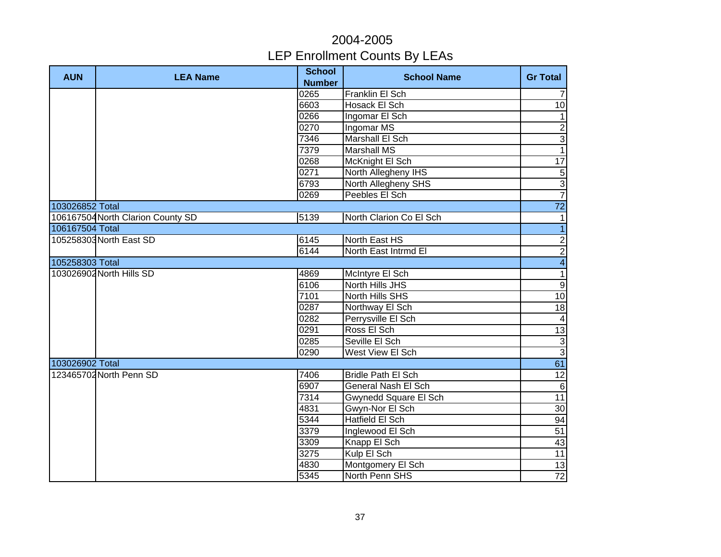| <b>AUN</b>      | <b>LEA Name</b>                   | <b>School</b><br><b>Number</b> | <b>School Name</b>         | <b>Gr Total</b>          |
|-----------------|-----------------------------------|--------------------------------|----------------------------|--------------------------|
|                 |                                   | 0265                           | Franklin El Sch            | $\overline{7}$           |
|                 |                                   | 6603                           | <b>Hosack El Sch</b>       | 10                       |
|                 |                                   | 0266                           | Ingomar El Sch             | $\mathbf{1}$             |
|                 |                                   | 0270                           | Ingomar MS                 | $\overline{2}$           |
|                 |                                   | 7346                           | <b>Marshall El Sch</b>     | $\overline{3}$           |
|                 |                                   | 7379                           | <b>Marshall MS</b>         | $\overline{1}$           |
|                 |                                   | 0268                           | McKnight El Sch            | 17                       |
|                 |                                   | 0271                           | North Allegheny IHS        | $\overline{5}$           |
|                 |                                   | 6793                           | North Allegheny SHS        | $\overline{3}$           |
|                 |                                   | 0269                           | Peebles El Sch             | $\overline{7}$           |
| 103026852 Total |                                   |                                |                            | $\overline{72}$          |
|                 | 106167504 North Clarion County SD | 5139                           | North Clarion Co El Sch    | $\mathbf{1}$             |
| 106167504 Total |                                   |                                |                            | $\overline{1}$           |
|                 | 105258303 North East SD           | 6145                           | North East HS              | $\mathbf 2$              |
|                 |                                   | 6144                           | North East Intrmd El       | $\overline{2}$           |
| 105258303 Total |                                   |                                |                            | $\overline{\mathbf{4}}$  |
|                 | 103026902 North Hills SD          | 4869                           | McIntyre El Sch            | $\overline{\phantom{0}}$ |
|                 |                                   | 6106                           | North Hills JHS            | $\overline{9}$           |
|                 |                                   | 7101                           | North Hills SHS            | 10                       |
|                 |                                   | 0287                           | Northway El Sch            | 18                       |
|                 |                                   | 0282                           | Perrysville El Sch         | $\overline{\mathbf{4}}$  |
|                 |                                   | 0291                           | Ross El Sch                | $\overline{13}$          |
|                 |                                   | 0285                           | Seville El Sch             | $\boldsymbol{\omega}$    |
|                 |                                   | 0290                           | West View El Sch           | $\overline{3}$           |
| 103026902 Total |                                   |                                |                            | 61                       |
|                 | 123465702 North Penn SD           | 7406                           | <b>Bridle Path El Sch</b>  | $\overline{12}$          |
|                 |                                   | 6907                           | <b>General Nash El Sch</b> | $\Theta$                 |
|                 |                                   | 7314                           | Gwynedd Square El Sch      | $\overline{11}$          |
|                 |                                   | 4831                           | Gwyn-Nor El Sch            | 30                       |
|                 |                                   | 5344                           | Hatfield El Sch            | 94                       |
|                 |                                   | 3379                           | Inglewood El Sch           | 51                       |
|                 |                                   | 3309                           | Knapp El Sch               | 43                       |
|                 |                                   | 3275                           | Kulp El Sch                | 11                       |
|                 |                                   | 4830                           | Montgomery El Sch          | 13                       |
|                 |                                   | 5345                           | North Penn SHS             | $72\,$                   |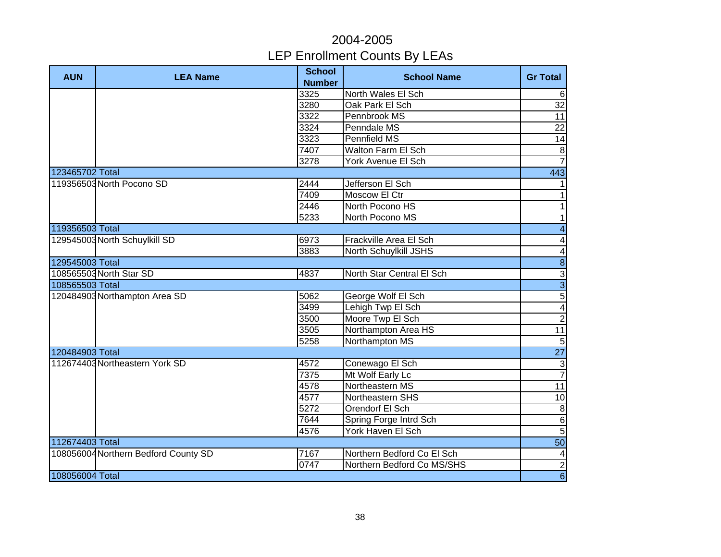| <b>AUN</b>      | <b>LEA Name</b>                      | <b>School</b><br><b>Number</b> | <b>School Name</b>         | <b>Gr Total</b>         |
|-----------------|--------------------------------------|--------------------------------|----------------------------|-------------------------|
|                 |                                      | 3325                           | North Wales El Sch         | $\,6\,$                 |
|                 |                                      | 3280                           | Oak Park El Sch            | 32                      |
|                 |                                      | 3322                           | Pennbrook MS               | 11                      |
|                 |                                      | 3324                           | Penndale MS                | $\overline{22}$         |
|                 |                                      | 3323                           | <b>Pennfield MS</b>        | 14                      |
|                 |                                      | 7407                           | <b>Walton Farm El Sch</b>  | $\boldsymbol{8}$        |
|                 |                                      | 3278                           | York Avenue El Sch         | $\overline{7}$          |
| 123465702 Total |                                      |                                |                            | 443                     |
|                 | 119356503 North Pocono SD            | 2444                           | Jefferson El Sch           | $\mathbf{1}$            |
|                 |                                      | 7409                           | Moscow El Ctr              | $\overline{1}$          |
|                 |                                      | 2446                           | North Pocono HS            | $\mathbf{1}$            |
|                 |                                      | 5233                           | North Pocono MS            | $\mathbf{1}$            |
| 119356503 Total |                                      |                                |                            | $\overline{4}$          |
|                 | 129545003 North Schuylkill SD        | 6973                           | Frackville Area El Sch     | $\overline{\mathbf{4}}$ |
|                 |                                      | 3883                           | North Schuylkill JSHS      | $\overline{4}$          |
| 129545003 Total |                                      |                                |                            | $\overline{8}$          |
|                 | 108565503 North Star SD              | 4837                           | North Star Central El Sch  |                         |
| 108565503 Total |                                      |                                |                            | $\frac{3}{3}$           |
|                 | 120484903 Northampton Area SD        | 5062                           | George Wolf El Sch         | $\overline{5}$          |
|                 |                                      | 3499                           | Lehigh Twp El Sch          | $\overline{4}$          |
|                 |                                      | 3500                           | Moore Twp El Sch           | $\overline{2}$          |
|                 |                                      | 3505                           | Northampton Area HS        | 11                      |
|                 |                                      | 5258                           | Northampton MS             | $\overline{5}$          |
| 120484903 Total |                                      |                                |                            | $\overline{27}$         |
|                 | 112674403 Northeastern York SD       | 4572                           | Conewago El Sch            | $\overline{\omega}$     |
|                 |                                      | 7375                           | Mt Wolf Early Lc           | $\overline{7}$          |
|                 |                                      | 4578                           | Northeastern MS            | $\overline{11}$         |
|                 |                                      | 4577                           | Northeastern SHS           | 10                      |
|                 |                                      | 5272                           | Orendorf El Sch            | $\, 8$                  |
|                 |                                      | 7644                           | Spring Forge Intrd Sch     | $\overline{6}$          |
|                 |                                      | 4576                           | York Haven El Sch          | $\overline{5}$          |
| 112674403 Total |                                      |                                |                            | 50                      |
|                 | 108056004 Northern Bedford County SD | 7167                           | Northern Bedford Co El Sch | $\overline{4}$          |
|                 |                                      | 0747                           | Northern Bedford Co MS/SHS | $\overline{2}$          |
| 108056004 Total |                                      |                                |                            | $\overline{6}$          |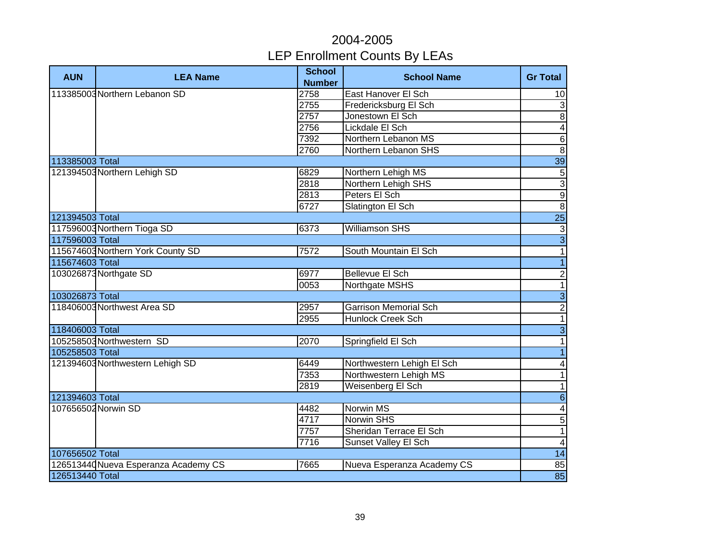| <b>AUN</b>          | <b>LEA Name</b>                      | <b>School</b><br><b>Number</b> | <b>School Name</b>           | <b>Gr Total</b> |
|---------------------|--------------------------------------|--------------------------------|------------------------------|-----------------|
|                     | 113385003 Northern Lebanon SD        | 2758                           | East Hanover El Sch          | 10              |
|                     |                                      | 2755                           | Fredericksburg El Sch        | $\sqrt{3}$      |
|                     |                                      | 2757                           | Jonestown El Sch             | $\overline{8}$  |
|                     |                                      | 2756                           | Lickdale El Sch              | $\overline{4}$  |
|                     |                                      | 7392                           | Northern Lebanon MS          | $\overline{6}$  |
|                     |                                      | 2760                           | Northern Lebanon SHS         | $\overline{8}$  |
| 113385003 Total     |                                      |                                |                              | 39              |
|                     | 121394503 Northern Lehigh SD         | 6829                           | Northern Lehigh MS           | $\overline{5}$  |
|                     |                                      | 2818                           | Northern Lehigh SHS          | $\overline{3}$  |
|                     |                                      | 2813                           | Peters El Sch                | $\overline{9}$  |
|                     |                                      | 6727                           | Slatington El Sch            | $\overline{8}$  |
| 121394503 Total     |                                      |                                |                              | $\overline{25}$ |
|                     | 117596003 Northern Tioga SD          | 6373                           | <b>Williamson SHS</b>        | $\sqrt{3}$      |
| 117596003 Total     |                                      |                                |                              | $\overline{3}$  |
|                     | 115674603 Northern York County SD    | 7572                           | South Mountain El Sch        | $\overline{1}$  |
| 115674603 Total     |                                      |                                |                              | $\overline{1}$  |
|                     | 103026873 Northgate SD               | 6977                           | Bellevue El Sch              | $\frac{2}{1}$   |
|                     |                                      | 0053                           | Northgate MSHS               |                 |
| 103026873 Total     |                                      |                                |                              | $\overline{3}$  |
|                     | 118406003 Northwest Area SD          | 2957                           | <b>Garrison Memorial Sch</b> | $\frac{2}{1}$   |
|                     |                                      | 2955                           | <b>Hunlock Creek Sch</b>     |                 |
| 118406003 Total     |                                      |                                |                              | $\overline{3}$  |
|                     | 105258503 Northwestern SD            | 2070                           | Springfield El Sch           | $\overline{1}$  |
| 105258503 Total     |                                      |                                |                              | $\overline{1}$  |
|                     | 121394603 Northwestern Lehigh SD     | 6449                           | Northwestern Lehigh El Sch   | $\overline{4}$  |
|                     |                                      | 7353                           | Northwestern Lehigh MS       | $\overline{1}$  |
|                     |                                      | 2819                           | Weisenberg El Sch            | $\overline{1}$  |
| 121394603 Total     |                                      |                                |                              | $\overline{6}$  |
| 107656502 Norwin SD |                                      | 4482                           | <b>Norwin MS</b>             | $\overline{4}$  |
|                     |                                      | 4717                           | <b>Norwin SHS</b>            | $\overline{5}$  |
|                     |                                      | 7757                           | Sheridan Terrace El Sch      | $\overline{1}$  |
|                     |                                      | 7716                           | Sunset Valley El Sch         | $\overline{4}$  |
| 107656502 Total     |                                      |                                |                              | 14              |
|                     | 126513440 Nueva Esperanza Academy CS | 7665                           | Nueva Esperanza Academy CS   | 85              |
| 126513440 Total     |                                      |                                |                              | 85              |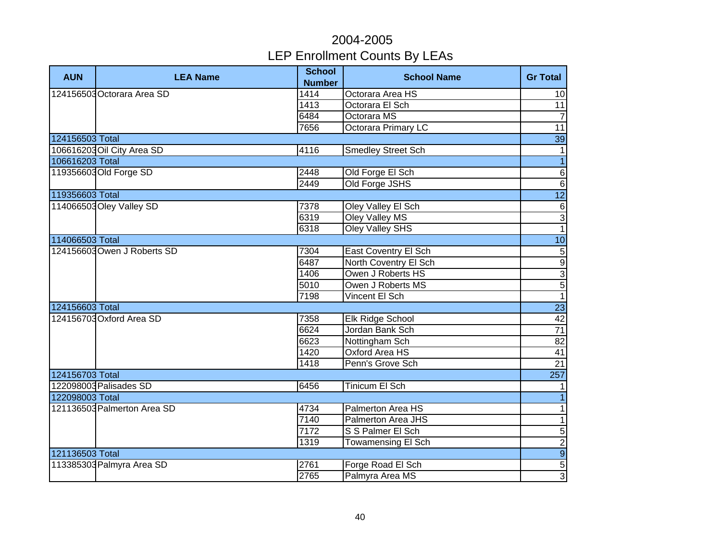| <b>AUN</b>      | <b>LEA Name</b>             | <b>School</b><br><b>Number</b> | <b>School Name</b>        | <b>Gr Total</b>  |
|-----------------|-----------------------------|--------------------------------|---------------------------|------------------|
|                 | 124156503 Octorara Area SD  | 1414                           | Octorara Area HS          | 10               |
|                 |                             | 1413                           | Octorara El Sch           | 11               |
|                 |                             | 6484                           | Octorara MS               | $\overline{7}$   |
|                 |                             | 7656                           | Octorara Primary LC       | $\overline{11}$  |
| 124156503 Total |                             |                                |                           | $\overline{39}$  |
|                 | 106616203 Oil City Area SD  | 4116                           | <b>Smedley Street Sch</b> | $\overline{1}$   |
| 106616203 Total |                             |                                |                           | $\overline{1}$   |
|                 | 119356603 Old Forge SD      | 2448                           | Old Forge El Sch          | $\overline{6}$   |
|                 |                             | 2449                           | Old Forge JSHS            | $\overline{6}$   |
| 119356603 Total |                             |                                |                           | $\overline{12}$  |
|                 | 114066503 Oley Valley SD    | 7378                           | Oley Valley El Sch        | $\,6\,$          |
|                 |                             | 6319                           | Oley Valley MS            | $\overline{3}$   |
|                 |                             | 6318                           | Oley Valley SHS           | $\overline{1}$   |
| 114066503 Total |                             |                                |                           | 10               |
|                 | 124156603 Owen J Roberts SD | 7304                           | East Coventry El Sch      | $\overline{5}$   |
|                 |                             | 6487                           | North Coventry El Sch     | $\frac{9}{3}$    |
|                 |                             | 1406                           | Owen J Roberts HS         |                  |
|                 |                             | 5010                           | Owen J Roberts MS         |                  |
|                 |                             | 7198                           | Vincent El Sch            | $\overline{1}$   |
| 124156603 Total |                             |                                |                           | $\overline{23}$  |
|                 | 124156703 Oxford Area SD    | 7358                           | Elk Ridge School          | 42               |
|                 |                             | 6624                           | Jordan Bank Sch           | $\overline{71}$  |
|                 |                             | 6623                           | Nottingham Sch            | $\overline{82}$  |
|                 |                             | 1420                           | Oxford Area HS            | 41               |
|                 |                             | 1418                           | Penn's Grove Sch          | 21               |
| 124156703 Total |                             |                                |                           | $\overline{257}$ |
|                 | 122098003 Palisades SD      | 6456                           | <b>Tinicum El Sch</b>     | $\mathbf{1}$     |
| 122098003 Total |                             |                                |                           | $\overline{1}$   |
|                 | 121136503 Palmerton Area SD | 4734                           | Palmerton Area HS         | $\overline{1}$   |
|                 |                             | 7140                           | <b>Palmerton Area JHS</b> | $\overline{1}$   |
|                 |                             | 7172                           | S S Palmer El Sch         | $\overline{5}$   |
|                 |                             | 1319                           | Towamensing El Sch        | $\overline{2}$   |
| 121136503 Total |                             |                                |                           | $\overline{9}$   |
|                 | 113385303 Palmyra Area SD   | 2761                           | Forge Road El Sch         | $\overline{5}$   |
|                 |                             | 2765                           | Palmyra Area MS           | $\overline{3}$   |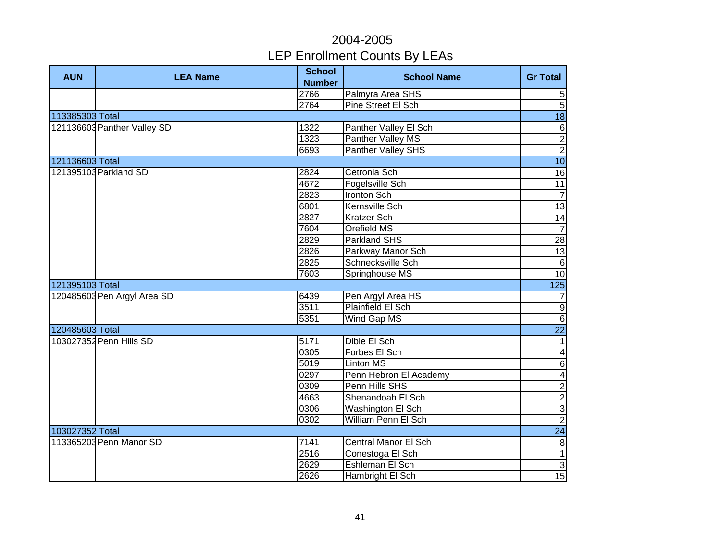| <b>AUN</b>      | <b>LEA Name</b>             | <b>School</b><br><b>Number</b> | <b>School Name</b>       | <b>Gr Total</b>         |
|-----------------|-----------------------------|--------------------------------|--------------------------|-------------------------|
|                 |                             | 2766                           | Palmyra Area SHS         | $\sqrt{5}$              |
|                 |                             | 2764                           | Pine Street El Sch       | $\overline{5}$          |
| 113385303 Total |                             |                                |                          | 18                      |
|                 | 121136603 Panther Valley SD | 1322                           | Panther Valley El Sch    | $\,6$                   |
|                 |                             | 1323                           | <b>Panther Valley MS</b> | $\overline{2}$          |
|                 |                             | 6693                           | Panther Valley SHS       | $\overline{2}$          |
| 121136603 Total |                             |                                |                          | 10                      |
|                 | 121395103 Parkland SD       | 2824                           | Cetronia Sch             | 16                      |
|                 |                             | 4672                           | Fogelsville Sch          | 11                      |
|                 |                             | 2823                           | Ironton Sch              | $\overline{7}$          |
|                 |                             | 6801                           | Kernsville Sch           | $\overline{13}$         |
|                 |                             | 2827                           | Kratzer Sch              | 14                      |
|                 |                             | 7604                           | Orefield MS              | $\overline{7}$          |
|                 |                             | 2829                           | Parkland SHS             | 28                      |
|                 |                             | 2826                           | Parkway Manor Sch        | 13                      |
|                 |                             | 2825                           | Schnecksville Sch        | $\,6$                   |
|                 |                             | 7603                           | Springhouse MS           | 10                      |
| 121395103 Total |                             |                                |                          | 125                     |
|                 | 120485603 Pen Argyl Area SD | 6439                           | Pen Argyl Area HS        | $\overline{7}$          |
|                 |                             | 3511                           | Plainfield El Sch        | $\overline{9}$          |
|                 |                             | 5351                           | Wind Gap MS              | 6                       |
| 120485603 Total |                             |                                |                          | $\overline{22}$         |
|                 | 103027352 Penn Hills SD     | 5171                           | Dible El Sch             | $\overline{1}$          |
|                 |                             | 0305                           | Forbes El Sch            | $\overline{4}$          |
|                 |                             | 5019                           | Linton MS                | $\overline{6}$          |
|                 |                             | 0297                           | Penn Hebron El Academy   | $\overline{\mathbf{4}}$ |
|                 |                             | 0309                           | Penn Hills SHS           | $\overline{2}$          |
|                 |                             | 4663                           | Shenandoah El Sch        | $\frac{2}{3}$           |
|                 |                             | 0306                           | Washington El Sch        |                         |
|                 |                             | 0302                           | William Penn El Sch      | $\overline{2}$          |
| 103027352 Total |                             |                                |                          | $\overline{24}$         |
|                 | 113365203 Penn Manor SD     | 7141                           | Central Manor El Sch     | $\infty$                |
|                 |                             | 2516                           | Conestoga El Sch         | $\overline{1}$          |
|                 |                             | 2629                           | Eshleman El Sch          | $\overline{3}$          |
|                 |                             | 2626                           | Hambright El Sch         | $\overline{15}$         |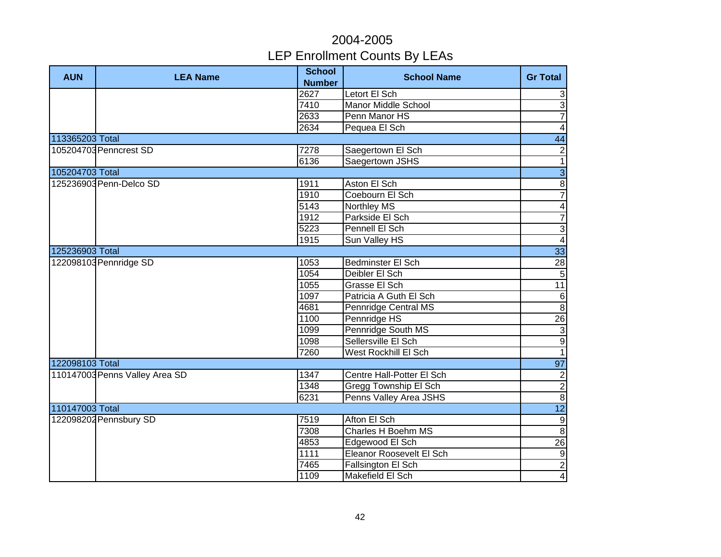| <b>AUN</b>      | <b>LEA Name</b>                | <b>School</b><br><b>Number</b> | <b>School Name</b>           | <b>Gr Total</b>         |
|-----------------|--------------------------------|--------------------------------|------------------------------|-------------------------|
|                 |                                | 2627                           | Letort El Sch                | $\sqrt{3}$              |
|                 |                                | 7410                           | <b>Manor Middle School</b>   | $\overline{3}$          |
|                 |                                | 2633                           | Penn Manor HS                | $\overline{7}$          |
|                 |                                | 2634                           | Pequea El Sch                | $\overline{4}$          |
| 113365203 Total |                                |                                |                              | 44                      |
|                 | 105204703 Penncrest SD         | 7278                           | Saegertown El Sch            | $\boldsymbol{2}$        |
|                 |                                | 6136                           | Saegertown JSHS              | $\overline{1}$          |
| 105204703 Total |                                |                                |                              | $\overline{3}$          |
|                 | 125236903 Penn-Delco SD        | 1911                           | Aston El Sch                 | $\overline{8}$          |
|                 |                                | 1910                           | Coebourn El Sch              | $\overline{7}$          |
|                 |                                | $\overline{5143}$              | <b>Northley MS</b>           | $\overline{\mathbf{4}}$ |
|                 |                                | 1912                           | Parkside El Sch              | $\overline{7}$          |
|                 |                                | $\overline{5223}$              | Pennell El Sch               | $\overline{3}$          |
|                 |                                | 1915                           | Sun Valley HS                | $\overline{4}$          |
| 125236903 Total |                                |                                |                              | 33                      |
|                 | 122098103 Pennridge SD         | 1053                           | <b>Bedminster El Sch</b>     | 28                      |
|                 |                                | 1054                           | Deibler El Sch               | $\overline{5}$          |
|                 |                                | 1055                           | Grasse El Sch                | $\overline{11}$         |
|                 |                                | 1097                           | Patricia A Guth El Sch       | $\,6$                   |
|                 |                                | 4681                           | Pennridge Central MS         | $\overline{8}$          |
|                 |                                | 1100                           | Pennridge HS                 | $\overline{26}$         |
|                 |                                | 1099                           | Pennridge South MS           | $\overline{\omega}$     |
|                 |                                | 1098                           | Sellersville El Sch          | $\overline{9}$          |
|                 |                                | 7260                           | West Rockhill El Sch         | $\overline{1}$          |
| 122098103 Total |                                |                                |                              | 97                      |
|                 | 110147003 Penns Valley Area SD | 1347                           | Centre Hall-Potter El Sch    | $\overline{2}$          |
|                 |                                | 1348                           | <b>Gregg Township El Sch</b> | $\overline{2}$          |
|                 |                                | 6231                           | Penns Valley Area JSHS       | $\overline{8}$          |
| 110147003 Total |                                |                                |                              | $\overline{12}$         |
|                 | 122098202 Pennsbury SD         | 7519                           | Afton El Sch                 | $\overline{9}$          |
|                 |                                | 7308                           | Charles H Boehm MS           | $\overline{8}$          |
|                 |                                | 4853                           | Edgewood El Sch              | $\overline{26}$         |
|                 |                                | 1111                           | Eleanor Roosevelt El Sch     | $\overline{9}$          |
|                 |                                | 7465                           | Fallsington El Sch           | $\overline{2}$          |
|                 |                                | 1109                           | Makefield El Sch             | $\overline{4}$          |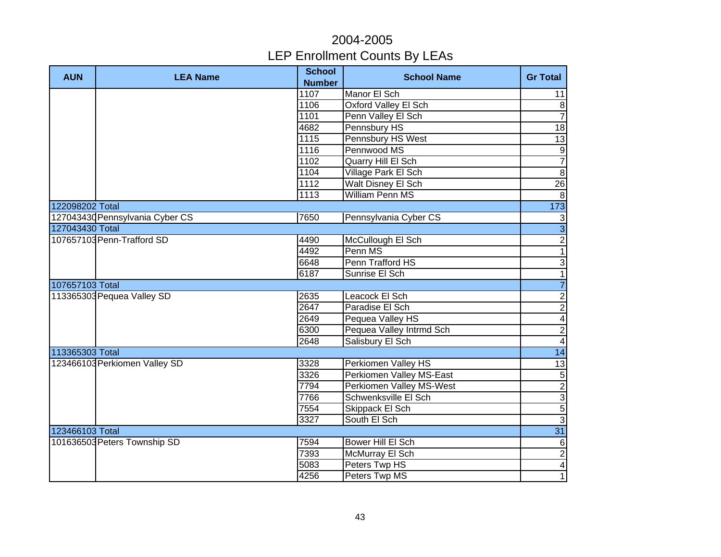| <b>AUN</b>      | <b>LEA Name</b>                 | <b>School</b><br><b>Number</b> | <b>School Name</b>              | <b>Gr Total</b>         |
|-----------------|---------------------------------|--------------------------------|---------------------------------|-------------------------|
|                 |                                 | 1107                           | Manor El Sch                    | 11                      |
|                 |                                 | 1106                           | <b>Oxford Valley El Sch</b>     | $\bf 8$                 |
|                 |                                 | 1101                           | Penn Valley El Sch              | $\overline{7}$          |
|                 |                                 | 4682                           | Pennsbury HS                    | $\frac{1}{8}$           |
|                 |                                 | 1115                           | Pennsbury HS West               | $\overline{13}$         |
|                 |                                 | 1116                           | Pennwood MS                     | $\overline{9}$          |
|                 |                                 | 1102                           | Quarry Hill El Sch              | $\overline{7}$          |
|                 |                                 | 1104                           | Village Park El Sch             | $\overline{8}$          |
|                 |                                 | 1112                           | <b>Walt Disney El Sch</b>       | 26                      |
|                 |                                 | 1113                           | <b>William Penn MS</b>          | $\infty$                |
| 122098202 Total |                                 |                                |                                 | 173                     |
|                 | 127043430 Pennsylvania Cyber CS | 7650                           | Pennsylvania Cyber CS           | $\mathbf{3}$            |
| 127043430 Total |                                 |                                |                                 | $\overline{3}$          |
|                 | 107657103 Penn-Trafford SD      | 4490                           | McCullough El Sch               | $\overline{2}$          |
|                 |                                 | 4492                           | Penn MS                         | $\overline{1}$          |
|                 |                                 | 6648                           | Penn Trafford HS                | $\overline{3}$          |
|                 |                                 | 6187                           | Sunrise El Sch                  | $\overline{1}$          |
| 107657103 Total |                                 |                                |                                 | $\overline{7}$          |
|                 | 113365303 Pequea Valley SD      | 2635                           | Leacock El Sch                  | $\overline{2}$          |
|                 |                                 | 2647                           | Paradise El Sch                 | $\overline{2}$          |
|                 |                                 | 2649                           | Pequea Valley HS                | $\overline{\mathbf{4}}$ |
|                 |                                 | 6300                           | Pequea Valley Intrmd Sch        | $\overline{2}$          |
|                 |                                 | 2648                           | Salisbury El Sch                | $\overline{4}$          |
| 113365303 Total |                                 |                                |                                 | 14                      |
|                 | 123466103 Perkiomen Valley SD   | 3328                           | Perkiomen Valley HS             | $\overline{13}$         |
|                 |                                 | 3326                           | <b>Perkiomen Valley MS-East</b> |                         |
|                 |                                 | 7794                           | Perkiomen Valley MS-West        | <u>ယတဖြ</u> ုပ          |
|                 |                                 | 7766                           | Schwenksville El Sch            |                         |
|                 |                                 | 7554                           | Skippack El Sch                 |                         |
|                 |                                 | 3327                           | South El Sch                    |                         |
| 123466103 Total |                                 |                                |                                 | 31                      |
|                 | 101636503 Peters Township SD    | 7594                           | Bower Hill El Sch               | $6\phantom{a}$          |
|                 |                                 | 7393                           | McMurray El Sch                 | $\frac{2}{4}$           |
|                 |                                 | 5083                           | Peters Twp HS                   |                         |
|                 |                                 | 4256                           | Peters Twp MS                   | $\overline{1}$          |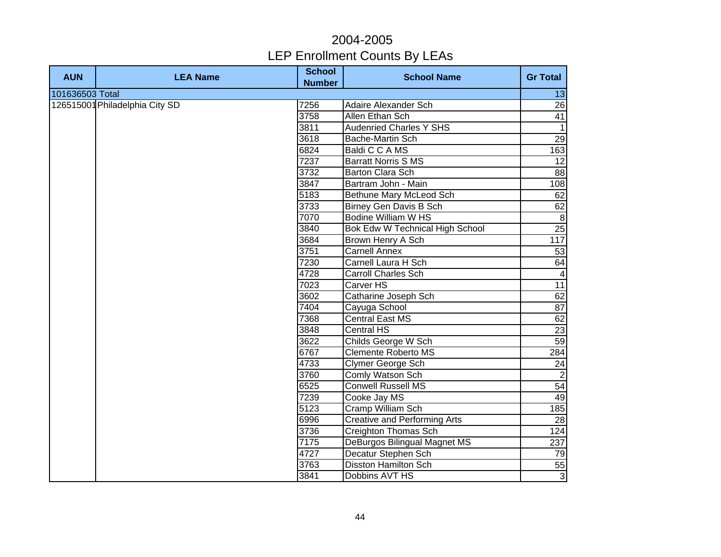| <b>AUN</b>      | <b>LEA Name</b>                | <b>School</b><br><b>Number</b> | <b>School Name</b>                  | <b>Gr Total</b> |
|-----------------|--------------------------------|--------------------------------|-------------------------------------|-----------------|
| 101636503 Total |                                |                                |                                     | 13              |
|                 | 126515001 Philadelphia City SD | 7256                           | <b>Adaire Alexander Sch</b>         | 26              |
|                 |                                | 3758                           | Allen Ethan Sch                     | 41              |
|                 |                                | 3811                           | <b>Audenried Charles Y SHS</b>      | $\overline{1}$  |
|                 |                                | 3618                           | Bache-Martin Sch                    | 29              |
|                 |                                | 6824                           | Baldi C C A MS                      | 163             |
|                 |                                | 7237                           | <b>Barratt Norris S MS</b>          | $\overline{12}$ |
|                 |                                | 3732                           | <b>Barton Clara Sch</b>             | 88              |
|                 |                                | 3847                           | Bartram John - Main                 | 108             |
|                 |                                | 5183                           | Bethune Mary McLeod Sch             | 62              |
|                 |                                | 3733                           | Birney Gen Davis B Sch              | 62              |
|                 |                                | 7070                           | Bodine William W HS                 | $\infty$        |
|                 |                                | 3840                           | Bok Edw W Technical High School     | 25              |
|                 |                                | 3684                           | Brown Henry A Sch                   | 117             |
|                 |                                | 3751                           | <b>Carnell Annex</b>                | 53              |
|                 |                                | 7230                           | Carnell Laura H Sch                 | 64              |
|                 |                                | 4728                           | Carroll Charles Sch                 | $\overline{4}$  |
|                 |                                | 7023                           | Carver HS                           | 11              |
|                 |                                | 3602                           | Catharine Joseph Sch                | 62              |
|                 |                                | 7404                           | Cayuga School                       | 87              |
|                 |                                | 7368                           | <b>Central East MS</b>              | 62              |
|                 |                                | 3848                           | <b>Central HS</b>                   | 23              |
|                 |                                | 3622                           | Childs George W Sch                 | 59              |
|                 |                                | 6767                           | <b>Clemente Roberto MS</b>          | 284             |
|                 |                                | 4733                           | Clymer George Sch                   | 24              |
|                 |                                | 3760                           | Comly Watson Sch                    | $\overline{2}$  |
|                 |                                | 6525                           | <b>Conwell Russell MS</b>           | 54              |
|                 |                                | 7239                           | Cooke Jay MS                        | 49              |
|                 |                                | 5123                           | <b>Cramp William Sch</b>            | 185             |
|                 |                                | 6996                           | <b>Creative and Performing Arts</b> | 28              |
|                 |                                | 3736                           | Creighton Thomas Sch                | 124             |
|                 |                                | 7175                           | DeBurgos Bilingual Magnet MS        | 237             |
|                 |                                | 4727                           | Decatur Stephen Sch                 | 79              |
|                 |                                | 3763                           | <b>Disston Hamilton Sch</b>         | 55              |
|                 |                                | 3841                           | Dobbins AVT HS                      | $\overline{3}$  |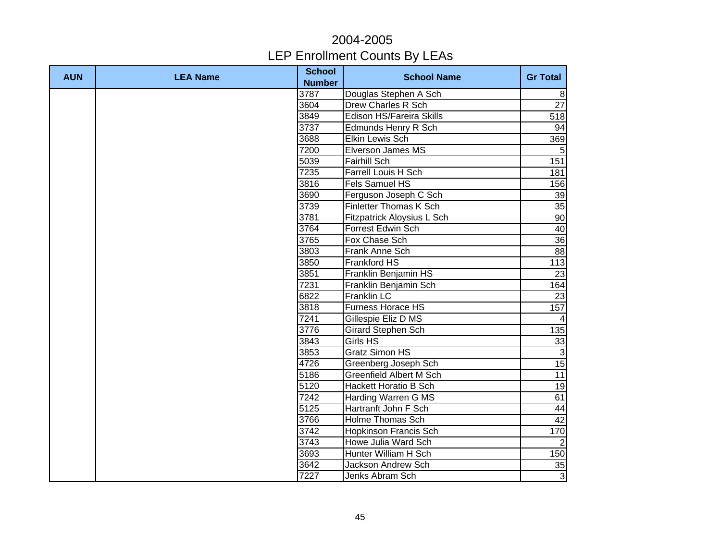| <b>AUN</b> | <b>LEA Name</b> | <b>School</b><br><b>Number</b> | <b>School Name</b>              | <b>Gr Total</b> |
|------------|-----------------|--------------------------------|---------------------------------|-----------------|
|            |                 | 3787                           | Douglas Stephen A Sch           | 8               |
|            |                 | 3604                           | <b>Drew Charles R Sch</b>       | $\overline{27}$ |
|            |                 | 3849                           | <b>Edison HS/Fareira Skills</b> | 518             |
|            |                 | 3737                           | <b>Edmunds Henry R Sch</b>      | 94              |
|            |                 | 3688                           | <b>Elkin Lewis Sch</b>          | 369             |
|            |                 | 7200                           | Elverson James MS               | 5               |
|            |                 | 5039                           | <b>Fairhill Sch</b>             | 151             |
|            |                 | 7235                           | Farrell Louis H Sch             | 181             |
|            |                 | 3816                           | Fels Samuel HS                  | 156             |
|            |                 | 3690                           | Ferguson Joseph C Sch           | 39              |
|            |                 | 3739                           | <b>Finletter Thomas K Sch</b>   | $\overline{35}$ |
|            |                 | 3781                           | Fitzpatrick Aloysius L Sch      | 90              |
|            |                 | 3764                           | Forrest Edwin Sch               | 40              |
|            |                 | 3765                           | Fox Chase Sch                   | 36              |
|            |                 | 3803                           | Frank Anne Sch                  | 88              |
|            |                 | 3850                           | Frankford HS                    | 113             |
|            |                 | 3851                           | Franklin Benjamin HS            | 23              |
|            |                 | 7231                           | Franklin Benjamin Sch           | 164             |
|            |                 | 6822                           | <b>Franklin LC</b>              | 23              |
|            |                 | 3818                           | <b>Furness Horace HS</b>        | 157             |
|            |                 | 7241                           | Gillespie Eliz D MS             | $\overline{4}$  |
|            |                 | 3776                           | Girard Stephen Sch              | 135             |
|            |                 | 3843                           | Girls HS                        | 33              |
|            |                 | 3853                           | <b>Gratz Simon HS</b>           | دى              |
|            |                 | 4726                           | Greenberg Joseph Sch            | 15              |
|            |                 | 5186                           | <b>Greenfield Albert M Sch</b>  | 11              |
|            |                 | 5120                           | <b>Hackett Horatio B Sch</b>    | $\overline{19}$ |
|            |                 | 7242                           | Harding Warren G MS             | 61              |
|            |                 | 5125                           | Hartranft John F Sch            | 44              |
|            |                 | 3766                           | <b>Holme Thomas Sch</b>         | 42              |
|            |                 | 3742                           | <b>Hopkinson Francis Sch</b>    | 170             |
|            |                 | 3743                           | Howe Julia Ward Sch             | $\overline{2}$  |
|            |                 | 3693                           | Hunter William H Sch            | 150             |
|            |                 | 3642                           | Jackson Andrew Sch              | 35              |
|            |                 | 7227                           | Jenks Abram Sch                 | $\overline{3}$  |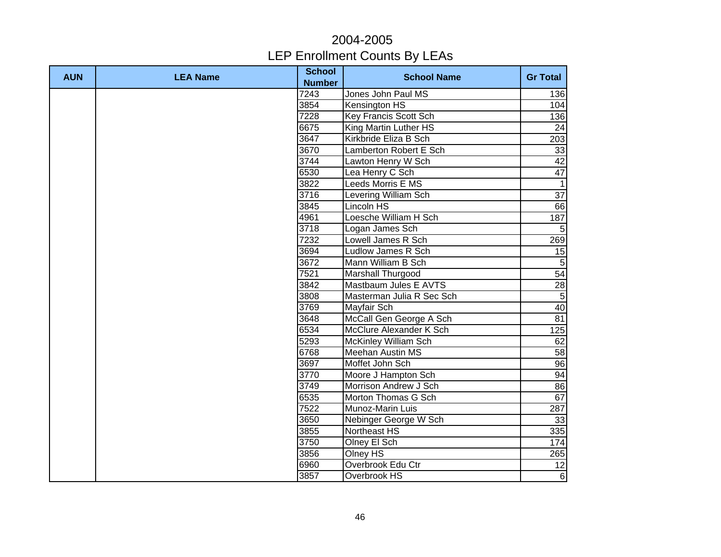| <b>AUN</b> | <b>LEA Name</b> | <b>School</b><br><b>Number</b> | <b>School Name</b>           | <b>Gr Total</b> |
|------------|-----------------|--------------------------------|------------------------------|-----------------|
|            |                 | 7243                           | Jones John Paul MS           | 136             |
|            |                 | 3854                           | Kensington HS                | 104             |
|            |                 | 7228                           | <b>Key Francis Scott Sch</b> | 136             |
|            |                 | 6675                           | King Martin Luther HS        | 24              |
|            |                 | 3647                           | Kirkbride Eliza B Sch        | 203             |
|            |                 | 3670                           | Lamberton Robert E Sch       | 33              |
|            |                 | 3744                           | Lawton Henry W Sch           | 42              |
|            |                 | 6530                           | Lea Henry C Sch              | 47              |
|            |                 | 3822                           | Leeds Morris E MS            | $\overline{1}$  |
|            |                 | 3716                           | Levering William Sch         | $\overline{37}$ |
|            |                 | 3845                           | Lincoln HS                   | 66              |
|            |                 | 4961                           | Loesche William H Sch        | 187             |
|            |                 | 3718                           | Logan James Sch              | 5               |
|            |                 | 7232                           | Lowell James R Sch           | 269             |
|            |                 | 3694                           | Ludlow James R Sch           | 15              |
|            |                 | 3672                           | Mann William B Sch           | $\overline{5}$  |
|            |                 | 7521                           | Marshall Thurgood            | 54              |
|            |                 | 3842                           | Mastbaum Jules E AVTS        | 28              |
|            |                 | 3808                           | Masterman Julia R Sec Sch    | $\overline{5}$  |
|            |                 | 3769                           | Mayfair Sch                  | 40              |
|            |                 | 3648                           | McCall Gen George A Sch      | 81              |
|            |                 | 6534                           | McClure Alexander K Sch      | 125             |
|            |                 | 5293                           | McKinley William Sch         | 62              |
|            |                 | 6768                           | <b>Meehan Austin MS</b>      | 58              |
|            |                 | 3697                           | Moffet John Sch              | 96              |
|            |                 | 3770                           | Moore J Hampton Sch          | 94              |
|            |                 | 3749                           | Morrison Andrew J Sch        | 86              |
|            |                 | 6535                           | Morton Thomas G Sch          | 67              |
|            |                 | 7522                           | Munoz-Marin Luis             | 287             |
|            |                 | 3650                           | Nebinger George W Sch        | 33              |
|            |                 | 3855                           | Northeast HS                 | 335             |
|            |                 | 3750                           | Olney El Sch                 | 174             |
|            |                 | 3856                           | Olney $H\overline{S}$        | 265             |
|            |                 | 6960                           | Overbrook Edu Ctr            | 12              |
|            |                 | 3857                           | Overbrook HS                 | $6 \mid$        |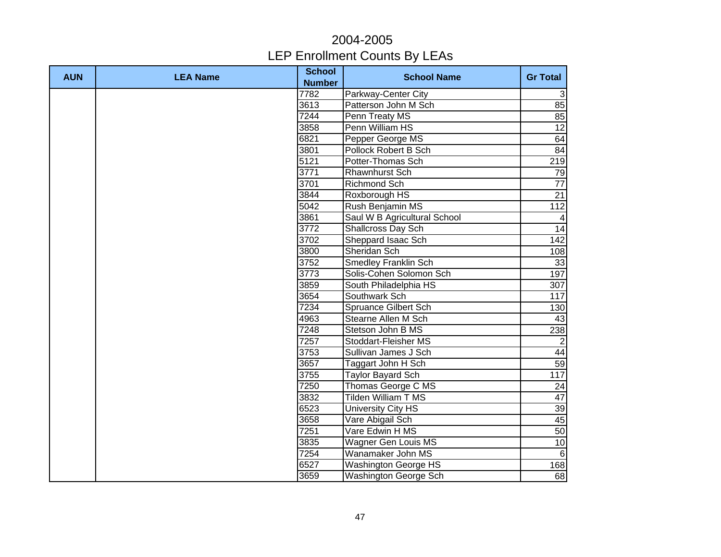| <b>AUN</b> | <b>LEA Name</b> | <b>School</b><br><b>Number</b> | <b>School Name</b>           | <b>Gr Total</b>  |
|------------|-----------------|--------------------------------|------------------------------|------------------|
|            |                 | 7782                           | Parkway-Center City          | $\mathbf{3}$     |
|            |                 | 3613                           | Patterson John M Sch         | 85               |
|            |                 | 7244                           | Penn Treaty MS               | 85               |
|            |                 | 3858                           | Penn William HS              | $\overline{12}$  |
|            |                 | 6821                           | Pepper George MS             | 64               |
|            |                 | 3801                           | Pollock Robert B Sch         | 84               |
|            |                 | 5121                           | Potter-Thomas Sch            | 219              |
|            |                 | 3771                           | Rhawnhurst Sch               | 79               |
|            |                 | 3701                           | <b>Richmond Sch</b>          | $\overline{77}$  |
|            |                 | 3844                           | Roxborough HS                | 21               |
|            |                 | 5042                           | Rush Benjamin MS             | 112              |
|            |                 | 3861                           | Saul W B Agricultural School | $\overline{4}$   |
|            |                 | 3772                           | Shallcross Day Sch           | 14               |
|            |                 | 3702                           | Sheppard Isaac Sch           | 142              |
|            |                 | 3800                           | Sheridan Sch                 | 108              |
|            |                 | 3752                           | <b>Smedley Franklin Sch</b>  | 33               |
|            |                 | 3773                           | Solis-Cohen Solomon Sch      | 197              |
|            |                 | 3859                           | South Philadelphia HS        | 307              |
|            |                 | 3654                           | Southwark Sch                | 117              |
|            |                 | 7234                           | Spruance Gilbert Sch         | 130              |
|            |                 | 4963                           | Stearne Allen M Sch          | 43               |
|            |                 | 7248                           | Stetson John B MS            | 238              |
|            |                 | 7257                           | Stoddart-Fleisher MS         | $\overline{2}$   |
|            |                 | 3753                           | Sullivan James J Sch         | 44               |
|            |                 | 3657                           | Taggart John H Sch           | 59               |
|            |                 | 3755                           | <b>Taylor Bayard Sch</b>     | $\overline{117}$ |
|            |                 | 7250                           | Thomas George C MS           | 24               |
|            |                 | 3832                           | <b>Tilden William T MS</b>   | 47               |
|            |                 | 6523                           | <b>University City HS</b>    | 39               |
|            |                 | 3658                           | Vare Abigail Sch             | 45               |
|            |                 | 7251                           | Vare Edwin H MS              | 50               |
|            |                 | 3835                           | Wagner Gen Louis MS          | 10               |
|            |                 | 7254                           | Wanamaker John MS            | 6                |
|            |                 | 6527                           | <b>Washington George HS</b>  | 168              |
|            |                 | 3659                           | Washington George Sch        | 68               |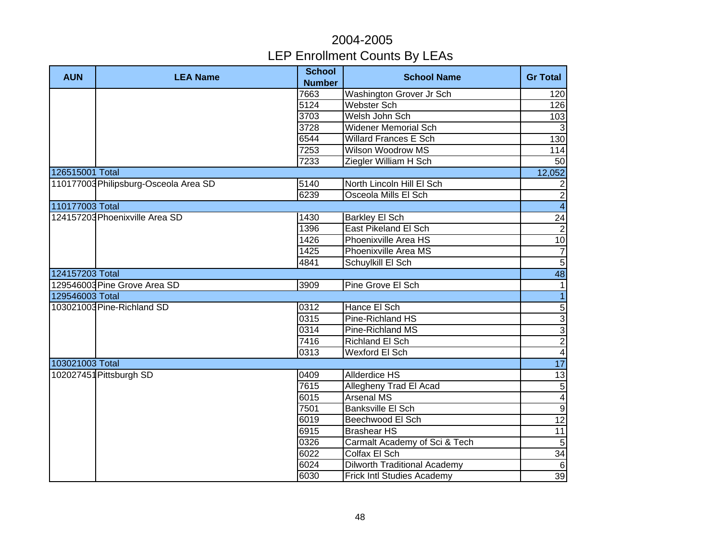| <b>AUN</b>      | <b>LEA Name</b>                       | <b>School</b><br><b>Number</b> | <b>School Name</b>                  | <b>Gr Total</b>     |
|-----------------|---------------------------------------|--------------------------------|-------------------------------------|---------------------|
|                 |                                       | 7663                           | Washington Grover Jr Sch            | 120                 |
|                 |                                       | 5124                           | <b>Webster Sch</b>                  | 126                 |
|                 |                                       | 3703                           | Welsh John Sch                      | 103                 |
|                 |                                       | 3728                           | <b>Widener Memorial Sch</b>         | $\overline{\omega}$ |
|                 |                                       | 6544                           | <b>Willard Frances E Sch</b>        | 130                 |
|                 |                                       | 7253                           | <b>Wilson Woodrow MS</b>            | 114                 |
|                 |                                       | 7233                           | Ziegler William H Sch               | 50                  |
| 126515001 Total |                                       |                                |                                     | 12,052              |
|                 | 110177003 Philipsburg-Osceola Area SD | 5140                           | North Lincoln Hill El Sch           | $\overline{2}$      |
|                 |                                       | 6239                           | Osceola Mills El Sch                | $\overline{2}$      |
| 110177003 Total |                                       |                                |                                     | $\overline{4}$      |
|                 | 124157203 Phoenixville Area SD        | 1430                           | <b>Barkley El Sch</b>               | 24                  |
|                 |                                       | 1396                           | <b>East Pikeland El Sch</b>         | $\overline{2}$      |
|                 |                                       | 1426                           | Phoenixville Area HS                | 10                  |
|                 |                                       | 1425                           | Phoenixville Area MS                | $\overline{7}$      |
|                 |                                       | 4841                           | Schuylkill El Sch                   | $\overline{5}$      |
| 124157203 Total |                                       |                                |                                     | 48                  |
|                 | 129546003 Pine Grove Area SD          | 3909                           | Pine Grove El Sch                   | $\mathbf{1}$        |
| 129546003 Total |                                       |                                |                                     | $\overline{1}$      |
|                 | 103021003 Pine-Richland SD            | 0312                           | Hance El Sch                        | $\overline{5}$      |
|                 |                                       | 0315                           | Pine-Richland HS                    | $\overline{3}$      |
|                 |                                       | 0314                           | Pine-Richland MS                    | $\overline{3}$      |
|                 |                                       | 7416                           | Richland El Sch                     | $\overline{2}$      |
|                 |                                       | 0313                           | Wexford El Sch                      | $\overline{4}$      |
| 103021003 Total |                                       |                                |                                     | 17                  |
|                 | 102027451 Pittsburgh SD               | 0409                           | <b>Allderdice HS</b>                | 13                  |
|                 |                                       | 7615                           | Allegheny Trad El Acad              | $\overline{5}$      |
|                 |                                       | 6015                           | <b>Arsenal MS</b>                   | $\overline{4}$      |
|                 |                                       | 7501                           | Banksville El Sch                   | $\overline{9}$      |
|                 |                                       | 6019                           | Beechwood El Sch                    | $\overline{12}$     |
|                 |                                       | 6915                           | <b>Brashear HS</b>                  | 11                  |
|                 |                                       | 0326                           | Carmalt Academy of Sci & Tech       | $\overline{5}$      |
|                 |                                       | 6022                           | Colfax El Sch                       | 34                  |
|                 |                                       | 6024                           | <b>Dilworth Traditional Academy</b> | $\,6\,$             |
|                 |                                       | 6030                           | Frick Intl Studies Academy          | 39                  |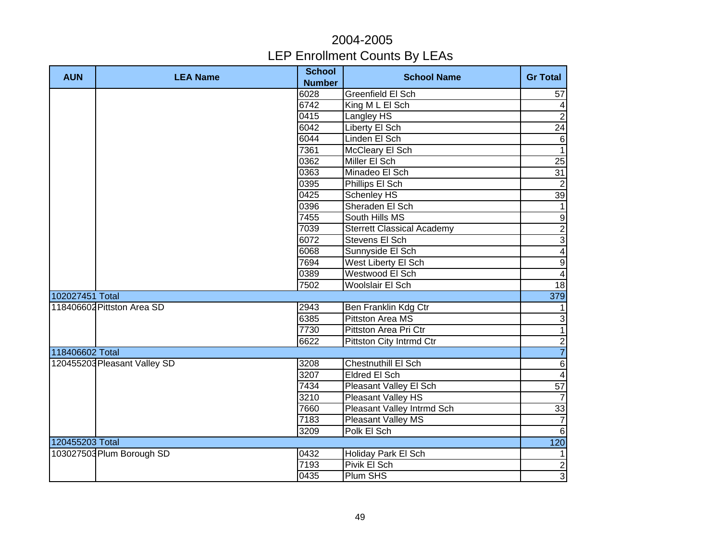| <b>AUN</b>      | <b>LEA Name</b>              | <b>School</b><br><b>Number</b> | <b>School Name</b>                | <b>Gr Total</b>         |
|-----------------|------------------------------|--------------------------------|-----------------------------------|-------------------------|
|                 |                              | 6028                           | <b>Greenfield El Sch</b>          | 57                      |
|                 |                              | 6742                           | King M L El Sch                   | 4                       |
|                 |                              | 0415                           | Langley HS                        | $\overline{2}$          |
|                 |                              | 6042                           | Liberty El Sch                    | $\overline{24}$         |
|                 |                              | 6044                           | Linden El Sch                     | $\,6\,$                 |
|                 |                              | 7361                           | <b>McCleary El Sch</b>            | $\mathbf{1}$            |
|                 |                              | 0362                           | Miller El Sch                     | 25                      |
|                 |                              | 0363                           | Minadeo El Sch                    | 31                      |
|                 |                              | 0395                           | Phillips El Sch                   | $\overline{2}$          |
|                 |                              | 0425                           | Schenley HS                       | 39                      |
|                 |                              | 0396                           | Sheraden El Sch                   | $\mathbf{1}$            |
|                 |                              | 7455                           | South Hills MS                    | $\boldsymbol{9}$        |
|                 |                              | 7039                           | <b>Sterrett Classical Academy</b> | $\overline{2}$          |
|                 |                              | 6072                           | Stevens El Sch                    | ω                       |
|                 |                              | 6068                           | Sunnyside El Sch                  | $\overline{\mathbf{4}}$ |
|                 |                              | 7694                           | West Liberty El Sch               | $\overline{9}$          |
|                 |                              | 0389                           | Westwood El Sch                   | $\overline{\mathbf{4}}$ |
|                 |                              | 7502                           | Woolslair El Sch                  | 18                      |
| 102027451 Total |                              |                                |                                   | 379                     |
|                 | 118406602 Pittston Area SD   | 2943                           | Ben Franklin Kdg Ctr              | $\mathbf{1}$            |
|                 |                              | 6385                           | <b>Pittston Area MS</b>           | س                       |
|                 |                              | 7730                           | Pittston Area Pri Ctr             | $\overline{1}$          |
|                 |                              | 6622                           | Pittston City Intrmd Ctr          | $\frac{2}{7}$           |
| 118406602 Total |                              |                                |                                   |                         |
|                 | 120455203 Pleasant Valley SD | 3208                           | <b>Chestnuthill El Sch</b>        | $\overline{6}$          |
|                 |                              | 3207                           | <b>Eldred El Sch</b>              | $\overline{\mathbf{4}}$ |
|                 |                              | 7434                           | <b>Pleasant Valley El Sch</b>     | 57                      |
|                 |                              | 3210                           | Pleasant Valley HS                | $\overline{7}$          |
|                 |                              | 7660                           | Pleasant Valley Intrmd Sch        | 33                      |
|                 |                              | 7183                           | <b>Pleasant Valley MS</b>         | $\overline{7}$          |
|                 |                              | 3209                           | Polk El Sch                       | $\sigma$                |
| 120455203 Total |                              |                                |                                   | 120                     |
|                 | 103027503 Plum Borough SD    | 0432                           | Holiday Park El Sch               | $\vert$ 1               |
|                 |                              | 7193                           | Pivik El Sch                      | $\overline{2}$          |
|                 |                              | 0435                           | Plum SHS                          | $\overline{3}$          |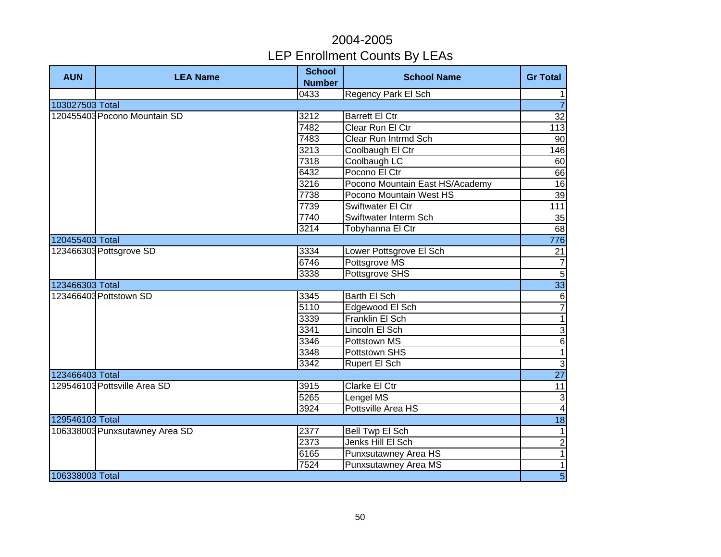| <b>AUN</b>      | <b>LEA Name</b>                | <b>School</b><br><b>Number</b> | <b>School Name</b>              | <b>Gr Total</b>          |
|-----------------|--------------------------------|--------------------------------|---------------------------------|--------------------------|
|                 |                                | 0433                           | <b>Regency Park El Sch</b>      | 1                        |
| 103027503 Total |                                |                                |                                 | $\overline{7}$           |
|                 | 120455403 Pocono Mountain SD   | 3212                           | <b>Barrett El Ctr</b>           | 32                       |
|                 |                                | 7482                           | Clear Run El Ctr                | 113                      |
|                 |                                | 7483                           | Clear Run Intrmd Sch            | 90                       |
|                 |                                | 3213                           | Coolbaugh El Ctr                | 146                      |
|                 |                                | 7318                           | Coolbaugh LC                    | 60                       |
|                 |                                | 6432                           | Pocono El Ctr                   | 66                       |
|                 |                                | 3216                           | Pocono Mountain East HS/Academy | 16                       |
|                 |                                | 7738                           | Pocono Mountain West HS         | 39                       |
|                 |                                | 7739                           | Swiftwater El Ctr               | 111                      |
|                 |                                | 7740                           | Swiftwater Interm Sch           | 35                       |
|                 |                                | 3214                           | Tobyhanna El Ctr                | 68                       |
| 120455403 Total |                                |                                |                                 | 776                      |
|                 | 123466303 Pottsgrove SD        | 3334                           | Lower Pottsgrove El Sch         | 21                       |
|                 |                                | $\sqrt{6746}$                  | Pottsgrove MS                   | $\overline{7}$           |
|                 |                                | 3338                           | Pottsgrove SHS                  | $\overline{5}$           |
| 123466303 Total |                                |                                |                                 | 33                       |
|                 | 123466403 Pottstown SD         | 3345                           | Barth El Sch                    | $\,6$                    |
|                 |                                | 5110                           | Edgewood El Sch                 | $\overline{7}$           |
|                 |                                | 3339                           | Franklin El Sch                 | $\overline{1}$           |
|                 |                                | 3341                           | Lincoln El Sch                  | $\overline{3}$           |
|                 |                                | 3346                           | Pottstown MS                    | $\overline{6}$           |
|                 |                                | 3348                           | Pottstown SHS                   | $\overline{1}$           |
|                 |                                | 3342                           | Rupert El Sch                   | $\overline{3}$           |
| 123466403 Total |                                |                                |                                 | $\overline{27}$          |
|                 | 129546103 Pottsville Area SD   | 3915                           | <b>Clarke El Ctr</b>            | $\overline{11}$          |
|                 |                                | 5265                           | Lengel MS                       | 3                        |
|                 |                                | 3924                           | Pottsville Area HS              | $\blacktriangle$         |
| 129546103 Total |                                |                                |                                 | 18                       |
|                 | 106338003 Punxsutawney Area SD | 2377                           | Bell Twp El Sch                 | $\mathbf{1}$             |
|                 |                                | 2373                           | Jenks Hill El Sch               | $\overline{2}$           |
|                 |                                | 6165                           | Punxsutawney Area HS            | $\overline{\phantom{a}}$ |
|                 |                                | 7524                           | Punxsutawney Area MS            | $\mathbf{1}$             |
| 106338003 Total |                                |                                |                                 | $\overline{5}$           |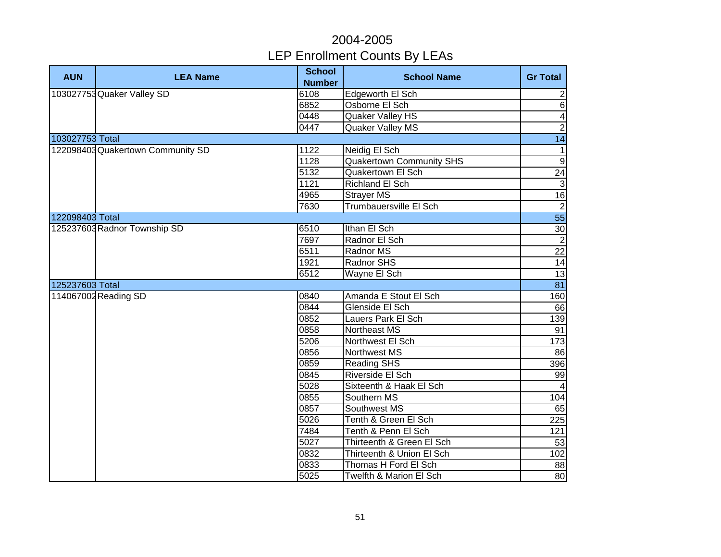| <b>AUN</b>      | <b>LEA Name</b>                   | <b>School</b><br><b>Number</b> | <b>School Name</b>              | <b>Gr Total</b>         |
|-----------------|-----------------------------------|--------------------------------|---------------------------------|-------------------------|
|                 | 103027753 Quaker Valley SD        | 6108                           | Edgeworth El Sch                | $\overline{2}$          |
|                 |                                   | 6852                           | Osborne El Sch                  | $\overline{6}$          |
|                 |                                   | 0448                           | <b>Quaker Valley HS</b>         | $\overline{\mathbf{A}}$ |
|                 |                                   | 0447                           | <b>Quaker Valley MS</b>         | $\overline{2}$          |
| 103027753 Total |                                   |                                |                                 | 14                      |
|                 | 122098403 Quakertown Community SD | 1122                           | Neidig El Sch                   | $\mathbf{1}$            |
|                 |                                   | 1128                           | <b>Quakertown Community SHS</b> | 9                       |
|                 |                                   | 5132                           | Quakertown El Sch               | 24                      |
|                 |                                   | 1121                           | <b>Richland El Sch</b>          | $\mathbf{3}$            |
|                 |                                   | 4965                           | Strayer MS                      | 16                      |
|                 |                                   | 7630                           | Trumbauersville El Sch          | $\overline{2}$          |
| 122098403 Total |                                   |                                |                                 | 55                      |
|                 | 125237603 Radnor Township SD      | 6510                           | Ithan El Sch                    | 30                      |
|                 |                                   | 7697                           | Radnor El Sch                   | $\overline{2}$          |
|                 |                                   | 6511                           | Radnor MS                       | 22                      |
|                 |                                   | 1921                           | Radnor SHS                      | 14                      |
|                 |                                   | 6512                           | Wayne El Sch                    | 13                      |
| 125237603 Total |                                   |                                |                                 | $\overline{81}$         |
|                 | 114067002 Reading SD              | 0840                           | Amanda E Stout El Sch           | 160                     |
|                 |                                   | 0844                           | Glenside El Sch                 | 66                      |
|                 |                                   | 0852                           | Lauers Park El Sch              | 139                     |
|                 |                                   | 0858                           | Northeast MS                    | 91                      |
|                 |                                   | 5206                           | Northwest El Sch                | 173                     |
|                 |                                   | 0856                           | Northwest MS                    | 86                      |
|                 |                                   | 0859                           | <b>Reading SHS</b>              | 396                     |
|                 |                                   | 0845                           | Riverside El Sch                | 99                      |
|                 |                                   | 5028                           | Sixteenth & Haak El Sch         | $\overline{a}$          |
|                 |                                   | 0855                           | Southern MS                     | 104                     |
|                 |                                   | 0857                           | Southwest MS                    | 65                      |
|                 |                                   | 5026                           | Tenth & Green El Sch            | 225                     |
|                 |                                   | 7484                           | Tenth & Penn El Sch             | 121                     |
|                 |                                   | 5027                           | Thirteenth & Green El Sch       | 53                      |
|                 |                                   | 0832                           | Thirteenth & Union El Sch       | 102                     |
|                 |                                   | 0833                           | Thomas H Ford El Sch            | 88                      |
|                 |                                   | 5025                           | Twelfth & Marion El Sch         | 80                      |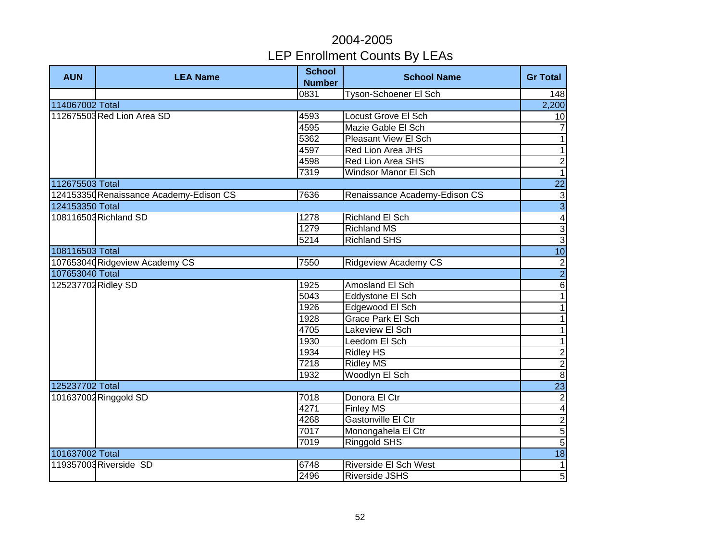| <b>AUN</b>          | <b>LEA Name</b>                         | <b>School</b><br><b>Number</b> | <b>School Name</b>            | <b>Gr Total</b> |
|---------------------|-----------------------------------------|--------------------------------|-------------------------------|-----------------|
|                     |                                         | 0831                           | Tyson-Schoener El Sch         | 148             |
| 114067002 Total     |                                         |                                |                               | 2,200           |
|                     | 112675503 Red Lion Area SD              | 4593                           | <b>Locust Grove El Sch</b>    | 10              |
|                     |                                         | 4595                           | Mazie Gable El Sch            | $\overline{7}$  |
|                     |                                         | 5362                           | <b>Pleasant View El Sch</b>   | $\overline{1}$  |
|                     |                                         | 4597                           | Red Lion Area JHS             | $\overline{1}$  |
|                     |                                         | 4598                           | <b>Red Lion Area SHS</b>      | $\overline{2}$  |
|                     |                                         | 7319                           | <b>Windsor Manor El Sch</b>   | $\overline{1}$  |
| 112675503 Total     |                                         |                                |                               | $\overline{22}$ |
|                     | 124153350 Renaissance Academy-Edison CS | 7636                           | Renaissance Academy-Edison CS | $\sqrt{3}$      |
| 124153350 Total     |                                         |                                |                               | $\overline{3}$  |
|                     | 108116503 Richland SD                   | 1278                           | Richland El Sch               | $\overline{4}$  |
|                     |                                         | 1279                           | <b>Richland MS</b>            | $\overline{3}$  |
|                     |                                         | 5214                           | <b>Richland SHS</b>           | $\overline{3}$  |
| 108116503 Total     |                                         |                                |                               | 10              |
|                     | 107653040 Ridgeview Academy CS          | 7550                           | <b>Ridgeview Academy CS</b>   | $\frac{2}{2}$   |
| 107653040 Total     |                                         |                                |                               |                 |
| 125237702 Ridley SD |                                         | 1925                           | Amosland El Sch               | $\overline{6}$  |
|                     |                                         | 5043                           | Eddystone El Sch              | $\overline{1}$  |
|                     |                                         | 1926                           | Edgewood El Sch               | $\overline{1}$  |
|                     |                                         | 1928                           | Grace Park El Sch             | $\overline{1}$  |
|                     |                                         | 4705                           | Lakeview El Sch               | $\overline{1}$  |
|                     |                                         | 1930                           | Leedom El Sch                 | $\overline{1}$  |
|                     |                                         | 1934                           | <b>Ridley HS</b>              | $\frac{2}{2}$   |
|                     |                                         | 7218                           | <b>Ridley MS</b>              |                 |
|                     |                                         | 1932                           | Woodlyn El Sch                |                 |
| 125237702 Total     |                                         |                                |                               | $\overline{23}$ |
|                     | 101637002 Ringgold SD                   | 7018                           | Donora El Ctr                 | $\overline{2}$  |
|                     |                                         | 4271                           | <b>Finley MS</b>              | $\overline{4}$  |
|                     |                                         | 4268                           | Gastonville El Ctr            | $\frac{2}{5}$   |
|                     |                                         | 7017                           | Monongahela El Ctr            |                 |
|                     |                                         | 7019                           | Ringgold SHS                  | $\overline{5}$  |
| 101637002 Total     |                                         |                                |                               | 18              |
|                     | 119357003 Riverside SD                  | 6748                           | Riverside El Sch West         | $\mathbf{1}$    |
|                     |                                         | 2496                           | Riverside JSHS                | $\overline{5}$  |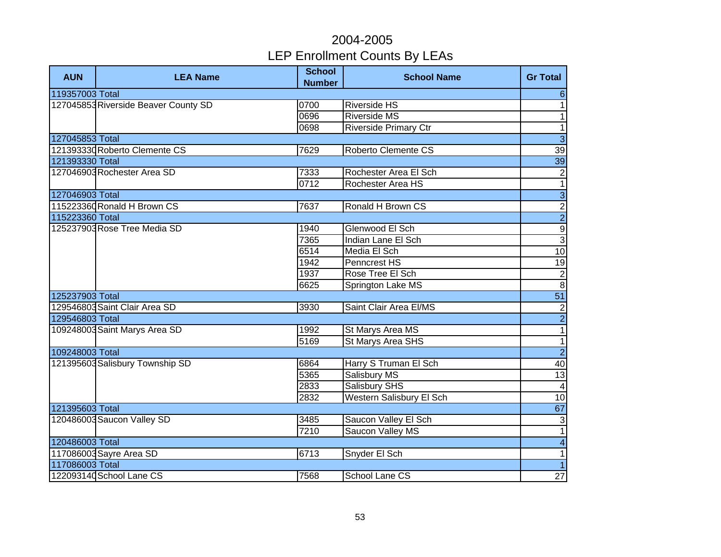| <b>AUN</b>      | <b>LEA Name</b>                      | <b>School</b><br><b>Number</b> | <b>School Name</b>              | <b>Gr Total</b>                                            |
|-----------------|--------------------------------------|--------------------------------|---------------------------------|------------------------------------------------------------|
| 119357003 Total |                                      |                                |                                 | 6                                                          |
|                 | 127045853 Riverside Beaver County SD | 0700                           | <b>Riverside HS</b>             | $\mathbf{1}$                                               |
|                 |                                      | 0696                           | <b>Riverside MS</b>             | $\mathbf{1}$                                               |
|                 |                                      | 0698                           | <b>Riverside Primary Ctr</b>    | $\overline{\phantom{0}}$                                   |
| 127045853 Total |                                      |                                |                                 | $\overline{3}$                                             |
|                 | 121393330 Roberto Clemente CS        | 7629                           | Roberto Clemente CS             | 39                                                         |
| 121393330 Total |                                      |                                |                                 | 39                                                         |
|                 | 127046903 Rochester Area SD          | 7333                           | Rochester Area El Sch           | $\mathbf 2$                                                |
|                 |                                      | 0712                           | Rochester Area HS               | $\overline{1}$                                             |
| 127046903 Total |                                      |                                |                                 | $\overline{3}$                                             |
|                 | 115223360 Ronald H Brown CS          | 7637                           | Ronald H Brown CS               |                                                            |
| 115223360 Total |                                      |                                |                                 |                                                            |
|                 | 125237903 Rose Tree Media SD         | 1940                           | Glenwood El Sch                 | ⊶ <mark>ا م</mark> ما ض                                    |
|                 |                                      | 7365                           | Indian Lane El Sch              |                                                            |
|                 |                                      | 6514                           | Media El Sch                    |                                                            |
|                 |                                      | 1942                           | Penncrest HS                    | 19                                                         |
|                 |                                      | 1937                           | Rose Tree El Sch                | $\begin{array}{c c}\n2 & 2 \\ \hline\n51 & 2\n\end{array}$ |
|                 |                                      | 6625                           | Springton Lake MS               |                                                            |
| 125237903 Total |                                      |                                |                                 |                                                            |
|                 | 129546803 Saint Clair Area SD        | 3930                           | Saint Clair Area El/MS          |                                                            |
| 129546803 Total |                                      |                                |                                 | $\frac{1}{2}$                                              |
|                 | 109248003 Saint Marys Area SD        | 1992                           | St Marys Area MS                | $\overline{1}$                                             |
|                 |                                      | 5169                           | St Marys Area SHS               | $\overline{1}$                                             |
| 109248003 Total |                                      |                                |                                 | $\overline{2}$                                             |
|                 | 121395603 Salisbury Township SD      | 6864                           | Harry S Truman El Sch           | 40                                                         |
|                 |                                      | 5365                           | Salisbury MS                    | 13                                                         |
|                 |                                      | 2833                           | <b>Salisbury SHS</b>            | $\overline{\mathbf{4}}$                                    |
|                 |                                      | 2832                           | <b>Western Salisbury El Sch</b> | 10                                                         |
| 121395603 Total |                                      |                                |                                 | 67                                                         |
|                 | 120486003 Saucon Valley SD           | 3485                           | Saucon Valley El Sch            | دن                                                         |
|                 |                                      | 7210                           | Saucon Valley MS                | $\overline{1}$                                             |
| 120486003 Total |                                      |                                |                                 | $\overline{4}$                                             |
|                 | 117086003 Sayre Area SD              | 6713                           | Snyder El Sch                   | 1                                                          |
| 117086003 Total |                                      |                                |                                 | $\overline{1}$                                             |
|                 | 122093140 School Lane CS             | 7568                           | School Lane CS                  | 27                                                         |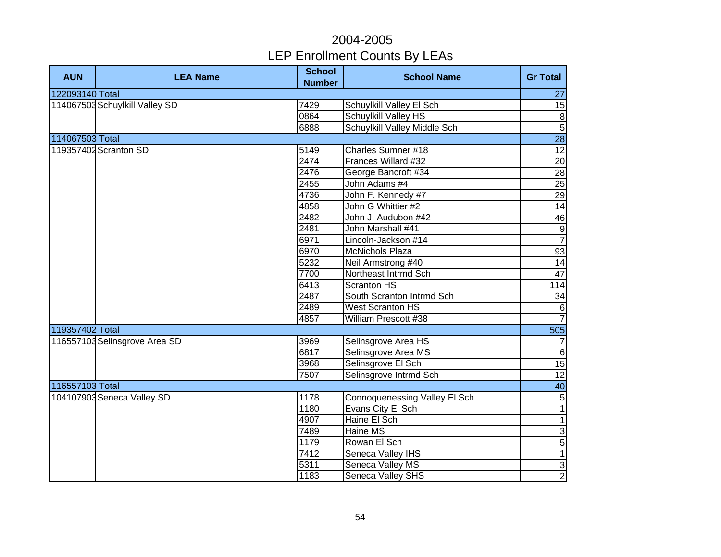| <b>AUN</b>      | <b>LEA Name</b>                | <b>School</b><br><b>Number</b> | <b>School Name</b>                   | <b>Gr Total</b>         |
|-----------------|--------------------------------|--------------------------------|--------------------------------------|-------------------------|
| 122093140 Total |                                |                                |                                      | 27                      |
|                 | 114067503 Schuylkill Valley SD | 7429                           | Schuylkill Valley El Sch             | $\overline{15}$         |
|                 |                                | 0864                           | <b>Schuylkill Valley HS</b>          | $\overline{\mathbf{8}}$ |
|                 |                                | 6888                           | Schuylkill Valley Middle Sch         | $\overline{5}$          |
| 114067503 Total |                                |                                |                                      | $\overline{28}$         |
|                 | 119357402 Scranton SD          | 5149                           | <b>Charles Sumner #18</b>            | 12                      |
|                 |                                | 2474                           | Frances Willard #32                  | 20                      |
|                 |                                | 2476                           | George Bancroft #34                  | 28                      |
|                 |                                | 2455                           | John Adams #4                        | 25                      |
|                 |                                | 4736                           | John F. Kennedy #7                   | 29                      |
|                 |                                | 4858                           | John G Whittier #2                   | 14                      |
|                 |                                | 2482                           | John J. Audubon #42                  | 46                      |
|                 |                                | 2481                           | John Marshall #41                    | $\frac{9}{7}$           |
|                 |                                | 6971                           | Lincoln-Jackson #14                  |                         |
|                 |                                | 6970                           | <b>McNichols Plaza</b>               | 93                      |
|                 |                                | 5232                           | Neil Armstrong #40                   | 14                      |
|                 |                                | 7700                           | Northeast Intrmd Sch                 | 47                      |
|                 |                                | 6413                           | <b>Scranton HS</b>                   | 114                     |
|                 |                                | 2487                           | South Scranton Intrmd Sch            | $\overline{34}$         |
|                 |                                | 2489                           | <b>West Scranton HS</b>              | $\,6\,$                 |
|                 |                                | 4857                           | William Prescott #38                 | $\overline{7}$          |
| 119357402 Total |                                |                                |                                      | 505                     |
|                 | 116557103 Selinsgrove Area SD  | 3969                           | Selinsgrove Area HS                  | $\overline{7}$          |
|                 |                                | 6817                           | Selinsgrove Area MS                  | $\overline{6}$          |
|                 |                                | 3968                           | Selinsgrove El Sch                   | 15                      |
|                 |                                | 7507                           | Selinsgrove Intrmd Sch               | 12                      |
| 116557103 Total |                                |                                |                                      | 40                      |
|                 | 104107903 Seneca Valley SD     | 1178                           | <b>Connoquenessing Valley El Sch</b> | $\overline{5}$          |
|                 |                                | 1180                           | Evans City El Sch                    | $\overline{1}$          |
|                 |                                | 4907                           | Haine El Sch                         | $\overline{1}$          |
|                 |                                | 7489                           | Haine MS                             | $\overline{3}$          |
|                 |                                | 1179                           | Rowan El Sch                         | $\overline{5}$          |
|                 |                                | 7412                           | Seneca Valley IHS                    | $\overline{1}$          |
|                 |                                | 5311                           | Seneca Valley MS                     | $\overline{3}$          |
|                 |                                | 1183                           | Seneca Valley SHS                    | $\overline{2}$          |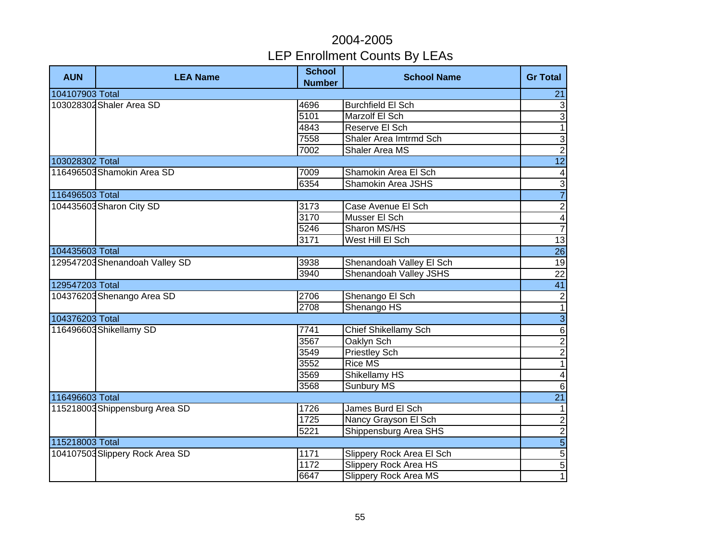| <b>AUN</b>               | <b>LEA Name</b>                 | <b>School</b><br><b>Number</b> | <b>School Name</b>           | <b>Gr Total</b>          |
|--------------------------|---------------------------------|--------------------------------|------------------------------|--------------------------|
| 104107903 Total          |                                 |                                |                              | 21                       |
| 103028302 Shaler Area SD |                                 | 4696                           | <b>Burchfield El Sch</b>     | $\mathbf{3}$             |
|                          |                                 | 5101                           | Marzolf El Sch               | 3                        |
|                          |                                 | 4843                           | Reserve El Sch               | $\overline{1}$           |
|                          |                                 | 7558                           | Shaler Area Imtrmd Sch       | $\overline{3}$           |
|                          |                                 | 7002                           | <b>Shaler Area MS</b>        | $\overline{2}$           |
| 103028302 Total          |                                 |                                |                              | $\overline{12}$          |
|                          | 116496503 Shamokin Area SD      | 7009                           | Shamokin Area El Sch         | $\overline{\mathcal{A}}$ |
|                          |                                 | 6354                           | Shamokin Area JSHS           | $\overline{3}$           |
| 116496503 Total          |                                 |                                |                              | $\overline{7}$           |
|                          | 104435603 Sharon City SD        | 3173                           | Case Avenue El Sch           | $\overline{2}$           |
|                          |                                 | 3170                           | Musser El Sch                | $\overline{4}$           |
|                          |                                 | 5246                           | Sharon MS/HS                 | $\overline{7}$           |
|                          |                                 | 3171                           | West Hill El Sch             | 13                       |
| 104435603 Total          |                                 |                                |                              | $\overline{26}$          |
|                          | 129547203 Shenandoah Valley SD  | 3938                           | Shenandoah Valley El Sch     | 19                       |
|                          |                                 | 3940                           | Shenandoah Valley JSHS       | $\overline{22}$          |
| 129547203 Total          |                                 |                                |                              | 41                       |
|                          | 104376203 Shenango Area SD      | 2706                           | Shenango El Sch              | $\overline{2}$           |
|                          |                                 | 2708                           | Shenango HS                  | $\overline{1}$           |
| 104376203 Total          |                                 |                                |                              | $\overline{3}$           |
|                          | 116496603 Shikellamy SD         | 7741                           | <b>Chief Shikellamy Sch</b>  | $\overline{6}$           |
|                          |                                 | 3567                           | Oaklyn Sch                   |                          |
|                          |                                 | 3549                           | <b>Priestley Sch</b>         | $\frac{2}{1}$            |
|                          |                                 | 3552                           | <b>Rice MS</b>               |                          |
|                          |                                 | 3569                           | <b>Shikellamy HS</b>         | $\blacktriangle$         |
|                          |                                 | 3568                           | <b>Sunbury MS</b>            | $\overline{6}$           |
| 116496603 Total          |                                 |                                |                              | $\overline{21}$          |
|                          | 115218003 Shippensburg Area SD  | 1726                           | James Burd El Sch            | $\mathbf{1}$             |
|                          |                                 | 1725                           | Nancy Grayson El Sch         | $\overline{2}$           |
|                          |                                 | 5221                           | Shippensburg Area SHS        |                          |
| 115218003 Total          |                                 |                                |                              | $\frac{1}{5}$            |
|                          | 104107503 Slippery Rock Area SD | 1171                           | Slippery Rock Area El Sch    |                          |
|                          |                                 | 1172                           | <b>Slippery Rock Area HS</b> | $\overline{5}$           |
|                          |                                 | 6647                           | <b>Slippery Rock Area MS</b> | 1                        |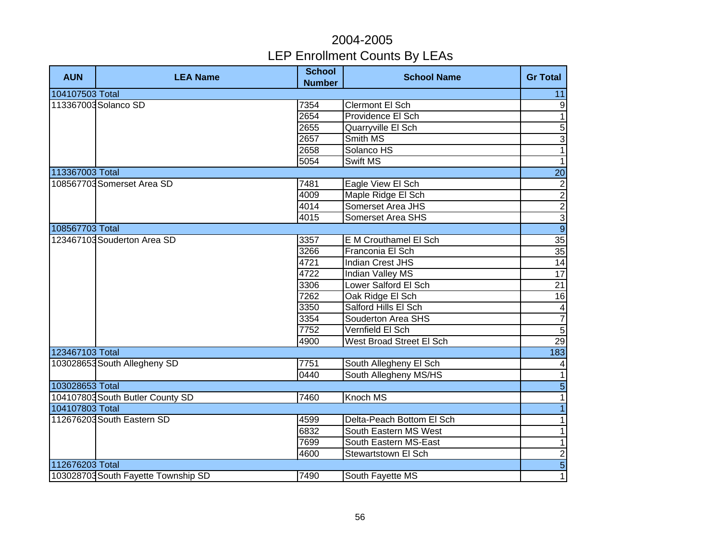| <b>AUN</b>      | <b>LEA Name</b>                     | <b>School</b><br><b>Number</b> | <b>School Name</b>              | <b>Gr Total</b> |
|-----------------|-------------------------------------|--------------------------------|---------------------------------|-----------------|
| 104107503 Total |                                     |                                |                                 | 11              |
|                 | 113367003 Solanco SD                | 7354                           | <b>Clermont El Sch</b>          | 9               |
|                 |                                     | 2654                           | Providence El Sch               | $\mathbf{1}$    |
|                 |                                     | 2655                           | Quarryville El Sch              | 5               |
|                 |                                     | 2657                           | Smith MS                        | 3               |
|                 |                                     | 2658                           | Solanco HS                      | $\overline{1}$  |
|                 |                                     | 5054                           | Swift MS                        | $\mathbf{1}$    |
| 113367003 Total |                                     |                                |                                 | 20              |
|                 | 108567703 Somerset Area SD          | 7481                           | Eagle View El Sch               | $\overline{c}$  |
|                 |                                     | 4009                           | Maple Ridge El Sch              | $\overline{2}$  |
|                 |                                     | 4014                           | <b>Somerset Area JHS</b>        |                 |
|                 |                                     | 4015                           | Somerset Area SHS               | $\frac{2}{9}$   |
| 108567703 Total |                                     |                                |                                 |                 |
|                 | 123467103 Souderton Area SD         | 3357                           | E M Crouthamel El Sch           | $\overline{35}$ |
|                 | 3266                                | Franconia El Sch               | 35                              |                 |
|                 |                                     | 4721                           | <b>Indian Crest JHS</b>         | 14              |
|                 |                                     | 4722                           | Indian Valley MS                | $\overline{17}$ |
|                 |                                     | 3306                           | Lower Salford El Sch            | $\overline{21}$ |
|                 |                                     | 7262                           | Oak Ridge El Sch                | $\overline{16}$ |
|                 |                                     | 3350                           | Salford Hills El Sch            | $\overline{4}$  |
|                 |                                     | 3354                           | Souderton Area SHS              | $\overline{7}$  |
|                 |                                     | 7752                           | Vernfield El Sch                | $\overline{5}$  |
|                 |                                     | 4900                           | <b>West Broad Street El Sch</b> | 29              |
| 123467103 Total |                                     |                                |                                 | 183             |
|                 | 103028653 South Allegheny SD        | 7751                           | South Allegheny El Sch          | 4               |
|                 |                                     | 0440                           | South Allegheny MS/HS           | $\mathbf{1}$    |
| 103028653 Total |                                     |                                |                                 | $\overline{5}$  |
|                 | 104107803 South Butler County SD    | 7460                           | Knoch MS                        | $\mathbf{1}$    |
| 104107803 Total |                                     |                                |                                 | $\mathbf{1}$    |
|                 | 112676203 South Eastern SD          | 4599                           | Delta-Peach Bottom El Sch       | $\mathbf{1}$    |
|                 |                                     | 6832                           | South Eastern MS West           | $\mathbf{1}$    |
|                 |                                     | 7699                           | South Eastern MS-East           | $\mathbf{1}$    |
|                 |                                     | 4600                           | Stewartstown El Sch             | $\overline{c}$  |
| 112676203 Total |                                     |                                |                                 | $\overline{5}$  |
|                 | 103028703 South Fayette Township SD | 7490                           | South Fayette MS                | $\overline{1}$  |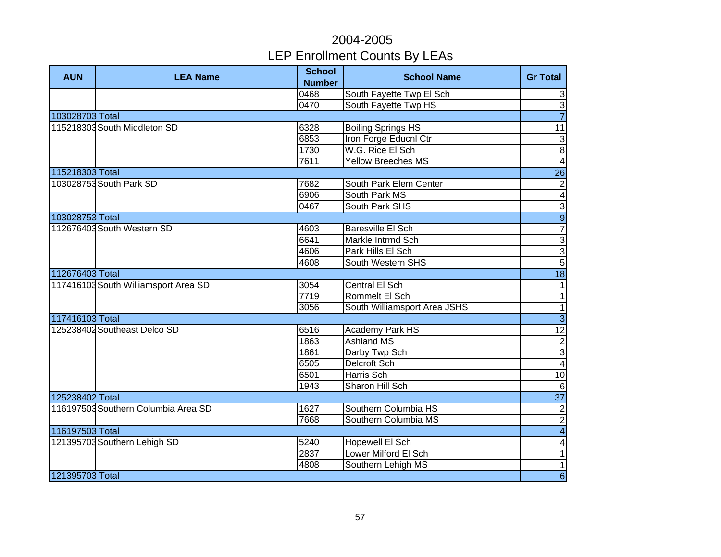| <b>AUN</b>      | <b>LEA Name</b>                      | <b>School</b><br><b>Number</b> | <b>School Name</b>           | <b>Gr Total</b>         |
|-----------------|--------------------------------------|--------------------------------|------------------------------|-------------------------|
|                 |                                      | 0468                           | South Fayette Twp El Sch     | 3                       |
|                 |                                      | 0470                           | South Fayette Twp HS         | $\overline{3}$          |
| 103028703 Total |                                      |                                |                              | $\overline{7}$          |
|                 | 115218303 South Middleton SD         | 6328                           | <b>Boiling Springs HS</b>    | $\overline{11}$         |
|                 |                                      | 6853                           | Iron Forge Educnl Ctr        | $\overline{3}$          |
|                 |                                      | 1730                           | W.G. Rice El Sch             | $\overline{8}$          |
|                 |                                      | 7611                           | <b>Yellow Breeches MS</b>    | $\overline{4}$          |
| 115218303 Total |                                      |                                |                              | $\overline{26}$         |
|                 | 103028753 South Park SD              | 7682                           | South Park Elem Center       | $\overline{2}$          |
|                 |                                      | 6906                           | South Park MS                | $\overline{4}$          |
|                 |                                      | 0467                           | South Park SHS               | $\overline{3}$          |
| 103028753 Total |                                      |                                |                              | $\overline{9}$          |
|                 | 112676403 South Western SD           | 4603                           | Baresville El Sch            |                         |
|                 |                                      | 6641                           | Markle Intrmd Sch            | $\overline{3}$          |
|                 |                                      | 4606                           | Park Hills El Sch            | $\overline{3}$          |
|                 |                                      | 4608                           | South Western SHS            | $\overline{5}$          |
| 112676403 Total |                                      |                                |                              | $\overline{18}$         |
|                 | 117416103 South Williamsport Area SD | 3054                           | Central El Sch               | $\overline{1}$          |
|                 |                                      | 7719                           | Rommelt El Sch               | $\overline{1}$          |
|                 |                                      | 3056                           | South Williamsport Area JSHS | $\overline{1}$          |
| 117416103 Total |                                      |                                |                              | $\overline{3}$          |
|                 | 125238402 Southeast Delco SD         | 6516                           | Academy Park HS              | 12                      |
|                 |                                      | 1863                           | <b>Ashland MS</b>            |                         |
|                 |                                      | 1861                           | Darby Twp Sch                | $\frac{2}{3}$           |
|                 |                                      | 6505                           | Delcroft Sch                 |                         |
|                 |                                      | 6501                           | <b>Harris Sch</b>            | 10                      |
|                 |                                      | 1943                           | Sharon Hill Sch              | $\overline{6}$          |
| 125238402 Total |                                      |                                |                              | $\overline{37}$         |
|                 | 116197503 Southern Columbia Area SD  | 1627                           | Southern Columbia HS         | $\overline{2}$          |
|                 |                                      | 7668                           | Southern Columbia MS         | $\overline{2}$          |
| 116197503 Total |                                      |                                |                              | $\overline{4}$          |
|                 | 121395703 Southern Lehigh SD         | 5240                           | Hopewell El Sch              | $\overline{\mathbf{4}}$ |
|                 |                                      | 2837                           | Lower Milford El Sch         | $\mathbf{1}$            |
|                 |                                      | 4808                           | Southern Lehigh MS           | $\mathbf{1}$            |
| 121395703 Total |                                      |                                |                              | $6\phantom{1}$          |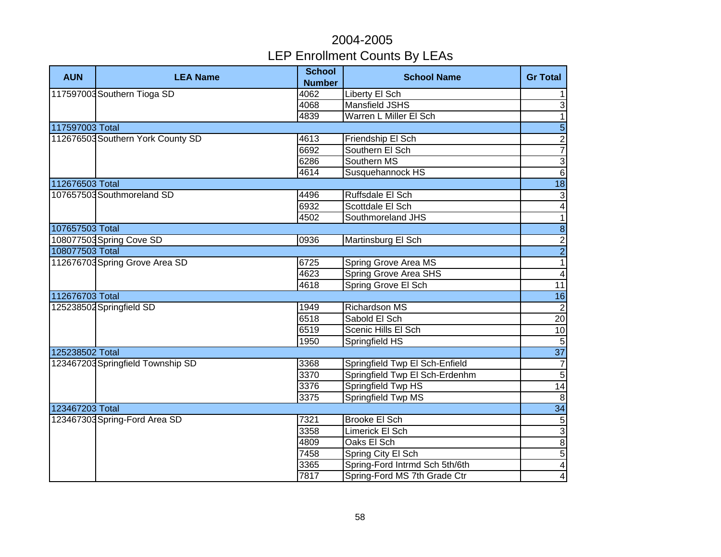| <b>AUN</b>      | <b>LEA Name</b>                   | <b>School</b><br><b>Number</b> | <b>School Name</b>             | <b>Gr Total</b>         |
|-----------------|-----------------------------------|--------------------------------|--------------------------------|-------------------------|
|                 | 117597003 Southern Tioga SD       | 4062                           | <b>Liberty El Sch</b>          | $\mathbf{1}$            |
|                 |                                   | 4068                           | <b>Mansfield JSHS</b>          | $\overline{3}$          |
|                 |                                   | 4839                           | Warren L Miller El Sch         | $\overline{1}$          |
| 117597003 Total |                                   |                                |                                | $\overline{5}$          |
|                 | 112676503 Southern York County SD | 4613                           | Friendship El Sch              | $\frac{2}{7}$           |
|                 |                                   | 6692                           | Southern El Sch                |                         |
|                 |                                   | 6286                           | Southern MS                    | $\overline{3}$          |
|                 |                                   | 4614                           | Susquehannock HS               | $\overline{6}$          |
| 112676503 Total |                                   |                                |                                | $\overline{18}$         |
|                 | 107657503 Southmoreland SD        | 4496                           | Ruffsdale El Sch               | $\mathbf{3}$            |
|                 |                                   | 6932                           | Scottdale El Sch               | $\overline{4}$          |
|                 |                                   | 4502                           | Southmoreland JHS              | $\overline{1}$          |
| 107657503 Total |                                   |                                |                                | $\overline{8}$          |
|                 | 108077503 Spring Cove SD          | 0936                           | Martinsburg El Sch             |                         |
| 108077503 Total |                                   |                                |                                | $\frac{2}{2}$           |
|                 | 112676703 Spring Grove Area SD    | 6725                           | Spring Grove Area MS           |                         |
|                 |                                   | 4623                           | <b>Spring Grove Area SHS</b>   | $\overline{4}$          |
|                 |                                   | 4618                           | Spring Grove El Sch            | 11                      |
| 112676703 Total |                                   |                                |                                | 16                      |
|                 | 125238502 Springfield SD          | 1949                           | <b>Richardson MS</b>           | $\overline{2}$          |
|                 |                                   | 6518                           | Sabold El Sch                  | 20                      |
|                 |                                   | 6519                           | Scenic Hills El Sch            | 10                      |
|                 |                                   | 1950                           | Springfield HS                 | $\overline{5}$          |
| 125238502 Total |                                   |                                |                                | $\overline{37}$         |
|                 | 123467203 Springfield Township SD | 3368                           | Springfield Twp El Sch-Enfield | $\overline{7}$          |
|                 |                                   | 3370                           | Springfield Twp El Sch-Erdenhm | $\overline{5}$          |
|                 |                                   | 3376                           | Springfield Twp HS             | 14                      |
|                 |                                   | 3375                           | Springfield Twp MS             | 8                       |
| 123467203 Total |                                   |                                |                                | $\overline{34}$         |
|                 | 123467303 Spring-Ford Area SD     | 7321                           | <b>Brooke El Sch</b>           | $\overline{5}$          |
|                 |                                   | 3358                           | Limerick El Sch                | $\overline{3}$          |
|                 |                                   | 4809                           | Oaks El Sch                    | $\, 8$                  |
|                 |                                   | 7458                           | Spring City El Sch             | $\sqrt{5}$              |
|                 |                                   | 3365                           | Spring-Ford Intrmd Sch 5th/6th | $\overline{\mathbf{4}}$ |
|                 |                                   | 7817                           | Spring-Ford MS 7th Grade Ctr   | $\overline{\mathbf{4}}$ |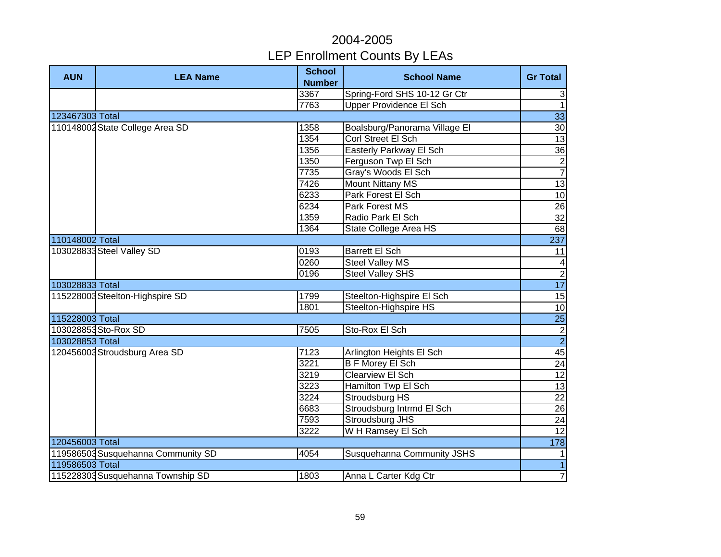| <b>AUN</b>      | <b>LEA Name</b>                    | <b>School</b><br><b>Number</b> | <b>School Name</b>             | <b>Gr Total</b>                                                         |
|-----------------|------------------------------------|--------------------------------|--------------------------------|-------------------------------------------------------------------------|
|                 |                                    | 3367                           | Spring-Ford SHS 10-12 Gr Ctr   | $\mathsf 3$                                                             |
|                 |                                    | 7763                           | <b>Upper Providence El Sch</b> | $\mathbf{1}$                                                            |
| 123467303 Total |                                    |                                |                                | 33                                                                      |
|                 | 110148002 State College Area SD    | 1358                           | Boalsburg/Panorama Village El  | 30                                                                      |
|                 |                                    | 1354                           | Corl Street El Sch             | 13                                                                      |
|                 |                                    | 1356                           | Easterly Parkway El Sch        | 36                                                                      |
|                 |                                    | 1350                           | Ferguson Twp El Sch            | $\frac{2}{7}$                                                           |
|                 |                                    | 7735                           | Gray's Woods El Sch            |                                                                         |
|                 |                                    | 7426                           | <b>Mount Nittany MS</b>        | 13                                                                      |
|                 |                                    | 6233                           | Park Forest El Sch             | 10                                                                      |
|                 |                                    | 6234                           | Park Forest MS                 | $\overline{26}$                                                         |
|                 |                                    | 1359                           | Radio Park El Sch              | 32                                                                      |
|                 |                                    | 1364                           | State College Area HS          | 68                                                                      |
| 110148002 Total |                                    |                                |                                | 237                                                                     |
|                 | 103028833 Steel Valley SD          | 0193                           | <b>Barrett El Sch</b>          | 11                                                                      |
|                 |                                    | 0260                           | <b>Steel Valley MS</b>         | $\overline{4}$                                                          |
|                 |                                    | 0196                           | <b>Steel Valley SHS</b>        | $\overline{2}$                                                          |
| 103028833 Total |                                    |                                |                                | 17                                                                      |
|                 | 115228003 Steelton-Highspire SD    | 1799                           | Steelton-Highspire El Sch      | 15                                                                      |
|                 |                                    | 1801                           | Steelton-Highspire HS          | 10                                                                      |
| 115228003 Total |                                    |                                |                                | <b>25</b>                                                               |
|                 | 103028853 Sto-Rox SD               | 7505                           | Sto-Rox El Sch                 |                                                                         |
| 103028853 Total |                                    |                                |                                | $\begin{array}{c c}\n\hline\n2 \\ \hline\n2 \\ \hline\n45\n\end{array}$ |
|                 | 120456003 Stroudsburg Area SD      | 7123                           | Arlington Heights El Sch       |                                                                         |
|                 |                                    | 3221                           | <b>B F Morey El Sch</b>        | 24                                                                      |
|                 |                                    | 3219                           | <b>Clearview El Sch</b>        | 12                                                                      |
|                 |                                    | 3223                           | Hamilton Twp El Sch            | $\overline{13}$                                                         |
|                 |                                    | 3224                           | Stroudsburg HS                 | $\overline{22}$                                                         |
|                 |                                    | 6683                           | Stroudsburg Intrmd El Sch      | 26                                                                      |
|                 |                                    | 7593                           | Stroudsburg JHS                | 24                                                                      |
|                 |                                    | 3222                           | WH Ramsey El Sch               | $\overline{12}$                                                         |
| 120456003 Total |                                    |                                |                                | 178                                                                     |
|                 | 119586503 Susquehanna Community SD | 4054                           | Susquehanna Community JSHS     | 1                                                                       |
| 119586503 Total |                                    |                                |                                | $\overline{1}$                                                          |
|                 | 115228303 Susquehanna Township SD  | 1803                           | Anna L Carter Kdg Ctr          | $\overline{7}$                                                          |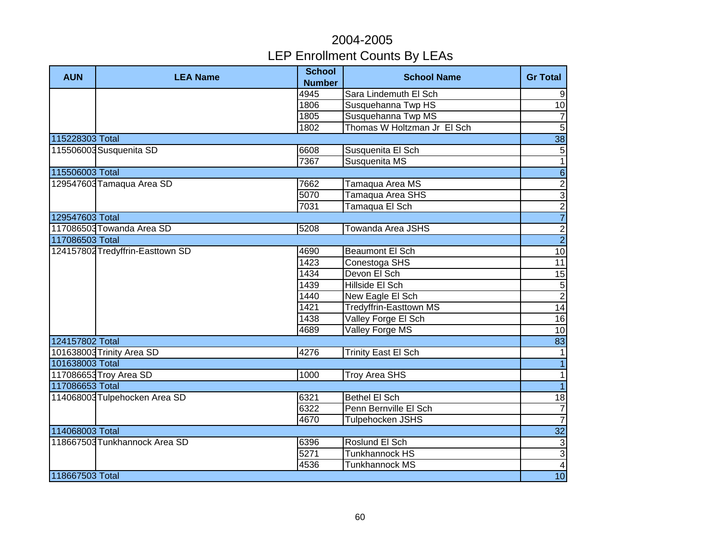| <b>AUN</b>      | <b>LEA Name</b>                  | <b>School</b><br><b>Number</b> | <b>School Name</b>            | <b>Gr Total</b>         |
|-----------------|----------------------------------|--------------------------------|-------------------------------|-------------------------|
|                 |                                  | 4945                           | Sara Lindemuth El Sch         | $\boldsymbol{9}$        |
|                 |                                  | 1806                           | Susquehanna Twp HS            | 10                      |
|                 |                                  | 1805                           | Susquehanna Twp MS            | $\overline{7}$          |
|                 |                                  | 1802                           | Thomas W Holtzman Jr El Sch   | $\overline{5}$          |
| 115228303 Total |                                  |                                |                               | $\overline{38}$         |
|                 | 115506003 Susquenita SD          | 6608                           | Susquenita El Sch             | $\sqrt{5}$              |
|                 |                                  | 7367                           | Susquenita MS                 | $\overline{1}$          |
| 115506003 Total |                                  |                                |                               | $\overline{6}$          |
|                 | 129547603 Tamaqua Area SD        | 7662                           | Tamaqua Area MS               |                         |
|                 |                                  | 5070                           | Tamaqua Area SHS              | $\frac{2}{3}$           |
|                 |                                  | 7031                           | Tamaqua El Sch                | $\overline{2}$          |
| 129547603 Total |                                  |                                |                               | $\overline{7}$          |
|                 | 117086503 Towanda Area SD        | 5208                           | <b>Towanda Area JSHS</b>      | $\frac{2}{2}$           |
| 117086503 Total |                                  |                                |                               |                         |
|                 | 124157802 Tredyffrin-Easttown SD | 4690                           | <b>Beaumont El Sch</b>        | 10                      |
|                 |                                  | 1423                           | Conestoga SHS                 | 11                      |
|                 |                                  | 1434                           | Devon El Sch                  | 15                      |
|                 |                                  | 1439                           | Hillside El Sch               | $\frac{5}{2}$           |
|                 |                                  | 1440                           | New Eagle El Sch              |                         |
|                 |                                  | 1421                           | <b>Tredyffrin-Easttown MS</b> | 14                      |
|                 |                                  | 1438                           | Valley Forge El Sch           | 16                      |
|                 |                                  | 4689                           | Valley Forge MS               | 10                      |
| 124157802 Total |                                  |                                |                               | 83                      |
|                 | 101638003 Trinity Area SD        | 4276                           | <b>Trinity East El Sch</b>    | $\overline{1}$          |
| 101638003 Total |                                  |                                |                               | $\overline{1}$          |
|                 | 117086653 Troy Area SD           | 1000                           | <b>Troy Area SHS</b>          | $\overline{1}$          |
| 117086653 Total |                                  |                                |                               | $\overline{1}$          |
|                 | 114068003 Tulpehocken Area SD    | 6321                           | <b>Bethel El Sch</b>          | 18                      |
|                 |                                  | 6322                           | Penn Bernville El Sch         | $\overline{7}$          |
|                 |                                  | 4670                           | Tulpehocken JSHS              | $\overline{7}$          |
| 114068003 Total |                                  |                                |                               | 32                      |
|                 | 118667503 Tunkhannock Area SD    | 6396                           | Roslund El Sch                | $\sqrt{3}$              |
|                 |                                  | 5271                           | <b>Tunkhannock HS</b>         | $\mathbf{3}$            |
|                 |                                  | 4536                           | <b>Tunkhannock MS</b>         | $\overline{\mathbf{4}}$ |
| 118667503 Total |                                  |                                |                               | 10                      |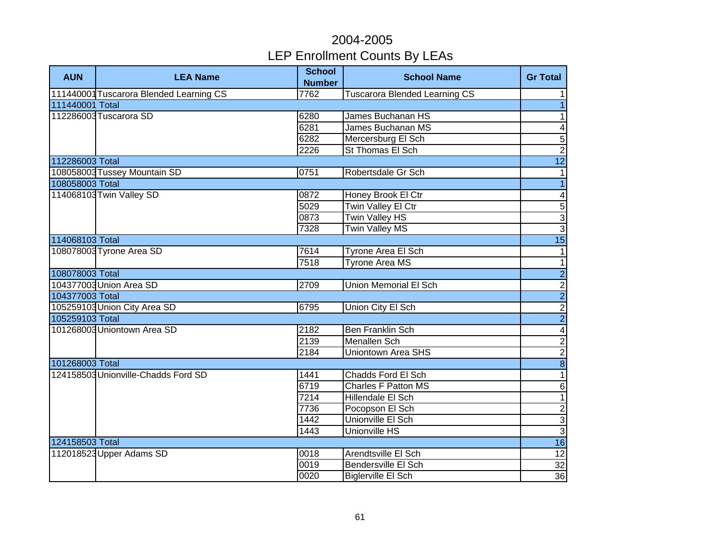| <b>AUN</b>      | <b>LEA Name</b>                         | <b>School</b>         | <b>School Name</b>                   | <b>Gr Total</b>                                     |
|-----------------|-----------------------------------------|-----------------------|--------------------------------------|-----------------------------------------------------|
|                 | 111440001 Tuscarora Blended Learning CS | <b>Number</b><br>7762 | <b>Tuscarora Blended Learning CS</b> | 1                                                   |
| 111440001 Total |                                         |                       |                                      | $\overline{\phantom{0}}$                            |
|                 | 112286003 Tuscarora SD                  | 6280                  | <b>James Buchanan HS</b>             | $\overline{1}$                                      |
|                 |                                         | 6281                  | James Buchanan MS                    | $\blacktriangle$                                    |
|                 |                                         | 6282                  | Mercersburg El Sch                   | $\overline{5}$                                      |
|                 |                                         | 2226                  | St Thomas El Sch                     | $\overline{2}$                                      |
| 112286003 Total |                                         |                       |                                      | $\overline{12}$                                     |
|                 | 108058003 Tussey Mountain SD            | 0751                  | Robertsdale Gr Sch                   | $\mathbf{1}$                                        |
| 108058003 Total |                                         |                       |                                      | $\overline{1}$                                      |
|                 | 114068103 Twin Valley SD                | 0872                  | Honey Brook El Ctr                   | $\blacktriangle$                                    |
|                 |                                         | 5029                  | Twin Valley El Ctr                   |                                                     |
|                 |                                         | 0873                  | <b>Twin Valley HS</b>                | ယ ယ (၁                                              |
|                 |                                         | 7328                  | <b>Twin Valley MS</b>                |                                                     |
| 114068103 Total |                                         |                       |                                      | 15                                                  |
|                 | 108078003 Tyrone Area SD                | 7614                  | Tyrone Area El Sch                   | $\mathbf{1}$                                        |
|                 |                                         | 7518                  | <b>Tyrone Area MS</b>                | $\overline{1}$                                      |
| 108078003 Total |                                         |                       |                                      |                                                     |
|                 | 104377003 Union Area SD                 | 2709                  | Union Memorial El Sch                | $\frac{1}{2}$                                       |
| 104377003 Total |                                         |                       |                                      |                                                     |
|                 | 105259103 Union City Area SD            | 6795                  | Union City El Sch                    |                                                     |
| 105259103 Total |                                         |                       |                                      |                                                     |
|                 | 101268003 Uniontown Area SD             | 2182                  | <b>Ben Franklin Sch</b>              |                                                     |
|                 |                                         | 2139                  | <b>Menallen Sch</b>                  |                                                     |
|                 |                                         | 2184                  | <b>Uniontown Area SHS</b>            | $\frac{\infty}{\infty}$ $\sim$ $\mid$ $\rightarrow$ |
| 101268003 Total |                                         |                       |                                      |                                                     |
|                 | 124158503 Unionville-Chadds Ford SD     | 1441                  | <b>Chadds Ford El Sch</b>            | $\overline{1}$                                      |
|                 |                                         | 6719                  | <b>Charles F Patton MS</b>           | $\overline{6}$                                      |
|                 |                                         | $\overline{7214}$     | Hillendale El Sch                    | $\overline{1}$                                      |
|                 |                                         | 7736                  | Pocopson El Sch                      | $\frac{2}{3}$                                       |
|                 |                                         | 1442                  | Unionville El Sch                    |                                                     |
|                 |                                         | 1443                  | Unionville HS                        | $\overline{3}$                                      |
| 124158503 Total |                                         |                       |                                      | 16                                                  |
|                 | 112018523 Upper Adams SD                | 0018                  | Arendtsville El Sch                  | 12                                                  |
|                 |                                         | $\overline{00}$ 19    | Bendersville El Sch                  | 32                                                  |
|                 |                                         | 0020                  | <b>Biglerville El Sch</b>            | 36                                                  |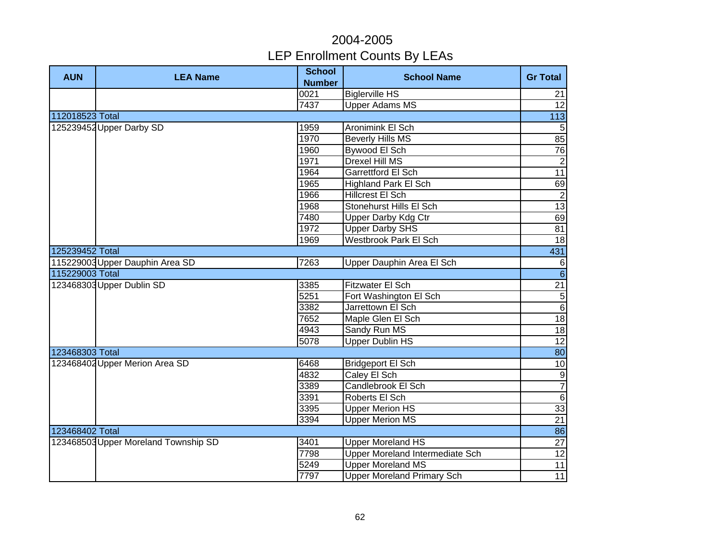| <b>AUN</b>      | <b>LEA Name</b>                      | <b>School</b>    | <b>School Name</b>                     | <b>Gr Total</b> |
|-----------------|--------------------------------------|------------------|----------------------------------------|-----------------|
|                 |                                      | <b>Number</b>    |                                        |                 |
|                 |                                      | 0021             | <b>Biglerville HS</b>                  | 21              |
|                 |                                      | 7437             | <b>Upper Adams MS</b>                  | 12              |
| 112018523 Total |                                      |                  |                                        | 113             |
|                 | 125239452 Upper Darby SD             | 1959             | Aronimink El Sch                       | 5               |
|                 |                                      | 1970             | <b>Beverly Hills MS</b>                | 85              |
|                 |                                      | 1960             | Bywood El Sch                          | 76              |
|                 |                                      | 1971             | <b>Drexel Hill MS</b>                  | $\overline{2}$  |
|                 |                                      | 1964             | <b>Garrettford El Sch</b>              | 11              |
|                 |                                      | 1965             | <b>Highland Park El Sch</b>            | 69              |
|                 |                                      | 1966             | <b>Hillcrest El Sch</b>                | $\overline{c}$  |
|                 |                                      | 1968             | Stonehurst Hills El Sch                | $\overline{13}$ |
|                 |                                      | 7480             | <b>Upper Darby Kdg Ctr</b>             | 69              |
|                 |                                      | 1972             | <b>Upper Darby SHS</b>                 | 81              |
|                 |                                      | 1969             | <b>Westbrook Park El Sch</b>           | 18              |
| 125239452 Total |                                      |                  |                                        | 431             |
|                 | 115229003 Upper Dauphin Area SD      | 7263             | Upper Dauphin Area El Sch              | $\,6$           |
| 115229003 Total |                                      |                  |                                        | $\overline{6}$  |
|                 | 123468303 Upper Dublin SD            | 3385             | Fitzwater El Sch                       | $\overline{21}$ |
|                 |                                      | 5251             | Fort Washington El Sch                 |                 |
|                 |                                      | 3382             | Jarrettown El Sch                      | $\frac{5}{6}$   |
|                 |                                      | 7652             | Maple Glen El Sch                      | $\frac{1}{8}$   |
|                 |                                      | 4943             | Sandy Run MS                           | $\frac{1}{8}$   |
|                 |                                      | 5078             | <b>Upper Dublin HS</b>                 | $\overline{12}$ |
| 123468303 Total |                                      |                  |                                        | 80              |
|                 | 123468402 Upper Merion Area SD       | 6468             | <b>Bridgeport El Sch</b>               | 10              |
|                 |                                      | 4832             | Caley El Sch                           |                 |
|                 |                                      | 3389             | Candlebrook El Sch                     | $\frac{1}{2}$   |
|                 |                                      | 3391             | Roberts El Sch                         | $\sigma$        |
|                 |                                      | 3395             | <b>Upper Merion HS</b>                 | 33              |
|                 |                                      | 3394             | <b>Upper Merion MS</b>                 | 21              |
| 123468402 Total |                                      |                  |                                        | 86              |
|                 | 123468503 Upper Moreland Township SD | 3401             | <b>Upper Moreland HS</b>               | 27              |
|                 |                                      | 7798             | <b>Upper Moreland Intermediate Sch</b> | 12              |
|                 |                                      | $\frac{1}{5249}$ | <b>Upper Moreland MS</b>               | 11              |
|                 |                                      | 7797             | <b>Upper Moreland Primary Sch</b>      | 11              |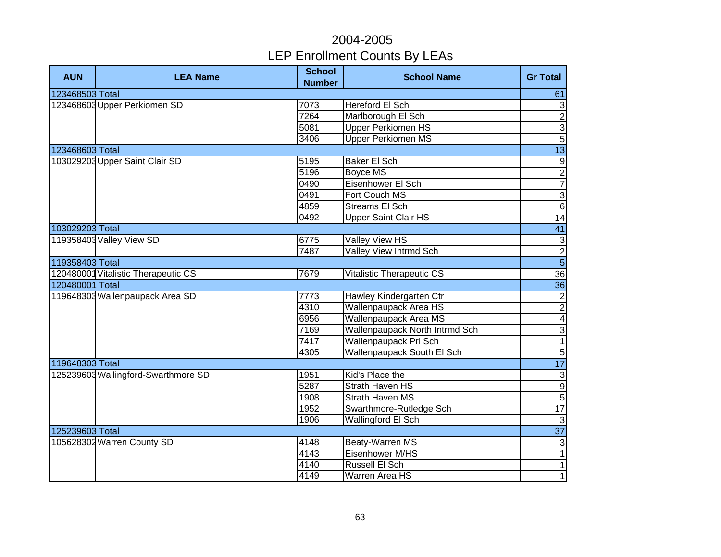| <b>AUN</b>                   | <b>LEA Name</b>                     | <b>School</b><br><b>Number</b> | <b>School Name</b>             | <b>Gr Total</b>     |
|------------------------------|-------------------------------------|--------------------------------|--------------------------------|---------------------|
| 123468503 Total              |                                     |                                |                                | 61                  |
| 123468603 Upper Perkiomen SD | 7073                                | Hereford El Sch                | $\sqrt{3}$                     |                     |
|                              |                                     | 7264                           | Marlborough El Sch             | $\overline{2}$      |
|                              |                                     | 5081                           | <b>Upper Perkiomen HS</b>      | $\overline{3}$      |
|                              |                                     | 3406                           | <b>Upper Perkiomen MS</b>      | $\overline{5}$      |
| 123468603 Total              |                                     |                                |                                | $\overline{13}$     |
|                              | 103029203 Upper Saint Clair SD      | 5195                           | Baker El Sch                   | $\boldsymbol{9}$    |
|                              |                                     | 5196                           | Boyce MS                       | $\frac{2}{7}$       |
|                              |                                     | 0490                           | Eisenhower El Sch              |                     |
|                              |                                     | 0491                           | Fort Couch MS                  | $\overline{3}$      |
|                              |                                     | 4859                           | <b>Streams El Sch</b>          | $6\overline{6}$     |
|                              |                                     | 0492                           | <b>Upper Saint Clair HS</b>    | $\overline{14}$     |
| 103029203 Total              |                                     |                                |                                | 41                  |
|                              | 119358403 Valley View SD            | 6775                           | <b>Valley View HS</b>          | $\overline{\omega}$ |
|                              |                                     | 7487                           | <b>Valley View Intrmd Sch</b>  | $\frac{2}{5}$       |
| 119358403 Total              |                                     |                                |                                |                     |
|                              | 120480001 Vitalistic Therapeutic CS | 7679                           | Vitalistic Therapeutic CS      | $\overline{36}$     |
| 120480001 Total              |                                     |                                |                                | $\overline{36}$     |
|                              | 119648303 Wallenpaupack Area SD     | 7773                           | Hawley Kindergarten Ctr        | $\overline{2}$      |
|                              |                                     | 4310                           | <b>Wallenpaupack Area HS</b>   | $\overline{c}$      |
|                              |                                     | 6956                           | Wallenpaupack Area MS          | $\overline{4}$      |
|                              |                                     | 7169                           | Wallenpaupack North Intrmd Sch | $\overline{3}$      |
|                              |                                     | 7417                           | Wallenpaupack Pri Sch          | $\overline{1}$      |
|                              |                                     | 4305                           | Wallenpaupack South El Sch     | $\overline{5}$      |
| 119648303 Total              |                                     |                                |                                | 17                  |
|                              | 125239603 Wallingford-Swarthmore SD | 1951                           | Kid's Place the                | $\overline{\omega}$ |
|                              |                                     | 5287                           | <b>Strath Haven HS</b>         | $\overline{9}$      |
|                              |                                     | 1908                           | <b>Strath Haven MS</b>         | $\overline{5}$      |
|                              |                                     | 1952                           | Swarthmore-Rutledge Sch        | $\overline{17}$     |
|                              |                                     | 1906                           | <b>Wallingford El Sch</b>      | $\mathbf{3}$        |
| 125239603 Total              |                                     |                                |                                | $\overline{37}$     |
|                              | 105628302 Warren County SD          | 4148                           | Beaty-Warren MS                | $\sqrt{3}$          |
|                              |                                     | 4143                           | Eisenhower M/HS                | $\mathbf{1}$        |
|                              |                                     | 4140                           | Russell El Sch                 | $\mathbf{1}$        |
|                              |                                     | 4149                           | Warren Area HS                 | $\overline{1}$      |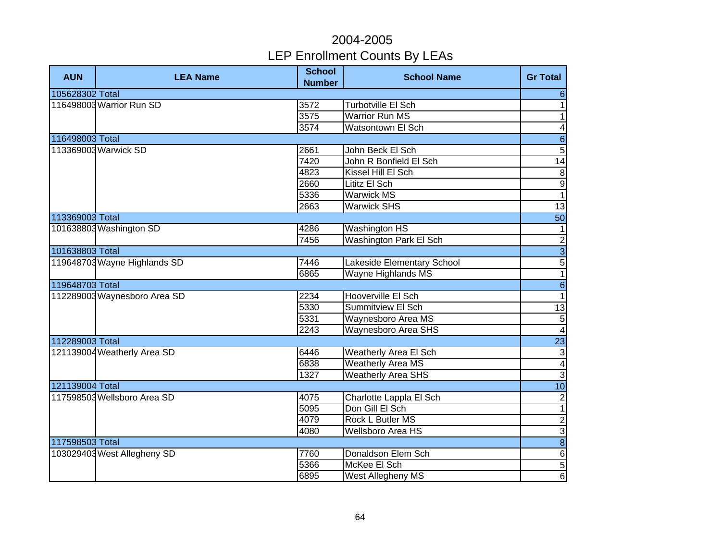| <b>AUN</b>      | <b>LEA Name</b>              | <b>School</b><br><b>Number</b> | <b>School Name</b>         | <b>Gr Total</b>          |
|-----------------|------------------------------|--------------------------------|----------------------------|--------------------------|
| 105628302 Total |                              |                                |                            | $6 \overline{6}$         |
|                 | 116498003 Warrior Run SD     | 3572                           | <b>Turbotville El Sch</b>  | $\mathbf{1}$             |
|                 |                              | 3575                           | <b>Warrior Run MS</b>      | $\overline{1}$           |
|                 |                              | 3574                           | Watsontown El Sch          | $\overline{\mathbf{4}}$  |
| 116498003 Total |                              |                                |                            | $\overline{6}$           |
|                 | 113369003 Warwick SD         | 2661                           | John Beck El Sch           | $\overline{5}$           |
|                 |                              | 7420                           | John R Bonfield El Sch     | 14                       |
|                 |                              | 4823                           | Kissel Hill El Sch         | $\,8\,$                  |
|                 |                              | 2660                           | Lititz El Sch              | Θ                        |
|                 |                              | 5336                           | <b>Warwick MS</b>          | $\overline{\phantom{a}}$ |
|                 |                              | 2663                           | <b>Warwick SHS</b>         | 13                       |
| 113369003 Total |                              |                                |                            | 50                       |
|                 | 101638803 Washington SD      | 4286                           | <b>Washington HS</b>       | $\mathbf{1}$             |
|                 |                              | 7456                           | Washington Park El Sch     |                          |
| 101638803 Total |                              |                                |                            | $\frac{2}{5}$            |
|                 | 119648703 Wayne Highlands SD | 7446                           | Lakeside Elementary School |                          |
|                 |                              | 6865                           | Wayne Highlands MS         | $\overline{1}$           |
| 119648703 Total |                              |                                |                            | $\overline{6}$           |
|                 | 112289003 Waynesboro Area SD | 2234                           | Hooverville El Sch         | $\mathbf{1}$             |
|                 |                              | 5330                           | Summitview El Sch          | 13                       |
|                 |                              | 5331                           | Waynesboro Area MS         | $\overline{5}$           |
|                 |                              | 2243                           | <b>Waynesboro Area SHS</b> | $\overline{4}$           |
| 112289003 Total |                              |                                |                            | 23                       |
|                 | 121139004 Weatherly Area SD  | 6446                           | Weatherly Area El Sch      | $\overline{3}$           |
|                 |                              | 6838                           | <b>Weatherly Area MS</b>   | $\overline{\mathbf{A}}$  |
|                 |                              | 1327                           | <b>Weatherly Area SHS</b>  | $\overline{3}$           |
| 121139004 Total |                              |                                |                            | $\overline{10}$          |
|                 | 117598503 Wellsboro Area SD  | 4075                           | Charlotte Lappla El Sch    | $\overline{c}$           |
|                 |                              | 5095                           | Don Gill El Sch            | $\overline{\phantom{a}}$ |
|                 |                              | 4079                           | <b>Rock L Butler MS</b>    | $\overline{c}$           |
|                 |                              | 4080                           | <b>Wellsboro Area HS</b>   | $\overline{3}$           |
| 117598503 Total |                              |                                |                            | $\boldsymbol{8}$         |
|                 | 103029403 West Allegheny SD  | 7760                           | Donaldson Elem Sch         | $\,6$                    |
|                 |                              | 5366                           | McKee El Sch               | $\sqrt{5}$               |
|                 |                              | 6895                           | West Allegheny MS          | $\,6$                    |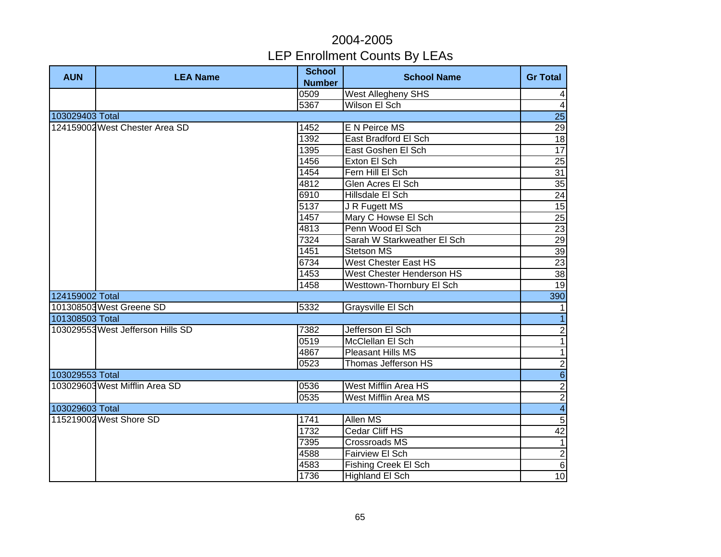| <b>AUN</b>      | <b>LEA Name</b>                   | <b>School</b><br><b>Number</b> | <b>School Name</b>          | <b>Gr Total</b> |
|-----------------|-----------------------------------|--------------------------------|-----------------------------|-----------------|
|                 |                                   | 0509                           | <b>West Allegheny SHS</b>   | $\vert 4 \vert$ |
|                 |                                   | 5367                           | Wilson El Sch               | $\overline{4}$  |
| 103029403 Total |                                   |                                |                             | 25              |
|                 | 124159002 West Chester Area SD    | 1452                           | E N Peirce MS               | $\overline{29}$ |
|                 |                                   | 1392                           | East Bradford El Sch        | 18              |
|                 |                                   | 1395                           | East Goshen El Sch          | 17              |
|                 |                                   | 1456                           | Exton El Sch                | 25              |
|                 |                                   | 1454                           | Fern Hill El Sch            | 31              |
|                 |                                   | 4812                           | Glen Acres El Sch           | 35              |
|                 |                                   | 6910                           | Hillsdale El Sch            | $\overline{24}$ |
|                 |                                   | 5137                           | J R Fugett MS               | $\overline{15}$ |
|                 |                                   | 1457                           | Mary C Howse El Sch         | $\overline{25}$ |
|                 |                                   | 4813                           | Penn Wood El Sch            | $\overline{23}$ |
|                 |                                   | 7324                           | Sarah W Starkweather El Sch | $\overline{29}$ |
|                 |                                   | 1451                           | <b>Stetson MS</b>           | 39              |
|                 |                                   | 6734                           | <b>West Chester East HS</b> | 23              |
|                 |                                   | 1453                           | West Chester Henderson HS   | 38              |
|                 |                                   | 1458                           | Westtown-Thornbury El Sch   | 19              |
| 124159002 Total |                                   |                                |                             | 390             |
|                 | 101308503 West Greene SD          | 5332                           | Graysville El Sch           | $\mathbf{1}$    |
| 101308503 Total |                                   |                                |                             | $\overline{1}$  |
|                 | 103029553 West Jefferson Hills SD | 7382                           | Jefferson El Sch            | $\overline{2}$  |
|                 |                                   | 0519                           | McClellan El Sch            | $\mathbf{1}$    |
|                 |                                   | 4867                           | Pleasant Hills MS           | $\mathbf{1}$    |
|                 |                                   | 0523                           | Thomas Jefferson HS         | $\overline{2}$  |
| 103029553 Total |                                   |                                |                             | $\overline{6}$  |
|                 | 103029603 West Mifflin Area SD    | 0536                           | West Mifflin Area HS        | $\frac{2}{4}$   |
|                 |                                   | 0535                           | <b>West Mifflin Area MS</b> |                 |
| 103029603 Total |                                   |                                |                             |                 |
|                 | 115219002 West Shore SD           | 1741                           | Allen MS                    | $\overline{5}$  |
|                 |                                   | 1732                           | Cedar Cliff HS              | $\overline{42}$ |
|                 |                                   | 7395                           | Crossroads MS               | $\mathbf{1}$    |
|                 |                                   | 4588                           | Fairview El Sch             | $\frac{2}{6}$   |
|                 |                                   | 4583                           | Fishing Creek El Sch        |                 |
|                 |                                   | 1736                           | Highland El Sch             | 10              |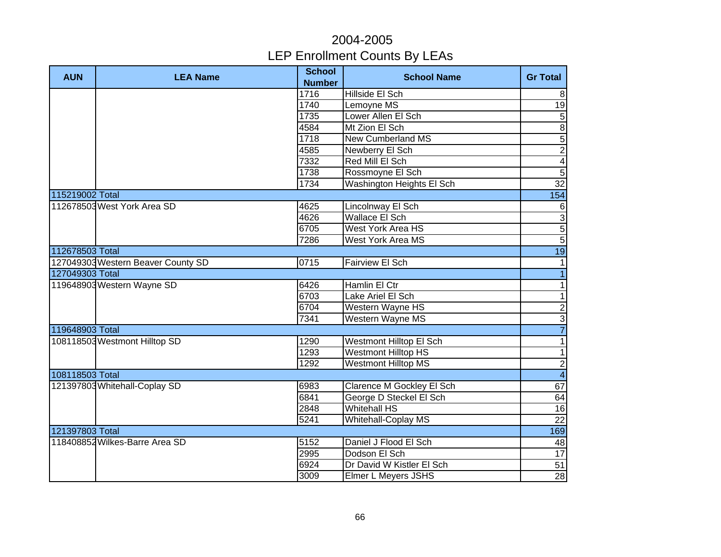| <b>AUN</b>      | <b>LEA Name</b>                    | <b>School</b><br><b>Number</b> | <b>School Name</b>         | <b>Gr Total</b>           |
|-----------------|------------------------------------|--------------------------------|----------------------------|---------------------------|
|                 |                                    | 1716                           | Hillside El Sch            | 8                         |
|                 |                                    | 1740                           | Lemoyne MS                 | 19                        |
|                 |                                    | 1735                           | Lower Allen El Sch         | $\overline{5}$            |
|                 |                                    | 4584                           | Mt Zion El Sch             | $\overline{8}$            |
|                 |                                    | 1718                           | <b>New Cumberland MS</b>   | 5                         |
|                 |                                    | 4585                           | <b>Newberry El Sch</b>     | $\overline{2}$            |
|                 |                                    | 7332                           | Red Mill El Sch            | $\overline{4}$            |
|                 |                                    | 1738                           | Rossmoyne El Sch           | $\overline{5}$            |
|                 |                                    | 1734                           | Washington Heights El Sch  | $\overline{32}$           |
| 115219002 Total |                                    |                                |                            | 154                       |
|                 | 112678503 West York Area SD        | 4625                           | Lincolnway El Sch          | $\,6$                     |
|                 |                                    | 4626                           | Wallace El Sch             | $\ensuremath{\mathsf{3}}$ |
|                 |                                    | 6705                           | West York Area HS          | $\overline{5}$            |
|                 |                                    | 7286                           | West York Area MS          | $\overline{5}$            |
| 112678503 Total |                                    |                                |                            | 19                        |
|                 | 127049303 Western Beaver County SD | 0715                           | Fairview El Sch            | $\mathbf{1}$              |
| 127049303 Total |                                    |                                |                            | $\overline{1}$            |
|                 | 119648903 Western Wayne SD         | 6426                           | Hamlin El Ctr              | $\overline{\phantom{0}}$  |
|                 |                                    | 6703                           | Lake Ariel El Sch          | $\overline{1}$            |
|                 |                                    | 6704                           | Western Wayne HS           | $\frac{1}{2}$             |
|                 |                                    | 7341                           | Western Wayne MS           |                           |
| 119648903 Total |                                    |                                |                            |                           |
|                 | 108118503 Westmont Hilltop SD      | 1290                           | Westmont Hilltop El Sch    | $\mathbf{1}$              |
|                 |                                    | 1293                           | <b>Westmont Hilltop HS</b> | $\mathbf{1}$              |
|                 |                                    | 1292                           | <b>Westmont Hilltop MS</b> | $\overline{2}$            |
| 108118503 Total |                                    |                                |                            | $\overline{\mathbf{4}}$   |
|                 | 121397803 Whitehall-Coplay SD      | 6983                           | Clarence M Gockley El Sch  | 67                        |
|                 |                                    | 6841                           | George D Steckel El Sch    | 64                        |
|                 |                                    | 2848                           | <b>Whitehall HS</b>        | 16                        |
|                 |                                    | 5241                           | <b>Whitehall-Coplay MS</b> | $\overline{22}$           |
| 121397803 Total |                                    |                                |                            | 169                       |
|                 | 118408852 Wilkes-Barre Area SD     | 5152                           | Daniel J Flood El Sch      | 48                        |
|                 |                                    | 2995                           | Dodson El Sch              | 17                        |
|                 |                                    | 6924                           | Dr David W Kistler El Sch  | 51                        |
|                 |                                    | 3009                           | Elmer L Meyers JSHS        | 28                        |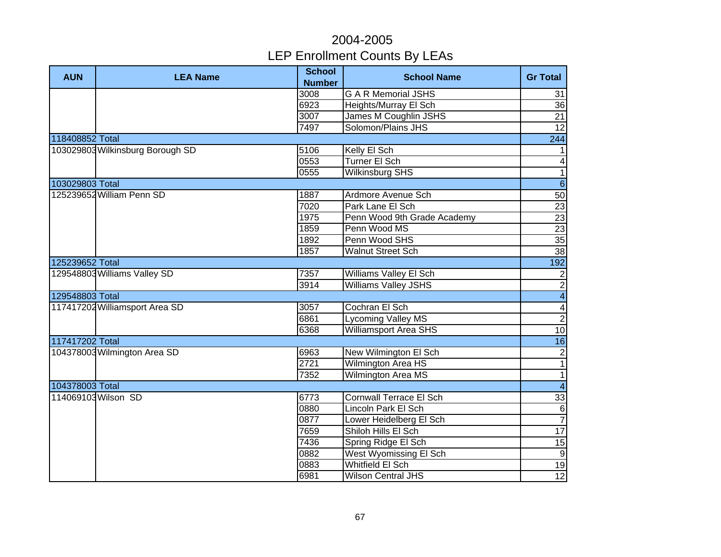| <b>AUN</b>      | <b>LEA Name</b>                  | <b>School</b><br><b>Number</b> | <b>School Name</b>             | <b>Gr Total</b>          |
|-----------------|----------------------------------|--------------------------------|--------------------------------|--------------------------|
|                 |                                  | 3008                           | <b>G A R Memorial JSHS</b>     | 31                       |
|                 |                                  | 6923                           | Heights/Murray El Sch          | 36                       |
|                 |                                  | 3007                           | James M Coughlin JSHS          | 21                       |
|                 |                                  | 7497                           | Solomon/Plains JHS             | $\overline{12}$          |
| 118408852 Total |                                  |                                |                                | 244                      |
|                 | 103029803 Wilkinsburg Borough SD | 5106                           | Kelly El Sch                   | $\mathbf{1}$             |
|                 |                                  | 0553                           | Turner El Sch                  | $\overline{\mathbf{4}}$  |
|                 |                                  | 0555                           | Wilkinsburg SHS                | $\overline{1}$           |
| 103029803 Total |                                  |                                |                                | $\overline{6}$           |
|                 | 125239652 William Penn SD        | 1887                           | Ardmore Avenue Sch             | 50                       |
|                 |                                  | 7020                           | Park Lane El Sch               | 23                       |
|                 |                                  | 1975                           | Penn Wood 9th Grade Academy    | $\overline{23}$          |
|                 |                                  | 1859                           | Penn Wood MS                   | 23                       |
|                 |                                  | 1892                           | Penn Wood SHS                  | $\overline{35}$          |
|                 |                                  | 1857                           | <b>Walnut Street Sch</b>       | 38                       |
| 125239652 Total |                                  |                                |                                | 192                      |
|                 | 129548803 Williams Valley SD     | 7357                           | Williams Valley El Sch         | $\overline{c}$           |
|                 |                                  | 3914                           | <b>Williams Valley JSHS</b>    | $\overline{2}$           |
| 129548803 Total |                                  |                                |                                | $\overline{\mathbf{4}}$  |
|                 | 117417202 Williamsport Area SD   | 3057                           | Cochran El Sch                 | $\overline{\mathbf{4}}$  |
|                 |                                  | 6861                           | <b>Lycoming Valley MS</b>      | $\overline{2}$           |
|                 |                                  | 6368                           | <b>Williamsport Area SHS</b>   | $\overline{10}$          |
| 117417202 Total |                                  |                                |                                | 16                       |
|                 | 104378003 Wilmington Area SD     | 6963                           | New Wilmington El Sch          | $\overline{c}$           |
|                 |                                  | 2721                           | Wilmington Area HS             | $\overline{\phantom{0}}$ |
|                 |                                  | 7352                           | Wilmington Area MS             | $\overline{\phantom{0}}$ |
| 104378003 Total |                                  |                                |                                | $\overline{4}$           |
|                 | 114069103 Wilson SD              | 6773                           | <b>Cornwall Terrace El Sch</b> | 33                       |
|                 |                                  | 0880                           | Lincoln Park El Sch            | $\overline{6}$           |
|                 |                                  | 0877                           | Lower Heidelberg El Sch        | $\overline{7}$           |
|                 |                                  | 7659                           | Shiloh Hills El Sch            | $\overline{17}$          |
|                 |                                  | 7436                           | Spring Ridge El Sch            | 15                       |
|                 |                                  | 0882                           | West Wyomissing El Sch         | $9\,$                    |
|                 |                                  | 0883                           | <b>Whitfield El Sch</b>        | 19                       |
|                 |                                  | 6981                           | Wilson Central JHS             | 12                       |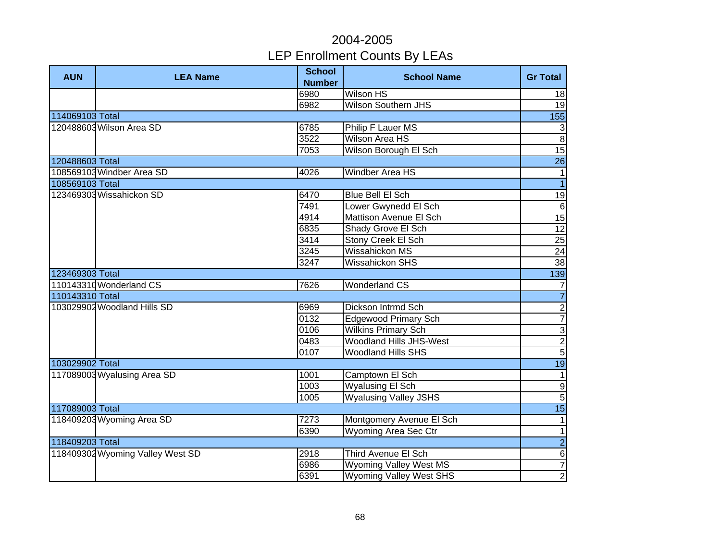| <b>AUN</b>      | <b>LEA Name</b>                  | <b>School</b><br><b>Number</b> | <b>School Name</b>             | <b>Gr Total</b> |
|-----------------|----------------------------------|--------------------------------|--------------------------------|-----------------|
|                 |                                  | 6980                           | <b>Wilson HS</b>               | 18              |
|                 |                                  | 6982                           | <b>Wilson Southern JHS</b>     | 19              |
| 114069103 Total |                                  |                                |                                | 155             |
|                 | 120488603 Wilson Area SD         | 6785                           | Philip F Lauer MS              | $\mathbf{3}$    |
|                 |                                  | 3522                           | <b>Wilson Area HS</b>          | $\overline{8}$  |
|                 |                                  | 7053                           | <b>Wilson Borough El Sch</b>   | $\overline{15}$ |
| 120488603 Total |                                  |                                |                                | 26              |
|                 | 108569103 Windber Area SD        | 4026                           | Windber Area HS                | $\mathbf{1}$    |
| 108569103 Total |                                  |                                |                                | $\overline{1}$  |
|                 | 123469303 Wissahickon SD         | 6470                           | Blue Bell El Sch               | 19              |
|                 |                                  | 7491                           | Lower Gwynedd El Sch           | $\,6$           |
|                 |                                  | 4914                           | Mattison Avenue El Sch         | $\overline{15}$ |
|                 |                                  | 6835                           | Shady Grove El Sch             | $\overline{12}$ |
|                 |                                  | 3414                           | Stony Creek El Sch             | 25              |
|                 |                                  | 3245                           | Wissahickon MS                 | 24              |
|                 |                                  | 3247                           | Wissahickon SHS                | 38              |
| 123469303 Total |                                  |                                |                                | 139             |
|                 | 110143310 Wonderland CS          | 7626                           | <b>Wonderland CS</b>           | $\overline{7}$  |
| 110143310 Total |                                  |                                |                                | $\overline{7}$  |
|                 | 103029902 Woodland Hills SD      | 6969                           | Dickson Intrmd Sch             |                 |
|                 |                                  | 0132                           | <b>Edgewood Primary Sch</b>    | $\frac{2}{7}$   |
|                 |                                  | 0106                           | <b>Wilkins Primary Sch</b>     |                 |
|                 |                                  | 0483                           | <b>Woodland Hills JHS-West</b> | س ام اه         |
|                 |                                  | 0107                           | <b>Woodland Hills SHS</b>      |                 |
| 103029902 Total |                                  |                                |                                | 19              |
|                 | 117089003 Wyalusing Area SD      | 1001                           | Camptown El Sch                | $\mathbf{1}$    |
|                 |                                  | 1003                           | <b>Wyalusing El Sch</b>        | $\overline{9}$  |
|                 |                                  | 1005                           | <b>Wyalusing Valley JSHS</b>   | $\overline{5}$  |
| 117089003 Total |                                  |                                |                                | 15              |
|                 | 118409203 Wyoming Area SD        | 7273                           | Montgomery Avenue El Sch       | $\mathbf{1}$    |
|                 |                                  | 6390                           | Wyoming Area Sec Ctr           | $\mathbf{1}$    |
| 118409203 Total |                                  |                                |                                | $\overline{2}$  |
|                 | 118409302 Wyoming Valley West SD | 2918                           | Third Avenue El Sch            | $\,6$           |
|                 |                                  | 6986                           | <b>Wyoming Valley West MS</b>  | $\overline{7}$  |
|                 |                                  | 6391                           | <b>Wyoming Valley West SHS</b> | $\overline{2}$  |